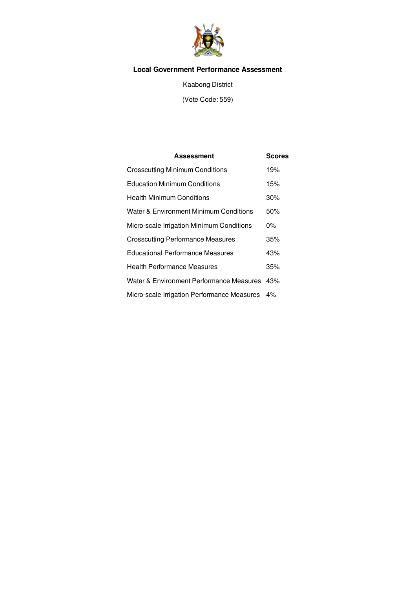

# **Local Government Performance Assessment**

Kaabong District

(Vote Code: 559)

| <b>Assessment</b>                                 | <b>Scores</b> |
|---------------------------------------------------|---------------|
| <b>Crosscutting Minimum Conditions</b>            | 19%           |
| <b>Education Minimum Conditions</b>               | 15%           |
| <b>Health Minimum Conditions</b>                  | 30%           |
| <b>Water &amp; Environment Minimum Conditions</b> | 50%           |
| Micro-scale Irrigation Minimum Conditions         | $0\%$         |
| <b>Crosscutting Performance Measures</b>          | 35%           |
| <b>Educational Performance Measures</b>           | 43%           |
| <b>Health Performance Measures</b>                | 35%           |
| Water & Environment Performance Measures 43%      |               |
| Micro-scale Irrigation Performance Measures       | $4\%$         |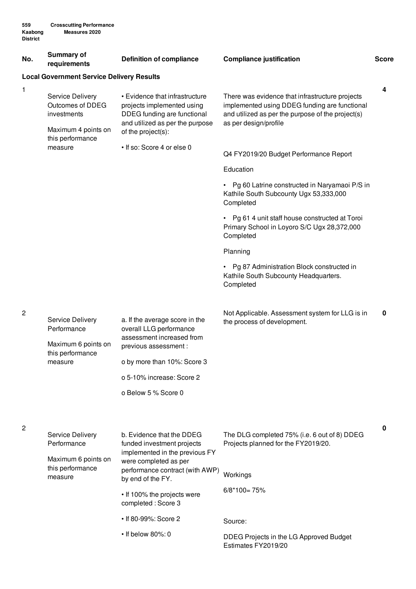| No. | <b>Summary of</b><br>requirements                                                              | <b>Definition of compliance</b>                                                                                                                                                                    | <b>Compliance justification</b>                                                                                                                                                | <b>Score</b> |
|-----|------------------------------------------------------------------------------------------------|----------------------------------------------------------------------------------------------------------------------------------------------------------------------------------------------------|--------------------------------------------------------------------------------------------------------------------------------------------------------------------------------|--------------|
|     | <b>Local Government Service Delivery Results</b>                                               |                                                                                                                                                                                                    |                                                                                                                                                                                |              |
| 1   | Service Delivery<br>Outcomes of DDEG<br>investments<br>Maximum 4 points on<br>this performance | • Evidence that infrastructure<br>projects implemented using<br>DDEG funding are functional<br>and utilized as per the purpose<br>of the project(s):                                               | There was evidence that infrastructure projects<br>implemented using DDEG funding are functional<br>and utilized as per the purpose of the project(s)<br>as per design/profile | 4            |
|     | measure                                                                                        | • If so: Score 4 or else 0                                                                                                                                                                         | Q4 FY2019/20 Budget Performance Report                                                                                                                                         |              |
|     |                                                                                                |                                                                                                                                                                                                    | Education                                                                                                                                                                      |              |
|     |                                                                                                |                                                                                                                                                                                                    | • Pg 60 Latrine constructed in Naryamaoi P/S in<br>Kathile South Subcounty Ugx 53,333,000<br>Completed                                                                         |              |
|     |                                                                                                |                                                                                                                                                                                                    | • Pg 61 4 unit staff house constructed at Toroi<br>Primary School in Loyoro S/C Ugx 28,372,000<br>Completed                                                                    |              |
|     |                                                                                                |                                                                                                                                                                                                    | Planning                                                                                                                                                                       |              |
|     |                                                                                                |                                                                                                                                                                                                    | Pg 87 Administration Block constructed in<br>Kathile South Subcounty Headquarters.<br>Completed                                                                                |              |
| 2   | Service Delivery<br>Performance<br>Maximum 6 points on<br>this performance<br>measure          | a. If the average score in the<br>overall LLG performance<br>assessment increased from<br>previous assessment :<br>o by more than 10%: Score 3<br>o 5-10% increase: Score 2<br>o Below 5 % Score 0 | Not Applicable. Assessment system for LLG is in<br>the process of development.                                                                                                 | 0            |
| 2   | <b>Service Delivery</b><br>Performance<br>Maximum 6 points on<br>this performance<br>measure   | b. Evidence that the DDEG<br>funded investment projects<br>implemented in the previous FY<br>were completed as per<br>performance contract (with AWP)<br>by end of the FY.                         | The DLG completed 75% (i.e. 6 out of 8) DDEG<br>Projects planned for the FY2019/20.<br>Workings                                                                                | 0            |
|     |                                                                                                | • If 100% the projects were<br>completed: Score 3                                                                                                                                                  | $6/8*100=75%$                                                                                                                                                                  |              |
|     |                                                                                                | • If 80-99%: Score 2                                                                                                                                                                               | Source:                                                                                                                                                                        |              |
|     |                                                                                                | • If below 80%: 0                                                                                                                                                                                  | DDEG Projects in the LG Approved Budget<br>Estimates FY2019/20                                                                                                                 |              |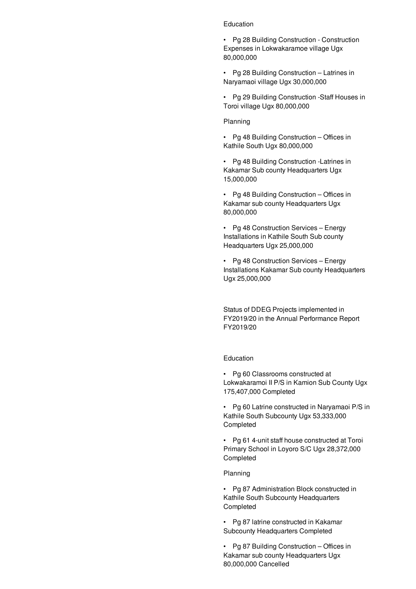### Education

• Pg 28 Building Construction - Construction Expenses in Lokwakaramoe village Ugx 80,000,000

• Pg 28 Building Construction – Latrines in Naryamaoi village Ugx 30,000,000

• Pg 29 Building Construction -Staff Houses in Toroi village Ugx 80,000,000

#### Planning

• Pg 48 Building Construction – Offices in Kathile South Ugx 80,000,000

• Pg 48 Building Construction -Latrines in Kakamar Sub county Headquarters Ugx 15,000,000

• Pg 48 Building Construction – Offices in Kakamar sub county Headquarters Ugx 80,000,000

• Pg 48 Construction Services – Energy Installations in Kathile South Sub county Headquarters Ugx 25,000,000

• Pg 48 Construction Services – Energy Installations Kakamar Sub county Headquarters Ugx 25,000,000

Status of DDEG Projects implemented in FY2019/20 in the Annual Performance Report FY2019/20

## Education

• Pg 60 Classrooms constructed at Lokwakaramoi II P/S in Kamion Sub County Ugx 175,407,000 Completed

• Pg 60 Latrine constructed in Naryamaoi P/S in Kathile South Subcounty Ugx 53,333,000 Completed

• Pg 61 4-unit staff house constructed at Toroi Primary School in Loyoro S/C Ugx 28,372,000 Completed

#### Planning

• Pg 87 Administration Block constructed in Kathile South Subcounty Headquarters Completed

• Pg 87 latrine constructed in Kakamar Subcounty Headquarters Completed

• Pg 87 Building Construction – Offices in Kakamar sub county Headquarters Ugx 80,000,000 Cancelled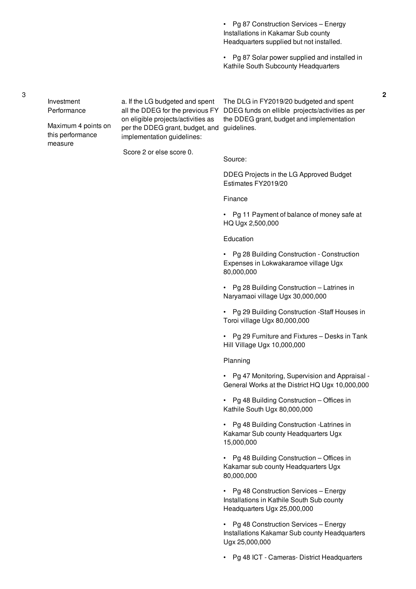• Pg 87 Construction Services – Energy Installations in Kakamar Sub county Headquarters supplied but not installed.

• Pg 87 Solar power supplied and installed in Kathile South Subcounty Headquarters

**2**

Investment Performance a. If the LG budgeted and spent all the DDEG for the previous FY DDEG funds on ellible projects/activities as per on eligible projects/activities as The DLG in FY2019/20 budgeted and spent

per the DDEG grant, budget, and guidelines. implementation guidelines: the DDEG grant, budget and implementation

Score 2 or else score 0.

DDEG Projects in the LG Approved Budget Estimates FY2019/20

Finance

Source:

• Pg 11 Payment of balance of money safe at HQ Ugx 2,500,000

#### Education

• Pg 28 Building Construction - Construction Expenses in Lokwakaramoe village Ugx 80,000,000

• Pg 28 Building Construction – Latrines in Naryamaoi village Ugx 30,000,000

• Pg 29 Building Construction -Staff Houses in Toroi village Ugx 80,000,000

• Pg 29 Furniture and Fixtures – Desks in Tank Hill Village Ugx 10,000,000

Planning

• Pg 47 Monitoring, Supervision and Appraisal - General Works at the District HQ Ugx 10,000,000

• Pg 48 Building Construction – Offices in Kathile South Ugx 80,000,000

• Pg 48 Building Construction -Latrines in Kakamar Sub county Headquarters Ugx 15,000,000

• Pg 48 Building Construction – Offices in Kakamar sub county Headquarters Ugx 80,000,000

• Pg 48 Construction Services – Energy Installations in Kathile South Sub county Headquarters Ugx 25,000,000

• Pg 48 Construction Services – Energy Installations Kakamar Sub county Headquarters Ugx 25,000,000

• Pg 48 ICT - Cameras- District Headquarters

3

Maximum 4 points on this performance measure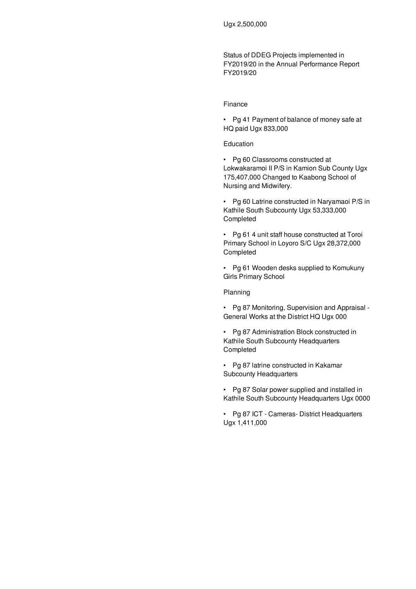Status of DDEG Projects implemented in FY2019/20 in the Annual Performance Report FY2019/20

#### Finance

• Pg 41 Payment of balance of money safe at HQ paid Ugx 833,000

### Education

• Pg 60 Classrooms constructed at Lokwakaramoi II P/S in Kamion Sub County Ugx 175,407,000 Changed to Kaabong School of Nursing and Midwifery.

• Pg 60 Latrine constructed in Naryamaoi P/S in Kathile South Subcounty Ugx 53,333,000 Completed

• Pg 61 4 unit staff house constructed at Toroi Primary School in Loyoro S/C Ugx 28,372,000 Completed

• Pg 61 Wooden desks supplied to Komukuny Girls Primary School

Planning

• Pg 87 Monitoring, Supervision and Appraisal - General Works at the District HQ Ugx 000

• Pg 87 Administration Block constructed in Kathile South Subcounty Headquarters Completed

• Pg 87 latrine constructed in Kakamar Subcounty Headquarters

• Pg 87 Solar power supplied and installed in Kathile South Subcounty Headquarters Ugx 0000

• Pg 87 ICT - Cameras- District Headquarters Ugx 1,411,000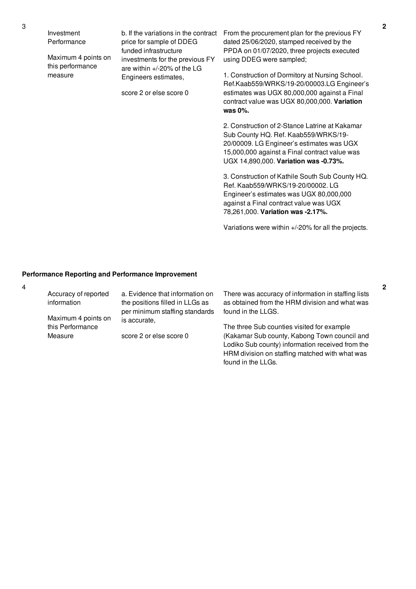score 2 or else score 0

b. If the variations in the contract From the procurement plan for the previous FY dated 25/06/2020, stamped received by the PPDA on 01/07/2020, three projects executed using DDEG were sampled;

> 1. Construction of Dormitory at Nursing School. Ref.Kaab559/WRKS/19-20/00003.LG Engineer's estimates was UGX 80,000,000 against a Final contract value was UGX 80,000,000. **Variation was 0%.**

2. Construction of 2-Stance Latrine at Kakamar Sub County HQ. Ref. Kaab559/WRKS/19- 20/00009. LG Engineer's estimates was UGX 15,000,000 against a Final contract value was UGX 14,890,000. **Variation was -0.73%.**

3. Construction of Kathile South Sub County HQ. Ref. Kaab559/WRKS/19-20/00002. LG Engineer's estimates was UGX 80,000,000 against a Final contract value was UGX 78,261,000. **Variation was -2.17%.**

Variations were within +/-20% for all the projects.

HRM division on staffing matched with what was

found in the LLGs.

#### **Performance Reporting and Performance Improvement**

| Accuracy of reported<br>information | a. Evidence that information on<br>the positions filled in LLGs as | There was accuracy of information in staffing lists<br>as obtained from the HRM division and what was |
|-------------------------------------|--------------------------------------------------------------------|-------------------------------------------------------------------------------------------------------|
| Maximum 4 points on                 | per minimum staffing standards<br>is accurate,                     | found in the LLGS.                                                                                    |
| this Performance                    |                                                                    | The three Sub counties visited for example                                                            |
| Measure                             | score 2 or else score 0                                            | (Kakamar Sub county, Kabong Town council and<br>Lodiko Sub county) information received from the      |

4

Investment

measure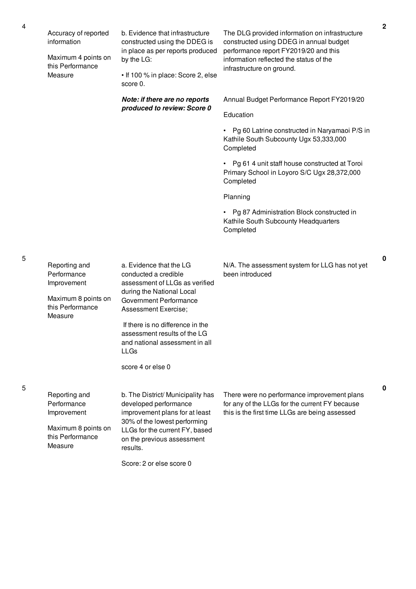| Accuracy of reported<br>information<br>Maximum 4 points on<br>this Performance<br>Measure         | b. Evidence that infrastructure<br>constructed using the DDEG is<br>in place as per reports produced<br>by the LG:<br>• If 100 % in place: Score 2, else<br>score 0.                                     | The DLG provided information on infrastructure<br>constructed using DDEG in annual budget<br>performance report FY2019/20 and this<br>information reflected the status of the<br>infrastructure on ground. |
|---------------------------------------------------------------------------------------------------|----------------------------------------------------------------------------------------------------------------------------------------------------------------------------------------------------------|------------------------------------------------------------------------------------------------------------------------------------------------------------------------------------------------------------|
|                                                                                                   | Note: if there are no reports                                                                                                                                                                            | Annual Budget Performance Report FY2019/20                                                                                                                                                                 |
|                                                                                                   | produced to review: Score 0                                                                                                                                                                              | Education                                                                                                                                                                                                  |
|                                                                                                   |                                                                                                                                                                                                          | • Pg 60 Latrine constructed in Naryamaoi P/S in<br>Kathile South Subcounty Ugx 53,333,000<br>Completed                                                                                                     |
|                                                                                                   |                                                                                                                                                                                                          | • Pg 61 4 unit staff house constructed at Toroi<br>Primary School in Loyoro S/C Ugx 28,372,000<br>Completed                                                                                                |
|                                                                                                   |                                                                                                                                                                                                          | Planning                                                                                                                                                                                                   |
|                                                                                                   |                                                                                                                                                                                                          | • Pg 87 Administration Block constructed in<br>Kathile South Subcounty Headquarters<br>Completed                                                                                                           |
| Reporting and<br>Performance<br>Improvement<br>Maximum 8 points on<br>this Performance<br>Measure | a. Evidence that the LG<br>conducted a credible<br>assessment of LLGs as verified<br>during the National Local<br>Government Performance<br>Assessment Exercise;                                         | N/A. The assessment system for LLG has not yet<br>been introduced                                                                                                                                          |
|                                                                                                   | If there is no difference in the<br>assessment results of the LG<br>and national assessment in all<br><b>LLGs</b>                                                                                        |                                                                                                                                                                                                            |
|                                                                                                   | score 4 or else 0                                                                                                                                                                                        |                                                                                                                                                                                                            |
| Reporting and<br>Performance<br>Improvement<br>Maximum 8 points on<br>this Performance<br>Measure | b. The District/ Municipality has<br>developed performance<br>improvement plans for at least<br>30% of the lowest performing<br>LLGs for the current FY, based<br>on the previous assessment<br>results. | There were no performance improvement plans<br>for any of the LLGs for the current FY because<br>this is the first time LLGs are being assessed                                                            |
|                                                                                                   | Score: 2 or else score 0                                                                                                                                                                                 |                                                                                                                                                                                                            |

5

**0**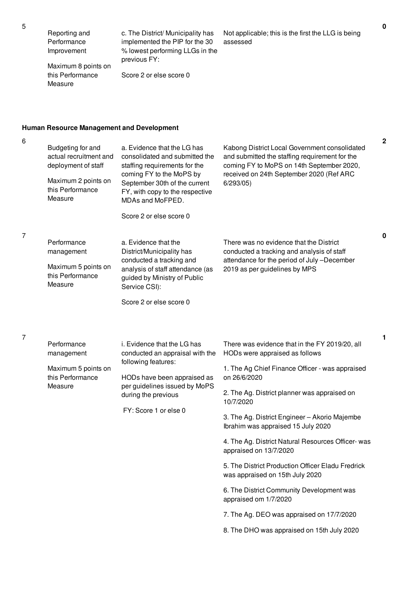| Reporting and | c. The Di |
|---------------|-----------|
| Performance   | implemer  |

istrict/ Municipality has nted the PIP for the 30 % lowest performing LLGs in the previous FY:

Maximum 8 points on this Performance Measure

Improvement

Score 2 or else score 0

# **Human Resource Management and Development**

6

7

7

| Budgeting for and<br>actual recruitment and<br>deployment of staff<br>Maximum 2 points on<br>this Performance<br>Measure | a. Evidence that the LG has<br>consolidated and submitted the<br>staffing requirements for the<br>coming FY to the MoPS by<br>September 30th of the current<br>FY, with copy to the respective<br>MDAs and MoFPED.<br>Score 2 or else score 0 | Kabong District Local Government consolidated<br>and submitted the staffing requirement for the<br>coming FY to MoPS on 14th September 2020,<br>received on 24th September 2020 (Ref ARC<br>6/293/05                                                                                                                                                                                                                                                                                                                                                                                               | $\mathbf{2}$ |
|--------------------------------------------------------------------------------------------------------------------------|-----------------------------------------------------------------------------------------------------------------------------------------------------------------------------------------------------------------------------------------------|----------------------------------------------------------------------------------------------------------------------------------------------------------------------------------------------------------------------------------------------------------------------------------------------------------------------------------------------------------------------------------------------------------------------------------------------------------------------------------------------------------------------------------------------------------------------------------------------------|--------------|
| Performance<br>management<br>Maximum 5 points on<br>this Performance<br>Measure                                          | a. Evidence that the<br>District/Municipality has<br>conducted a tracking and<br>analysis of staff attendance (as<br>guided by Ministry of Public<br>Service CSI):<br>Score 2 or else score 0                                                 | There was no evidence that the District<br>conducted a tracking and analysis of staff<br>attendance for the period of July-December<br>2019 as per guidelines by MPS                                                                                                                                                                                                                                                                                                                                                                                                                               | $\mathbf 0$  |
| Performance<br>management<br>Maximum 5 points on<br>this Performance<br>Measure                                          | i. Evidence that the LG has<br>conducted an appraisal with the<br>following features:<br>HODs have been appraised as<br>per guidelines issued by MoPS<br>during the previous<br>FY: Score 1 or else 0                                         | There was evidence that in the FY 2019/20, all<br>HODs were appraised as follows<br>1. The Ag Chief Finance Officer - was appraised<br>on 26/6/2020<br>2. The Ag. District planner was appraised on<br>10/7/2020<br>3. The Ag. District Engineer - Akorio Majembe<br>Ibrahim was appraised 15 July 2020<br>4. The Ag. District Natural Resources Officer- was<br>appraised on 13/7/2020<br>5. The District Production Officer Eladu Fredrick<br>was appraised on 15th July 2020<br>6. The District Community Development was<br>appraised om 1/7/2020<br>7. The Ag. DEO was appraised on 17/7/2020 | $\mathbf{1}$ |

Not applicable; this is the first the LLG is being

8. The DHO was appraised on 15th July 2020

assessed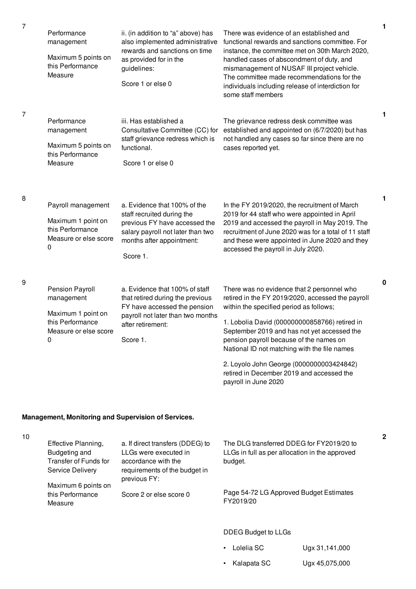| Performance<br>management<br>Maximum 5 points on<br>this Performance<br>Measure                       | ii. (in addition to "a" above) has<br>also implemented administrative<br>rewards and sanctions on time<br>as provided for in the<br>guidelines:<br>Score 1 or else 0      | There was evidence of an established and<br>functional rewards and sanctions committee. For<br>instance, the committee met on 30th March 2020,<br>handled cases of abscondment of duty, and<br>mismanagement of NUSAF III project vehicle.<br>The committee made recommendations for the<br>individuals including release of interdiction for<br>some staff members                                                                                    |
|-------------------------------------------------------------------------------------------------------|---------------------------------------------------------------------------------------------------------------------------------------------------------------------------|--------------------------------------------------------------------------------------------------------------------------------------------------------------------------------------------------------------------------------------------------------------------------------------------------------------------------------------------------------------------------------------------------------------------------------------------------------|
| Performance<br>management<br>Maximum 5 points on<br>this Performance<br>Measure                       | iii. Has established a<br>Consultative Committee (CC) for<br>staff grievance redress which is<br>functional.<br>Score 1 or else 0                                         | The grievance redress desk committee was<br>established and appointed on (6/7/2020) but has<br>not handled any cases so far since there are no<br>cases reported yet.                                                                                                                                                                                                                                                                                  |
| Payroll management<br>Maximum 1 point on<br>this Performance<br>Measure or else score<br>0            | a. Evidence that 100% of the<br>staff recruited during the<br>previous FY have accessed the<br>salary payroll not later than two<br>months after appointment:<br>Score 1. | In the FY 2019/2020, the recruitment of March<br>2019 for 44 staff who were appointed in April<br>2019 and accessed the payroll in May 2019. The<br>recruitment of June 2020 was for a total of 11 staff<br>and these were appointed in June 2020 and they<br>accessed the payroll in July 2020.                                                                                                                                                       |
| Pension Payroll<br>management<br>Maximum 1 point on<br>this Performance<br>Measure or else score<br>0 | a. Evidence that 100% of staff<br>that retired during the previous<br>FY have accessed the pension<br>payroll not later than two months<br>after retirement:<br>Score 1.  | There was no evidence that 2 personnel who<br>retired in the FY 2019/2020, accessed the payroll<br>within the specified period as follows;<br>1. Lobolia David (000000000858766) retired in<br>September 2019 and has not yet accessed the<br>pension payroll because of the names on<br>National ID not matching with the file names<br>2. Loyolo John George (0000000003424842)<br>retired in December 2019 and accessed the<br>payroll in June 2020 |

# **Management, Monitoring and Supervision of Services.**

7

7

8

9

| 10 | Effective Planning,<br>Budgeting and<br>Transfer of Funds for<br>Service Delivery<br>Maximum 6 points on | a. If direct transfers (DDEG) to<br>LLGs were executed in<br>accordance with the<br>requirements of the budget in<br>previous FY: | The DLG transferred DDEG for FY2019/20 to<br>LLGs in full as per allocation in the approved<br>budget. |
|----|----------------------------------------------------------------------------------------------------------|-----------------------------------------------------------------------------------------------------------------------------------|--------------------------------------------------------------------------------------------------------|
|    | this Performance<br>Measure                                                                              | Score 2 or else score 0                                                                                                           | Page 54-72 LG Approved Budget Estimates<br>FY2019/20                                                   |
|    |                                                                                                          |                                                                                                                                   | DDEG Budget to LLGs                                                                                    |

• Lolelia SC Ugx 31,141,000

• Kalapata SC Ugx 45,075,000

**1**

**1**

**1**

**0**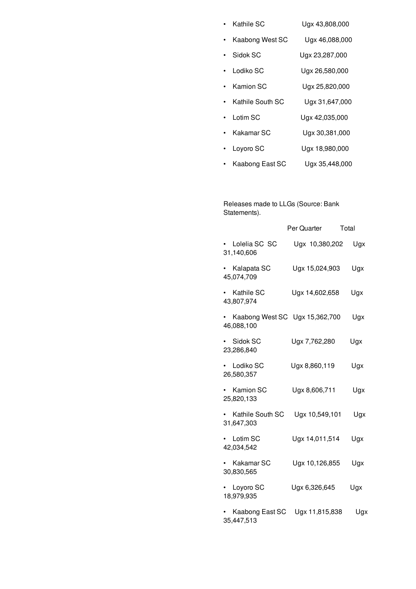|  | Kathile SC | Ugx 43,808,000 |
|--|------------|----------------|
|--|------------|----------------|

- Kaabong West SC Ugx 46,088,000
- Sidok SC Ugx 23,287,000
- Lodiko SC Ugx 26,580,000
- Kamion SC Ugx 25,820,000
- Kathile South SC Ugx 31,647,000
- Lotim SC Ugx 42,035,000
- Kakamar SC Ugx 30,381,000
- Loyoro SC Ugx 18,980,000
- Kaabong East SC Ugx 35,448,000

Releases made to LLGs (Source: Bank Statements).

|                                       | Per Quarter                    | Total |
|---------------------------------------|--------------------------------|-------|
| • Lolelia SC SC<br>31,140,606         | Ugx 10,380,202                 | Ugx   |
| Kalapata SC<br>45,074,709             | Ugx 15,024,903                 | Ugx   |
| Kathile SC<br>$\bullet$<br>43,807,974 | Ugx 14,602,658                 | Ugx   |
| 46,088,100                            | Kaabong West SC Ugx 15,362,700 | Ugx   |
| · Sidok SC<br>23,286,840              | Ugx 7,762,280                  | Ugx   |
| • Lodiko SC<br>26,580,357             | Ugx 8,860,119                  | Ugx   |
| • Kamion SC<br>25,820,133             | Ugx 8,606,711                  | Ugx   |
| Kathile South SC<br>31,647,303        | Ugx 10,549,101                 | Ugx   |
| Lotim SC<br>42,034,542                | Ugx 14,011,514                 | Ugx   |
| Kakamar SC<br>30,830,565              | Ugx 10,126,855                 | Ugx   |
| Loyoro SC<br>18,979,935               | Ugx 6,326,645                  | Ugx   |
| Kaabong East SC<br>35,447,513         | Ugx 11,815,838                 | Ugx   |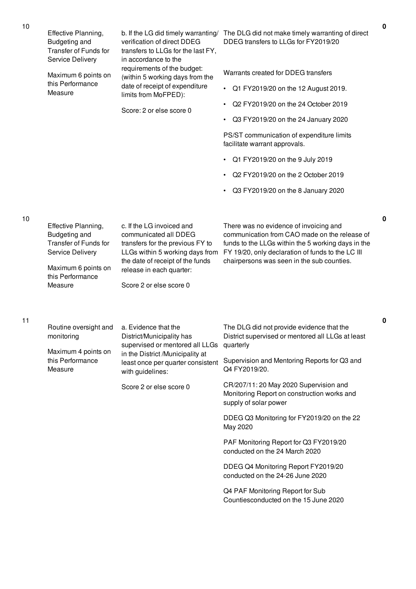| 10 | Effective Planning,<br>Budgeting and<br><b>Transfer of Funds for</b><br>Service Delivery<br>Maximum 6 points on<br>this Performance<br>Measure | verification of direct DDEG<br>transfers to LLGs for the last FY,<br>in accordance to the<br>requirements of the budget:<br>(within 5 working days from the<br>date of receipt of expenditure<br>limits from MoFPED):<br>Score: 2 or else score 0 | b. If the LG did timely warranting/ The DLG did not make timely warranting of direct<br>DDEG transfers to LLGs for FY2019/20<br>Warrants created for DDEG transfers<br>Q1 FY2019/20 on the 12 August 2019.<br>$\bullet$<br>Q2 FY2019/20 on the 24 October 2019<br>$\bullet$<br>Q3 FY2019/20 on the 24 January 2020<br>$\bullet$<br>PS/ST communication of expenditure limits<br>facilitate warrant approvals.<br>• Q1 FY2019/20 on the 9 July 2019<br>Q2 FY2019/20 on the 2 October 2019<br>$\bullet$<br>Q3 FY2019/20 on the 8 January 2020<br>$\bullet$                                     | $\mathbf 0$ |
|----|------------------------------------------------------------------------------------------------------------------------------------------------|---------------------------------------------------------------------------------------------------------------------------------------------------------------------------------------------------------------------------------------------------|----------------------------------------------------------------------------------------------------------------------------------------------------------------------------------------------------------------------------------------------------------------------------------------------------------------------------------------------------------------------------------------------------------------------------------------------------------------------------------------------------------------------------------------------------------------------------------------------|-------------|
| 10 | Effective Planning,<br>Budgeting and<br><b>Transfer of Funds for</b><br>Service Delivery<br>Maximum 6 points on<br>this Performance<br>Measure | c. If the LG invoiced and<br>communicated all DDEG<br>transfers for the previous FY to<br>LLGs within 5 working days from<br>the date of receipt of the funds<br>release in each quarter:<br>Score 2 or else score 0                              | There was no evidence of invoicing and<br>communication from CAO made on the release of<br>funds to the LLGs within the 5 working days in the<br>FY 19/20, only declaration of funds to the LC III<br>chairpersons was seen in the sub counties.                                                                                                                                                                                                                                                                                                                                             | 0           |
| 11 | Routine oversight and<br>monitoring<br>Maximum 4 points on<br>this Performance<br>Measure                                                      | a. Evidence that the<br>District/Municipality has<br>supervised or mentored all LLGs<br>in the District /Municipality at<br>least once per quarter consistent<br>with guidelines:<br>Score 2 or else score 0                                      | The DLG did not provide evidence that the<br>District supervised or mentored all LLGs at least<br>quarterly<br>Supervision and Mentoring Reports for Q3 and<br>Q4 FY2019/20.<br>CR/207/11: 20 May 2020 Supervision and<br>Monitoring Report on construction works and<br>supply of solar power<br>DDEG Q3 Monitoring for FY2019/20 on the 22<br>May 2020<br>PAF Monitoring Report for Q3 FY2019/20<br>conducted on the 24 March 2020<br>DDEG Q4 Monitoring Report FY2019/20<br>conducted on the 24-26 June 2020<br>Q4 PAF Monitoring Report for Sub<br>Countiesconducted on the 15 June 2020 | 0           |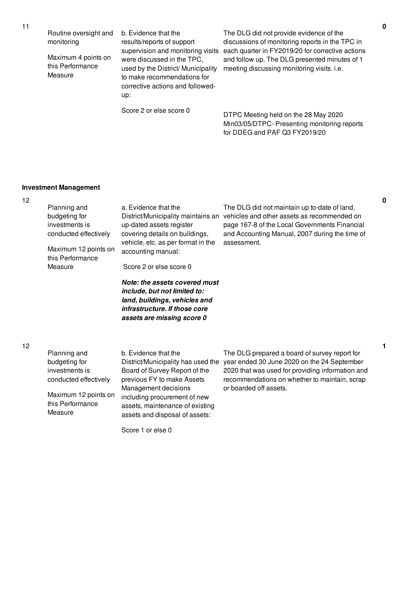Routine oversight and monitoring

Maximum 4 points on this Performance Measure

b. Evidence that the results/reports of support were discussed in the TPC, used by the District/ Municipality to make recommendations for corrective actions and followedup:

supervision and monitoring visits each quarter in FY2019/20 for corrective actions The DLG did not provide evidence of the discussions of monitoring reports in the TPC in and follow up. The DLG presented minutes of 1 meeting discussing monitoring visits. i.e.

Score 2 or else score 0

DTPC Meeting held on the 28 May 2020 Min03/05/DTPC- Presenting monitoring reports for DDEG and PAF Q3 FY2019/20

# **Investment Management**

| 12 | Planning and<br>budgeting for<br>investments is<br>conducted effectively<br>Maximum 12 points on<br>this Performance<br>Measure | a. Evidence that the<br>District/Municipality maintains an<br>up-dated assets register<br>covering details on buildings,<br>vehicle, etc. as per format in the<br>accounting manual:<br>Score 2 or else score 0<br>Note: the assets covered must<br>include, but not limited to:<br>land, buildings, vehicles and<br>infrastructure. If those core<br>assets are missing score 0 | The DLG did not maintain up to-date of land,<br>vehicles and other assets as recommended on<br>page 167-8 of the Local Governments Financial<br>and Accounting Manual, 2007 during the time of<br>assessment.               |
|----|---------------------------------------------------------------------------------------------------------------------------------|----------------------------------------------------------------------------------------------------------------------------------------------------------------------------------------------------------------------------------------------------------------------------------------------------------------------------------------------------------------------------------|-----------------------------------------------------------------------------------------------------------------------------------------------------------------------------------------------------------------------------|
| 12 | Planning and<br>budgeting for<br>investments is<br>conducted effectively<br>Maximum 12 points on<br>this Performance<br>Measure | b. Evidence that the<br>District/Municipality has used the<br>Board of Survey Report of the<br>previous FY to make Assets<br>Management decisions<br>including procurement of new<br>assets, maintenance of existing<br>assets and disposal of assets:                                                                                                                           | The DLG prepared a board of survey report for<br>year ended 30 June 2020 on the 24 September<br>2020 that was used for providing information and<br>recommendations on whether to maintain, scrap<br>or boarded off assets. |

Score 1 or else 0

**0**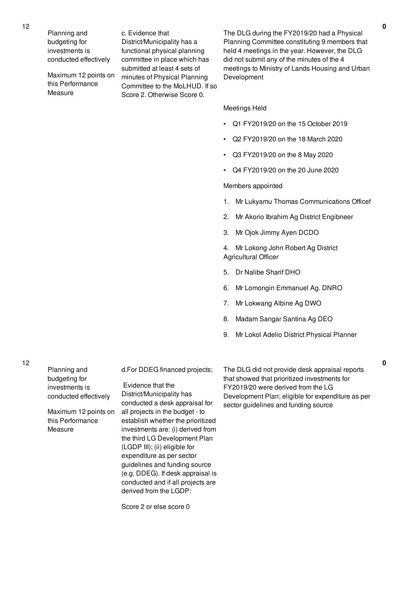Planning and budgeting for investments is conducted effectively

Maximum 12 points on this Performance Measure

c. Evidence that District/Municipality has a functional physical planning committee in place which has submitted at least 4 sets of minutes of Physical Planning Committee to the MoLHUD. If so Score 2. Otherwise Score 0.

The DLG during the FY2019/20 had a Physical Planning Committee constituting 9 members that held 4 meetings in the year. However, the DLG did not submit any of the minutes of the 4 meetings to Ministry of Lands Housing and Urban Development

#### Meetings Held

- Q1 FY2019/20 on the 15 October 2019
- Q2 FY2019/20 on the 18 March 2020
- Q3 FY2019/20 on the 8 May 2020
- Q4 FY2019/20 on the 20 June 2020

#### Members appointed

- 1. Mr Lukyamu Thomas Communications Officef
- 2. Mr Akorio Ibrahim Ag District Engibneer
- 3. Mr Ojok Jimmy Ayen DCDO

4. Mr Lokong John Robert Ag District Agricultural Officer

- 5. Dr Nalibe Sharif DHO
- 6. Mr Lomongin Emmanuel Ag. DNRO
- 7. Mr Lokwang Albine Ag DWO
- 8. Madam Sangar Santina Ag DEO
- 9. Mr Lokol Adelio District Physical Planner

Planning and budgeting for investments is conducted effectively Maximum 12 points on this Performance Measure

12

d.For DDEG financed projects;

Evidence that the District/Municipality has conducted a desk appraisal for all projects in the budget - to establish whether the prioritized investments are: (i) derived from the third LG Development Plan (LGDP III); (ii) eligible for expenditure as per sector guidelines and funding source (e.g. DDEG). If desk appraisal is conducted and if all projects are derived from the LGDP:

Score 2 or else score 0

The DLG did not provide desk appraisal reports that showed that prioritized investments for FY2019/20 were derived from the LG Development Plan; eligible for expenditure as per sector guidelines and funding source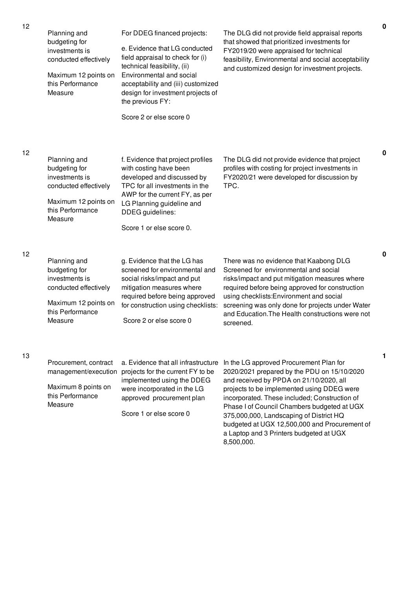| 12 | Planning and<br>budgeting for<br>investments is<br>conducted effectively<br>Maximum 12 points on<br>this Performance<br>Measure | For DDEG financed projects:<br>e. Evidence that LG conducted<br>field appraisal to check for (i)<br>technical feasibility, (ii)<br>Environmental and social<br>acceptability and (iii) customized<br>design for investment projects of<br>the previous FY:<br>Score 2 or else score 0 | The DLG did not provide field appraisal reports<br>that showed that prioritized investments for<br>FY2019/20 were appraised for technical<br>feasibility, Environmental and social acceptability<br>and customized design for investment projects.                                                                                                                                                                     | $\mathbf 0$ |
|----|---------------------------------------------------------------------------------------------------------------------------------|---------------------------------------------------------------------------------------------------------------------------------------------------------------------------------------------------------------------------------------------------------------------------------------|------------------------------------------------------------------------------------------------------------------------------------------------------------------------------------------------------------------------------------------------------------------------------------------------------------------------------------------------------------------------------------------------------------------------|-------------|
| 12 | Planning and<br>budgeting for<br>investments is<br>conducted effectively<br>Maximum 12 points on<br>this Performance<br>Measure | f. Evidence that project profiles<br>with costing have been<br>developed and discussed by<br>TPC for all investments in the<br>AWP for the current FY, as per<br>LG Planning guideline and<br>DDEG guidelines:<br>Score 1 or else score 0.                                            | The DLG did not provide evidence that project<br>profiles with costing for project investments in<br>FY2020/21 were developed for discussion by<br>TPC.                                                                                                                                                                                                                                                                | 0           |
| 12 | Planning and<br>budgeting for<br>investments is<br>conducted effectively<br>Maximum 12 points on<br>this Performance<br>Measure | g. Evidence that the LG has<br>screened for environmental and<br>social risks/impact and put<br>mitigation measures where<br>required before being approved<br>for construction using checklists:<br>Score 2 or else score 0                                                          | There was no evidence that Kaabong DLG<br>Screened for environmental and social<br>risks/impact and put mitigation measures where<br>required before being approved for construction<br>using checklists: Environment and social<br>screening was only done for projects under Water<br>and Education. The Health constructions were not<br>screened.                                                                  | $\mathbf 0$ |
| 13 | Procurement, contract<br>management/execution<br>Maximum 8 points on<br>this Performance<br>Measure                             | a. Evidence that all infrastructure<br>projects for the current FY to be<br>implemented using the DDEG<br>were incorporated in the LG<br>approved procurement plan<br>Score 1 or else score 0                                                                                         | In the LG approved Procurement Plan for<br>2020/2021 prepared by the PDU on 15/10/2020<br>and received by PPDA on 21/10/2020, all<br>projects to be implemented using DDEG were<br>incorporated. These included; Construction of<br>Phase I of Council Chambers budgeted at UGX<br>375,000,000, Landscaping of District HQ<br>budgeted at UGX 12,500,000 and Procurement of<br>a Laptop and 3 Printers budgeted at UGX | 1           |

8,500,000.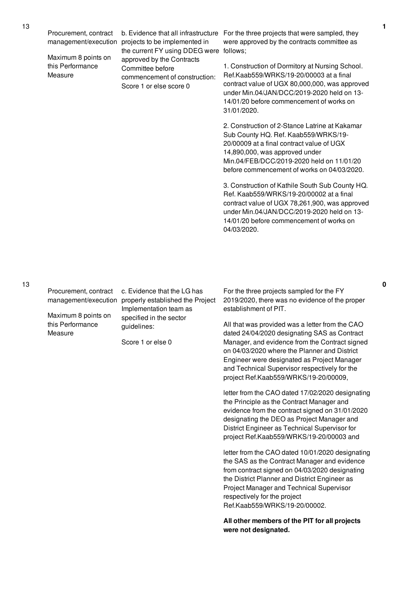Maximum 8 points on this Performance Measure

management/execution projects to be implemented in the current FY using DDEG were follows; approved by the Contracts Committee before commencement of construction: Score 1 or else score 0

b. Evidence that all infrastructure For the three projects that were sampled, they were approved by the contracts committee as

> 1. Construction of Dormitory at Nursing School. Ref.Kaab559/WRKS/19-20/00003 at a final contract value of UGX 80,000,000, was approved under Min.04/JAN/DCC/2019-2020 held on 13- 14/01/20 before commencement of works on 31/01/2020.

2. Construction of 2-Stance Latrine at Kakamar Sub County HQ. Ref. Kaab559/WRKS/19- 20/00009 at a final contract value of UGX 14,890,000, was approved under Min.04/FEB/DCC/2019-2020 held on 11/01/20 before commencement of works on 04/03/2020.

3. Construction of Kathile South Sub County HQ. Ref. Kaab559/WRKS/19-20/00002 at a final contract value of UGX 78,261,900, was approved under Min.04/JAN/DCC/2019-2020 held on 13- 14/01/20 before commencement of works on 04/03/2020.

13

Procurement, contract

Maximum 8 points on this Performance Measure

management/execution properly established the Project c. Evidence that the LG has Implementation team as specified in the sector guidelines:

Score 1 or else 0

For the three projects sampled for the FY 2019/2020, there was no evidence of the proper establishment of PIT.

All that was provided was a letter from the CAO dated 24/04/2020 designating SAS as Contract Manager, and evidence from the Contract signed on 04/03/2020 where the Planner and District Engineer were designated as Project Manager and Technical Supervisor respectively for the project Ref.Kaab559/WRKS/19-20/00009,

letter from the CAO dated 17/02/2020 designating the Principle as the Contract Manager and evidence from the contract signed on 31/01/2020 designating the DEO as Project Manager and District Engineer as Technical Supervisor for project Ref.Kaab559/WRKS/19-20/00003 and

letter from the CAO dated 10/01/2020 designating the SAS as the Contract Manager and evidence from contract signed on 04/03/2020 designating the District Planner and District Engineer as Project Manager and Technical Supervisor respectively for the project Ref.Kaab559/WRKS/19-20/00002.

**All other members of the PIT for all projects were not designated.**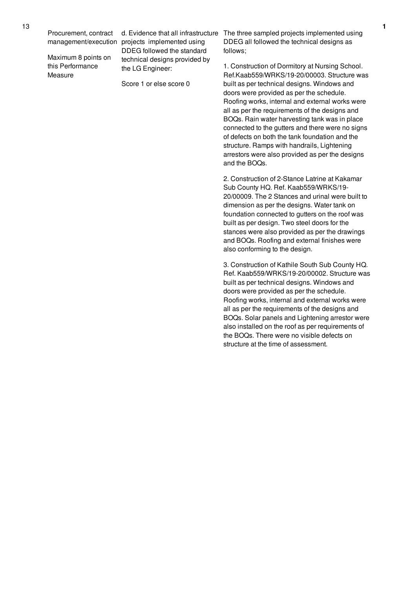Maximum 8 points on this Performance Measure

management/execution projects implemented using DDEG followed the standard technical designs provided by the LG Engineer:

Score 1 or else score 0

d. Evidence that all infrastructure The three sampled projects implemented using DDEG all followed the technical designs as follows;

> 1. Construction of Dormitory at Nursing School. Ref.Kaab559/WRKS/19-20/00003. Structure was built as per technical designs. Windows and doors were provided as per the schedule. Roofing works, internal and external works were all as per the requirements of the designs and BOQs. Rain water harvesting tank was in place connected to the gutters and there were no signs of defects on both the tank foundation and the structure. Ramps with handrails, Lightening arrestors were also provided as per the designs and the BOQs.

2. Construction of 2-Stance Latrine at Kakamar Sub County HQ. Ref. Kaab559/WRKS/19- 20/00009. The 2 Stances and urinal were built to dimension as per the designs. Water tank on foundation connected to gutters on the roof was built as per design. Two steel doors for the stances were also provided as per the drawings and BOQs. Roofing and external finishes were also conforming to the design.

3. Construction of Kathile South Sub County HQ. Ref. Kaab559/WRKS/19-20/00002. Structure was built as per technical designs. Windows and doors were provided as per the schedule. Roofing works, internal and external works were all as per the requirements of the designs and BOQs. Solar panels and Lightening arrestor were also installed on the roof as per requirements of the BOQs. There were no visible defects on structure at the time of assessment.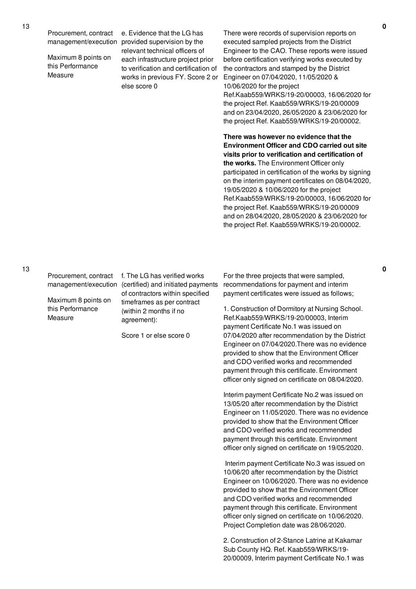Maximum 8 points on this Performance Measure

management/execution provided supervision by the e. Evidence that the LG has relevant technical officers of each infrastructure project prior to verification and certification of works in previous FY. Score 2 or else score 0

There were records of supervision reports on executed sampled projects from the District Engineer to the CAO. These reports were issued before certification verifying works executed by the contractors and stamped by the District Engineer on 07/04/2020, 11/05/2020 & 10/06/2020 for the project Ref.Kaab559/WRKS/19-20/00003, 16/06/2020 for

the project Ref. Kaab559/WRKS/19-20/00009 and on 23/04/2020, 26/05/2020 & 23/06/2020 for the project Ref. Kaab559/WRKS/19-20/00002.

**There was however no evidence that the Environment Officer and CDO carried out site visits prior to verification and certification of the works.** The Environment Officer only participated in certification of the works by signing on the interim payment certificates on 08/04/2020, 19/05/2020 & 10/06/2020 for the project Ref.Kaab559/WRKS/19-20/00003, 16/06/2020 for the project Ref. Kaab559/WRKS/19-20/00009 and on 28/04/2020, 28/05/2020 & 23/06/2020 for the project Ref. Kaab559/WRKS/19-20/00002.

Maximum 8 points on this Performance Measure

Procurement, contract f. The LG has verified works management/execution (certified) and initiated payments of contractors within specified timeframes as per contract (within 2 months if no agreement):

Score 1 or else score 0

For the three projects that were sampled, recommendations for payment and interim payment certificates were issued as follows;

1. Construction of Dormitory at Nursing School. Ref.Kaab559/WRKS/19-20/00003, Interim payment Certificate No.1 was issued on 07/04/2020 after recommendation by the District Engineer on 07/04/2020.There was no evidence provided to show that the Environment Officer and CDO verified works and recommended payment through this certificate. Environment officer only signed on certificate on 08/04/2020.

Interim payment Certificate No.2 was issued on 13/05/20 after recommendation by the District Engineer on 11/05/2020. There was no evidence provided to show that the Environment Officer and CDO verified works and recommended payment through this certificate. Environment officer only signed on certificate on 19/05/2020.

Interim payment Certificate No.3 was issued on 10/06/20 after recommendation by the District Engineer on 10/06/2020. There was no evidence provided to show that the Environment Officer and CDO verified works and recommended payment through this certificate. Environment officer only signed on certificate on 10/06/2020. Project Completion date was 28/06/2020.

2. Construction of 2-Stance Latrine at Kakamar Sub County HQ. Ref. Kaab559/WRKS/19- 20/00009, Interim payment Certificate No.1 was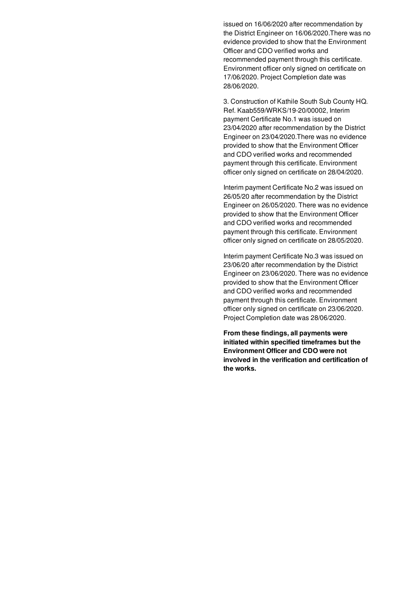issued on 16/06/2020 after recommendation by the District Engineer on 16/06/2020.There was no evidence provided to show that the Environment Officer and CDO verified works and recommended payment through this certificate. Environment officer only signed on certificate on 17/06/2020. Project Completion date was 28/06/2020.

3. Construction of Kathile South Sub County HQ. Ref. Kaab559/WRKS/19-20/00002, Interim payment Certificate No.1 was issued on 23/04/2020 after recommendation by the District Engineer on 23/04/2020.There was no evidence provided to show that the Environment Officer and CDO verified works and recommended payment through this certificate. Environment officer only signed on certificate on 28/04/2020.

Interim payment Certificate No.2 was issued on 26/05/20 after recommendation by the District Engineer on 26/05/2020. There was no evidence provided to show that the Environment Officer and CDO verified works and recommended payment through this certificate. Environment officer only signed on certificate on 28/05/2020.

Interim payment Certificate No.3 was issued on 23/06/20 after recommendation by the District Engineer on 23/06/2020. There was no evidence provided to show that the Environment Officer and CDO verified works and recommended payment through this certificate. Environment officer only signed on certificate on 23/06/2020. Project Completion date was 28/06/2020.

**From these findings, all payments were initiated within specified timeframes but the Environment Officer and CDO were not involved in the verification and certification of the works.**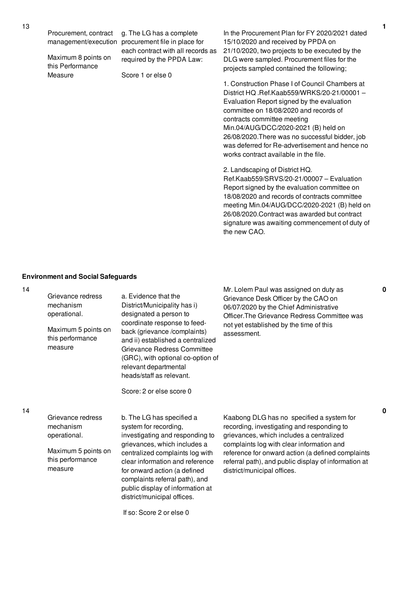Maximum 8 points on this Performance Measure

management/execution procurement file in place for g. The LG has a complete each contract with all records as required by the PPDA Law:

Score 1 or else 0

In the Procurement Plan for FY 2020/2021 dated 15/10/2020 and received by PPDA on 21/10/2020, two projects to be executed by the DLG were sampled. Procurement files for the projects sampled contained the following;

1. Construction Phase I of Council Chambers at District HQ .Ref.Kaab559/WRKS/20-21/00001 – Evaluation Report signed by the evaluation committee on 18/08/2020 and records of contracts committee meeting Min.04/AUG/DCC/2020-2021 (B) held on 26/08/2020.There was no successful bidder, job was deferred for Re-advertisement and hence no works contract available in the file.

2. Landscaping of District HQ. Ref.Kaab559/SRVS/20-21/00007 – Evaluation Report signed by the evaluation committee on 18/08/2020 and records of contracts committee meeting Min.04/AUG/DCC/2020-2021 (B) held on 26/08/2020.Contract was awarded but contract signature was awaiting commencement of duty of the new CAO.

#### **Environment and Social Safeguards**

14

| Grievance redress<br>mechanism<br>operational.<br>Maximum 5 points on<br>this performance<br>measure | a. Evidence that the<br>District/Municipality has i)<br>designated a person to<br>coordinate response to feed-<br>back (grievance /complaints)<br>and ii) established a centralized<br>Grievance Redress Committee<br>(GRC), with optional co-option of<br>relevant departmental<br>heads/staff as relevant.<br>Score: 2 or else score 0                     | Mr. Lolem Paul was assigned on duty as<br>Grievance Desk Officer by the CAO on<br>06/07/2020 by the Chief Administrative<br>Officer. The Grievance Redress Committee was<br>not yet established by the time of this<br>assessment.                                                                                           |
|------------------------------------------------------------------------------------------------------|--------------------------------------------------------------------------------------------------------------------------------------------------------------------------------------------------------------------------------------------------------------------------------------------------------------------------------------------------------------|------------------------------------------------------------------------------------------------------------------------------------------------------------------------------------------------------------------------------------------------------------------------------------------------------------------------------|
| Grievance redress<br>mechanism<br>operational.<br>Maximum 5 points on<br>this performance<br>measure | b. The LG has specified a<br>system for recording,<br>investigating and responding to<br>grievances, which includes a<br>centralized complaints log with<br>clear information and reference<br>for onward action (a defined<br>complaints referral path), and<br>public display of information at<br>district/municipal offices.<br>If so: Score 2 or else 0 | Kaabong DLG has no specified a system for<br>recording, investigating and responding to<br>grievances, which includes a centralized<br>complaints log with clear information and<br>reference for onward action (a defined complaints<br>referral path), and public display of information at<br>district/municipal offices. |

**0**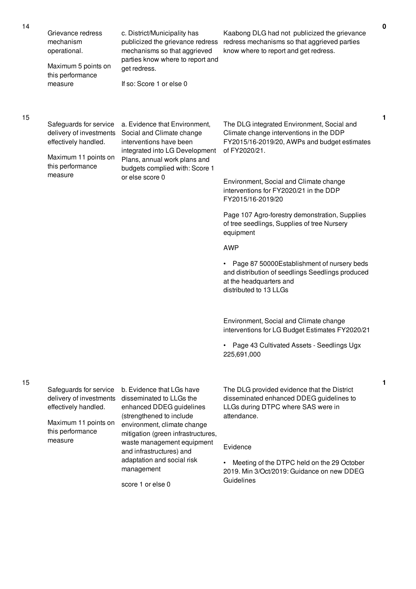| 14 | Grievance redress<br>mechanism<br>operational.<br>Maximum 5 points on<br>this performance<br>measure                             | c. District/Municipality has<br>publicized the grievance redress<br>mechanisms so that aggrieved<br>parties know where to report and<br>get redress.<br>If so: Score 1 or else 0                                 | Kaabong DLG had not publicized the grievance<br>redress mechanisms so that aggrieved parties<br>know where to report and get redress.                                                                                                                           | $\mathbf 0$ |
|----|----------------------------------------------------------------------------------------------------------------------------------|------------------------------------------------------------------------------------------------------------------------------------------------------------------------------------------------------------------|-----------------------------------------------------------------------------------------------------------------------------------------------------------------------------------------------------------------------------------------------------------------|-------------|
| 15 | Safeguards for service<br>delivery of investments<br>effectively handled.<br>Maximum 11 points on<br>this performance<br>measure | a. Evidence that Environment,<br>Social and Climate change<br>interventions have been<br>integrated into LG Development<br>Plans, annual work plans and<br>budgets complied with: Score 1<br>or else score 0     | The DLG integrated Environment, Social and<br>Climate change interventions in the DDP<br>FY2015/16-2019/20, AWPs and budget estimates<br>of FY2020/21.<br>Environment, Social and Climate change<br>interventions for FY2020/21 in the DDP<br>FY2015/16-2019/20 | 1           |
|    |                                                                                                                                  |                                                                                                                                                                                                                  | Page 107 Agro-forestry demonstration, Supplies<br>of tree seedlings, Supplies of tree Nursery<br>equipment                                                                                                                                                      |             |
|    |                                                                                                                                  |                                                                                                                                                                                                                  | <b>AWP</b>                                                                                                                                                                                                                                                      |             |
|    |                                                                                                                                  |                                                                                                                                                                                                                  | Page 87 50000Establishment of nursery beds<br>$\bullet$<br>and distribution of seedlings Seedlings produced<br>at the headquarters and<br>distributed to 13 LLGs                                                                                                |             |
|    |                                                                                                                                  |                                                                                                                                                                                                                  | Environment, Social and Climate change<br>interventions for LG Budget Estimates FY2020/21                                                                                                                                                                       |             |
|    |                                                                                                                                  |                                                                                                                                                                                                                  | Page 43 Cultivated Assets - Seedlings Ugx<br>225,691,000                                                                                                                                                                                                        |             |
| 15 | Safeguards for service<br>delivery of investments<br>effectively handled.<br>Maximum 11 points on<br>this performance<br>measure | b. Evidence that LGs have<br>disseminated to LLGs the<br>enhanced DDEG guidelines<br>(strengthened to include<br>environment, climate change<br>mitigation (green infrastructures,<br>waste management equipment | The DLG provided evidence that the District<br>disseminated enhanced DDEG guidelines to<br>LLGs during DTPC where SAS were in<br>attendance.<br>Evidence                                                                                                        | 1           |
|    |                                                                                                                                  | and infrastructures) and<br>adaptation and social risk<br>management<br>score 1 or else 0                                                                                                                        | Meeting of the DTPC held on the 29 October<br>2019. Min 3/Oct/2019: Guidance on new DDEG<br>Guidelines                                                                                                                                                          |             |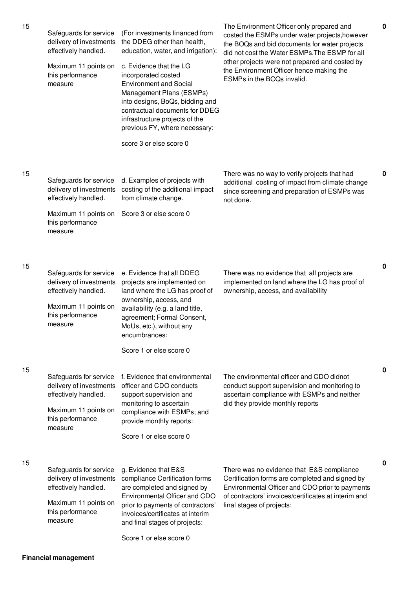| 15 | Safeguards for service<br>delivery of investments<br>effectively handled.<br>Maximum 11 points on<br>this performance<br>measure | (For investments financed from<br>the DDEG other than health,<br>education, water, and irrigation):<br>c. Evidence that the LG<br>incorporated costed<br><b>Environment and Social</b><br>Management Plans (ESMPs)<br>into designs, BoQs, bidding and<br>contractual documents for DDEG<br>infrastructure projects of the<br>previous FY, where necessary:<br>score 3 or else score 0 | The Environment Officer only prepared and<br>costed the ESMPs under water projects, however<br>the BOQs and bid documents for water projects<br>did not cost the Water ESMPs. The ESMP for all<br>other projects were not prepared and costed by<br>the Environment Officer hence making the<br>ESMPs in the BOQs invalid. | 0        |
|----|----------------------------------------------------------------------------------------------------------------------------------|---------------------------------------------------------------------------------------------------------------------------------------------------------------------------------------------------------------------------------------------------------------------------------------------------------------------------------------------------------------------------------------|----------------------------------------------------------------------------------------------------------------------------------------------------------------------------------------------------------------------------------------------------------------------------------------------------------------------------|----------|
| 15 | Safeguards for service<br>delivery of investments<br>effectively handled.<br>Maximum 11 points on<br>this performance<br>measure | d. Examples of projects with<br>costing of the additional impact<br>from climate change.<br>Score 3 or else score 0                                                                                                                                                                                                                                                                   | There was no way to verify projects that had<br>additional costing of impact from climate change<br>since screening and preparation of ESMPs was<br>not done.                                                                                                                                                              | 0        |
| 15 | Safeguards for service<br>delivery of investments<br>effectively handled.<br>Maximum 11 points on<br>this performance<br>measure | e. Evidence that all DDEG<br>projects are implemented on<br>land where the LG has proof of<br>ownership, access, and<br>availability (e.g. a land title,<br>agreement; Formal Consent,<br>MoUs, etc.), without any<br>encumbrances:<br>Score 1 or else score 0                                                                                                                        | There was no evidence that all projects are<br>implemented on land where the LG has proof of<br>ownership, access, and availability                                                                                                                                                                                        | 0        |
| 15 | Safeguards for service<br>delivery of investments<br>effectively handled.<br>Maximum 11 points on<br>this performance<br>measure | f. Evidence that environmental<br>officer and CDO conducts<br>support supervision and<br>monitoring to ascertain<br>compliance with ESMPs; and<br>provide monthly reports:<br>Score 1 or else score 0                                                                                                                                                                                 | The environmental officer and CDO didnot<br>conduct support supervision and monitoring to<br>ascertain compliance with ESMPs and neither<br>did they provide monthly reports                                                                                                                                               | $\bf{0}$ |
| 15 | Safeguards for service<br>delivery of investments<br>effectively handled.<br>Maximum 11 points on<br>this performance<br>measure | g. Evidence that E&S<br>compliance Certification forms<br>are completed and signed by<br>Environmental Officer and CDO<br>prior to payments of contractors'<br>invoices/certificates at interim<br>and final stages of projects:<br>Score 1 or else score 0                                                                                                                           | There was no evidence that E&S compliance<br>Certification forms are completed and signed by<br>Environmental Officer and CDO prior to payments<br>of contractors' invoices/certificates at interim and<br>final stages of projects:                                                                                       | 0        |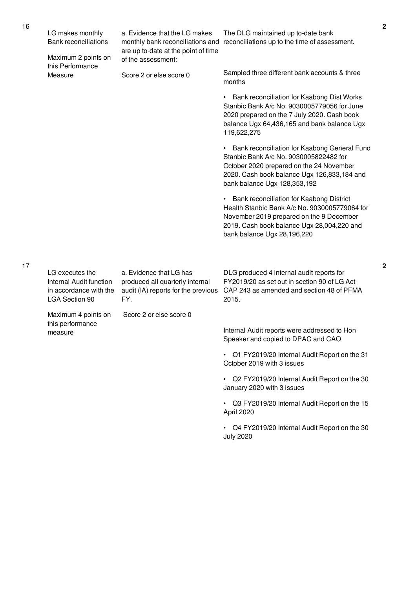|  | LG makes monthly<br><b>Bank reconciliations</b>                                               | a. Evidence that the LG makes<br>monthly bank reconciliations and<br>are up to-date at the point of time | The DLG maintained up to-date bank<br>reconciliations up to the time of assessment.                                                                                                                                |
|--|-----------------------------------------------------------------------------------------------|----------------------------------------------------------------------------------------------------------|--------------------------------------------------------------------------------------------------------------------------------------------------------------------------------------------------------------------|
|  | Maximum 2 points on<br>this Performance<br>Measure                                            | of the assessment:                                                                                       |                                                                                                                                                                                                                    |
|  |                                                                                               | Score 2 or else score 0                                                                                  | Sampled three different bank accounts & three<br>months                                                                                                                                                            |
|  |                                                                                               |                                                                                                          | Bank reconciliation for Kaabong Dist Works<br>Stanbic Bank A/c No. 9030005779056 for June<br>2020 prepared on the 7 July 2020. Cash book<br>balance Ugx 64,436,165 and bank balance Ugx<br>119,622,275             |
|  |                                                                                               |                                                                                                          | Bank reconciliation for Kaabong General Fund<br>Stanbic Bank A/c No. 9030005822482 for<br>October 2020 prepared on the 24 November<br>2020. Cash book balance Ugx 126,833,184 and<br>bank balance Ugx 128,353,192  |
|  |                                                                                               |                                                                                                          | Bank reconciliation for Kaabong District<br>Health Stanbic Bank A/c No. 9030005779064 for<br>November 2019 prepared on the 9 December<br>2019. Cash book balance Ugx 28,004,220 and<br>bank balance Ugx 28,196,220 |
|  | LG executes the<br>Internal Audit function<br>in accordance with the<br><b>LGA Section 90</b> | a. Evidence that LG has<br>produced all quarterly internal<br>audit (IA) reports for the previous<br>FY. | DLG produced 4 internal audit reports for<br>FY2019/20 as set out in section 90 of LG Act<br>CAP 243 as amended and section 48 of PFMA<br>2015.                                                                    |
|  | Maximum 4 points on                                                                           | Score 2 or else score 0                                                                                  |                                                                                                                                                                                                                    |
|  | this performance<br>measure                                                                   |                                                                                                          | Internal Audit reports were addressed to Hon<br>Speaker and copied to DPAC and CAO                                                                                                                                 |
|  |                                                                                               |                                                                                                          | Q1 FY2019/20 Internal Audit Report on the 31<br>October 2019 with 3 issues                                                                                                                                         |
|  |                                                                                               |                                                                                                          | Q2 FY2019/20 Internal Audit Report on the 30<br>January 2020 with 3 issues                                                                                                                                         |
|  |                                                                                               |                                                                                                          | Q3 FY2019/20 Internal Audit Report on the 15<br>April 2020                                                                                                                                                         |
|  |                                                                                               |                                                                                                          | Q4 FY2019/20 Internal Audit Report on the 30<br><b>July 2020</b>                                                                                                                                                   |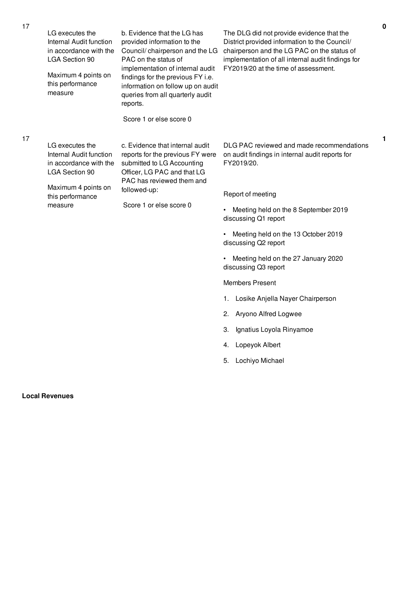| 17 | LG executes the<br>Internal Audit function<br>in accordance with the<br><b>LGA Section 90</b><br>Maximum 4 points on<br>this performance<br>measure | b. Evidence that the LG has<br>provided information to the<br>Council/ chairperson and the LG<br>PAC on the status of<br>implementation of internal audit<br>findings for the previous FY i.e.<br>information on follow up on audit<br>queries from all quarterly audit<br>reports.<br>Score 1 or else score 0 | The DLG did not provide evidence that the<br>District provided information to the Council/<br>chairperson and the LG PAC on the status of<br>implementation of all internal audit findings for<br>FY2019/20 at the time of assessment.                                                                                                                                                                                                                                                                                                         | 0 |
|----|-----------------------------------------------------------------------------------------------------------------------------------------------------|----------------------------------------------------------------------------------------------------------------------------------------------------------------------------------------------------------------------------------------------------------------------------------------------------------------|------------------------------------------------------------------------------------------------------------------------------------------------------------------------------------------------------------------------------------------------------------------------------------------------------------------------------------------------------------------------------------------------------------------------------------------------------------------------------------------------------------------------------------------------|---|
| 17 | LG executes the<br>Internal Audit function<br>in accordance with the<br><b>LGA Section 90</b><br>Maximum 4 points on<br>this performance<br>measure | c. Evidence that internal audit<br>reports for the previous FY were<br>submitted to LG Accounting<br>Officer, LG PAC and that LG<br>PAC has reviewed them and<br>followed-up:<br>Score 1 or else score 0                                                                                                       | DLG PAC reviewed and made recommendations<br>on audit findings in internal audit reports for<br>FY2019/20.<br>Report of meeting<br>Meeting held on the 8 September 2019<br>$\bullet$<br>discussing Q1 report<br>Meeting held on the 13 October 2019<br>$\bullet$<br>discussing Q2 report<br>• Meeting held on the 27 January 2020<br>discussing Q3 report<br><b>Members Present</b><br>Losike Anjella Nayer Chairperson<br>1.<br>Aryono Alfred Logwee<br>2.<br>Ignatius Loyola Rinyamoe<br>З.<br>Lopeyok Albert<br>4.<br>Lochiyo Michael<br>5. | 1 |

# **Local Revenues**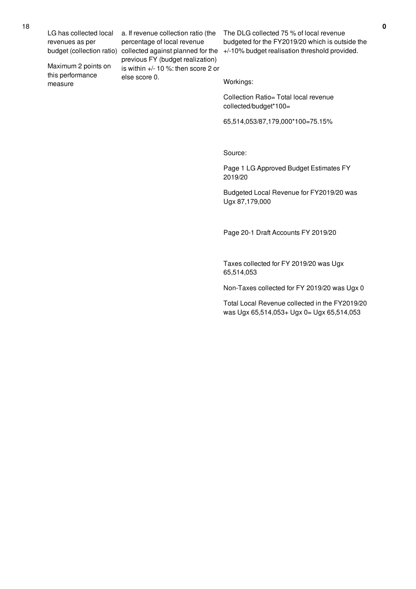LG has collected local revenues as per

Maximum 2 points on this performance measure

a. If revenue collection ratio (the percentage of local revenue previous FY (budget realization) is within +/- 10 %: then score 2 or else score 0.

budget (collection ratio) collected against planned for the  $+/-10\%$  budget realisation threshold provided. The DLG collected 75 % of local revenue budgeted for the FY2019/20 which is outside the

Workings:

Collection Ratio= Total local revenue collected/budget\*100=

65,514,053/87,179,000\*100=75.15%

Source:

Page 1 LG Approved Budget Estimates FY 2019/20

Budgeted Local Revenue for FY2019/20 was Ugx 87,179,000

Page 20-1 Draft Accounts FY 2019/20

Taxes collected for FY 2019/20 was Ugx 65,514,053

Non-Taxes collected for FY 2019/20 was Ugx 0

Total Local Revenue collected in the FY2019/20 was Ugx 65,514,053+ Ugx 0= Ugx 65,514,053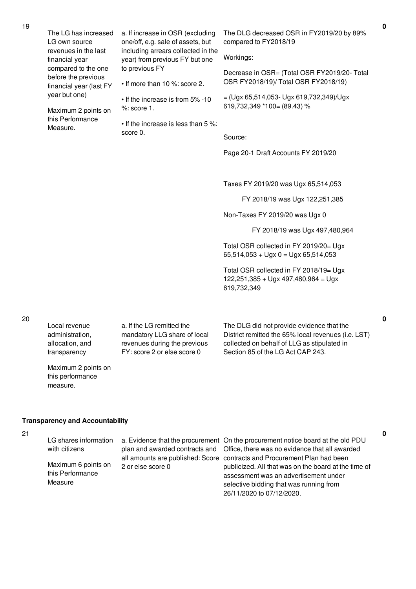| The LG has increased<br>LG own source<br>revenues in the last<br>financial year<br>compared to the one<br>before the previous<br>financial year (last FY<br>year but one)<br>Maximum 2 points on<br>this Performance<br>Measure. | a. If increase in OSR (excluding<br>one/off, e.g. sale of assets, but<br>including arrears collected in the<br>year) from previous FY but one<br>to previous FY<br>• If more than 10 %: score 2.<br>• If the increase is from 5% -10<br>$%$ : score 1.<br>• If the increase is less than 5 %:<br>score 0. | The DLG decreased OSR in FY2019/20 by 89%<br>compared to FY2018/19<br>Workings:<br>Decrease in OSR= (Total OSR FY2019/20- Total<br>OSR FY2018/19)/ Total OSR FY2018/19)<br>$=(Ugx 65,514,053-Ugx 619,732,349)/Ugx$<br>619,732,349 *100= (89.43) %<br>Source:<br>Page 20-1 Draft Accounts FY 2019/20                            |
|----------------------------------------------------------------------------------------------------------------------------------------------------------------------------------------------------------------------------------|-----------------------------------------------------------------------------------------------------------------------------------------------------------------------------------------------------------------------------------------------------------------------------------------------------------|--------------------------------------------------------------------------------------------------------------------------------------------------------------------------------------------------------------------------------------------------------------------------------------------------------------------------------|
|                                                                                                                                                                                                                                  |                                                                                                                                                                                                                                                                                                           | Taxes FY 2019/20 was Ugx 65,514,053<br>FY 2018/19 was Ugx 122,251,385<br>Non-Taxes FY 2019/20 was Ugx 0<br>FY 2018/19 was Ugx 497,480,964<br>Total OSR collected in FY 2019/20= Ugx<br>$65,514,053 + Ugx 0 = Ugx 65,514,053$<br>Total OSR collected in FY 2018/19= Ugx<br>$122,251,385 + Ugx 497,480,964 = Ugx$<br>619,732,349 |
| Local revenue<br>administration,                                                                                                                                                                                                 | a. If the LG remitted the<br>mandatory LLG share of local                                                                                                                                                                                                                                                 | The DLG did not provide evidence that the<br>District remitted the 65% local revenues (i.e. LST)                                                                                                                                                                                                                               |

19

allocation, and transparency

Maximum 2 points on this performance measure.

revenues during the previous FY: score 2 or else score 0

collected on behalf of LLG as stipulated in Section 85 of the LG Act CAP 243.

# **Transparency and Accountability**

- 21
- LG shares information with citizens Maximum 6 points on this Performance Measure a. Evidence that the procurement On the procurement notice board at the old PDU plan and awarded contracts and Office, there was no evidence that all awarded all amounts are published: Score contracts and Procurement Plan had been 2 or else score 0 publicized. All that was on the board at the time of assessment was an advertisement under selective bidding that was running from 26/11/2020 to 07/12/2020.

**0**

**0**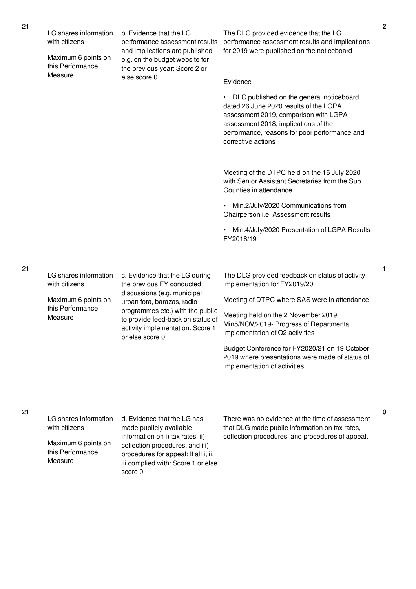| LG shares information<br>with citizens<br>Maximum 6 points on<br>this Performance | b. Evidence that the LG<br>performance assessment results<br>and implications are published<br>e.g. on the budget website for<br>the previous year: Score 2 or | The DLG provided evidence that the LG<br>performance assessment results and implications<br>for 2019 were published on the noticeboard                                                                                                       |
|-----------------------------------------------------------------------------------|----------------------------------------------------------------------------------------------------------------------------------------------------------------|----------------------------------------------------------------------------------------------------------------------------------------------------------------------------------------------------------------------------------------------|
| Measure                                                                           | else score 0                                                                                                                                                   | Evidence                                                                                                                                                                                                                                     |
|                                                                                   |                                                                                                                                                                | • DLG published on the general noticeboard<br>dated 26 June 2020 results of the LGPA<br>assessment 2019, comparison with LGPA<br>assessment 2018, implications of the<br>performance, reasons for poor performance and<br>corrective actions |
|                                                                                   |                                                                                                                                                                | Meeting of the DTPC held on the 16 July 2020<br>with Senior Assistant Secretaries from the Sub<br>Counties in attendance.                                                                                                                    |
|                                                                                   |                                                                                                                                                                | • Min.2/July/2020 Communications from<br>Chairperson i.e. Assessment results                                                                                                                                                                 |
|                                                                                   |                                                                                                                                                                | • Min.4/July/2020 Presentation of LGPA Results<br>FY2018/19                                                                                                                                                                                  |
|                                                                                   |                                                                                                                                                                |                                                                                                                                                                                                                                              |
| LG shares information<br>with citizens                                            | c. Evidence that the LG during<br>the previous FY conducted                                                                                                    | The DLG provided feedback on status of activity<br>implementation for FY2019/20                                                                                                                                                              |
| Maximum 6 points on<br>this Performance                                           | discussions (e.g. municipal<br>urban fora, barazas, radio                                                                                                      | Meeting of DTPC where SAS were in attendance                                                                                                                                                                                                 |
| Measure                                                                           | programmes etc.) with the public<br>to provide feed-back on status of<br>activity implementation: Score 1<br>or else score 0                                   | Meeting held on the 2 November 2019<br>Min5/NOV/2019- Progress of Departmental<br>implementation of Q2 activities                                                                                                                            |
|                                                                                   |                                                                                                                                                                | Budget Conference for FY2020/21 on 19 October<br>2019 where presentations were made of status of<br>implementation of activities                                                                                                             |
|                                                                                   |                                                                                                                                                                |                                                                                                                                                                                                                                              |

21

# 21

| LG shares information                              | d. Evidence that the LG has                                                                                                                                  |
|----------------------------------------------------|--------------------------------------------------------------------------------------------------------------------------------------------------------------|
| with citizens                                      | made publicly available                                                                                                                                      |
| Maximum 6 points on<br>this Performance<br>Measure | information on i) tax rates, ii)<br>collection procedures, and iii)<br>procedures for appeal: If all i, ii,<br>iii complied with: Score 1 or else<br>score 0 |

There was no evidence at the time of assessment that DLG made public information on tax rates, collection procedures, and procedures of appeal.

**2**

**1**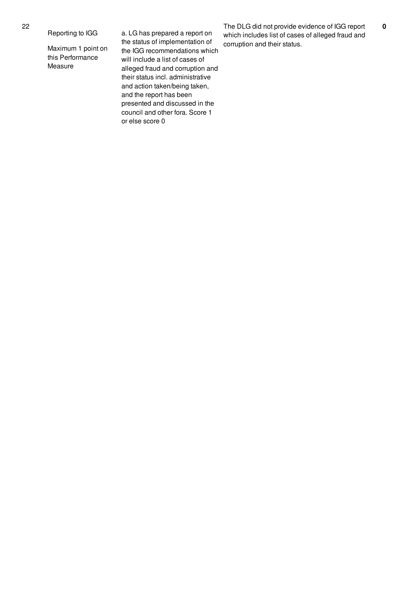## Reporting to IGG

Maximum 1 point on this Performance Measure

a. LG has prepared a report on the status of implementation of the IGG recommendations which will include a list of cases of alleged fraud and corruption and their status incl. administrative and action taken/being taken, and the report has been presented and discussed in the council and other fora. Score 1 or else score 0

The DLG did not provide evidence of IGG report which includes list of cases of alleged fraud and corruption and their status.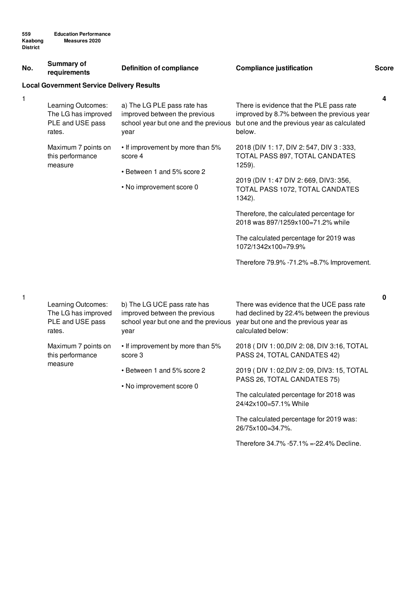| No. | Summary of<br>requirements                                              | <b>Definition of compliance</b>                                                                              | <b>Compliance justification</b>                                                                                                                       | <b>Score</b> |
|-----|-------------------------------------------------------------------------|--------------------------------------------------------------------------------------------------------------|-------------------------------------------------------------------------------------------------------------------------------------------------------|--------------|
|     | <b>Local Government Service Delivery Results</b>                        |                                                                                                              |                                                                                                                                                       |              |
| 1   | Learning Outcomes:<br>The LG has improved<br>PLE and USE pass<br>rates. | a) The LG PLE pass rate has<br>improved between the previous<br>school year but one and the previous<br>year | There is evidence that the PLE pass rate<br>improved by 8.7% between the previous year<br>but one and the previous year as calculated<br>below.       | 4            |
|     | Maximum 7 points on<br>this performance<br>measure                      | • If improvement by more than 5%<br>score 4                                                                  | 2018 (DIV 1: 17, DIV 2: 547, DIV 3: 333,<br>TOTAL PASS 897, TOTAL CANDATES<br>1259).                                                                  |              |
|     |                                                                         | • Between 1 and 5% score 2<br>• No improvement score 0                                                       | 2019 (DIV 1:47 DIV 2:669, DIV3:356,<br>TOTAL PASS 1072, TOTAL CANDATES<br>1342).                                                                      |              |
|     |                                                                         |                                                                                                              | Therefore, the calculated percentage for<br>2018 was 897/1259x100=71.2% while                                                                         |              |
|     |                                                                         |                                                                                                              | The calculated percentage for 2019 was<br>1072/1342x100=79.9%                                                                                         |              |
|     |                                                                         |                                                                                                              | Therefore 79.9% -71.2% =8.7% Improvement.                                                                                                             |              |
| 1   | Learning Outcomes:<br>The LG has improved<br>PLE and USE pass<br>rates. | b) The LG UCE pass rate has<br>improved between the previous<br>school year but one and the previous<br>year | There was evidence that the UCE pass rate<br>had declined by 22.4% between the previous<br>year but one and the previous year as<br>calculated below: | 0            |
|     | Maximum 7 points on<br>this performance                                 | • If improvement by more than 5%<br>score 3                                                                  | 2018 (DIV 1:00, DIV 2:08, DIV 3:16, TOTAL<br>PASS 24, TOTAL CANDATES 42)                                                                              |              |
|     | measure                                                                 | • Between 1 and 5% score 2<br>• No improvement score 0                                                       | 2019 (DIV 1:02, DIV 2:09, DIV3: 15, TOTAL<br>PASS 26, TOTAL CANDATES 75)                                                                              |              |
|     |                                                                         |                                                                                                              | The calculated percentage for 2018 was<br>24/42x100=57.1% While                                                                                       |              |

The calculated percentage for 2019 was: 26/75x100=34.7%.

Therefore 34.7% -57.1% =-22.4% Decline.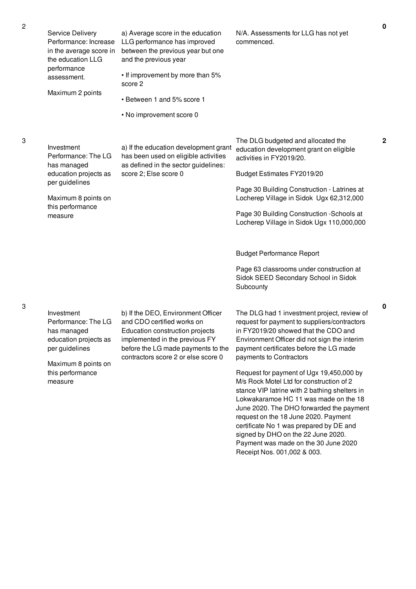3

3

| Service Delivery<br>Performance: Increase<br>in the average score in<br>the education LLG<br>performance<br>assessment.<br>Maximum 2 points       | a) Average score in the education<br>LLG performance has improved<br>between the previous year but one<br>and the previous year<br>• If improvement by more than 5%<br>score 2<br>• Between 1 and 5% score 1<br>• No improvement score 0 | N/A. Assessments for LLG has not yet<br>commenced.                                                                                                                                                                                                                                                                                                                                                                                                                                                                                                                                                                                                                                                                                                                                            |
|---------------------------------------------------------------------------------------------------------------------------------------------------|------------------------------------------------------------------------------------------------------------------------------------------------------------------------------------------------------------------------------------------|-----------------------------------------------------------------------------------------------------------------------------------------------------------------------------------------------------------------------------------------------------------------------------------------------------------------------------------------------------------------------------------------------------------------------------------------------------------------------------------------------------------------------------------------------------------------------------------------------------------------------------------------------------------------------------------------------------------------------------------------------------------------------------------------------|
| Investment<br>Performance: The LG<br>has managed<br>education projects as<br>per guidelines<br>Maximum 8 points on<br>this performance<br>measure | a) If the education development grant<br>has been used on eligible activities<br>as defined in the sector guidelines:<br>score 2; Else score 0                                                                                           | The DLG budgeted and allocated the<br>education development grant on eligible<br>activities in FY2019/20.<br>Budget Estimates FY2019/20<br>Page 30 Building Construction - Latrines at<br>Locherep Village in Sidok Ugx 62,312,000<br>Page 30 Building Construction - Schools at<br>Locherep Village in Sidok Ugx 110,000,000                                                                                                                                                                                                                                                                                                                                                                                                                                                                 |
| Investment<br>Performance: The LG<br>has managed<br>education projects as<br>per guidelines<br>Maximum 8 points on<br>this performance<br>measure | b) If the DEO, Environment Officer<br>and CDO certified works on<br>Education construction projects<br>implemented in the previous FY<br>before the LG made payments to the<br>contractors score 2 or else score 0                       | <b>Budget Performance Report</b><br>Page 63 classrooms under construction at<br>Sidok SEED Secondary School in Sidok<br>Subcounty<br>The DLG had 1 investment project, review of<br>request for payment to suppliers/contractors<br>in FY2019/20 showed that the CDO and<br>Environment Officer did not sign the interim<br>payment certificates before the LG made<br>payments to Contractors<br>Request for payment of Ugx 19,450,000 by<br>M/s Rock Motel Ltd for construction of 2<br>stance VIP latrine with 2 bathing shelters in<br>Lokwakaramoe HC 11 was made on the 18<br>June 2020. The DHO forwarded the payment<br>request on the 18 June 2020. Payment<br>certificate No 1 was prepared by DE and<br>signed by DHO on the 22 June 2020.<br>Payment was made on the 30 June 2020 |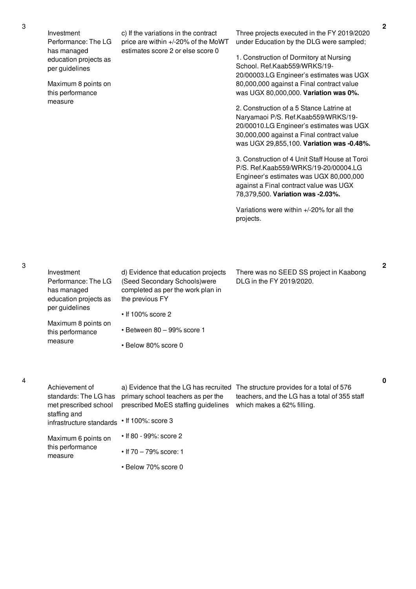Investment Performance: The LG has managed education projects as per guidelines

Maximum 8 points on this performance measure

c) If the variations in the contract price are within +/-20% of the MoWT estimates score 2 or else score 0

Three projects executed in the FY 2019/2020 under Education by the DLG were sampled;

1. Construction of Dormitory at Nursing School. Ref.Kaab559/WRKS/19- 20/00003.LG Engineer's estimates was UGX 80,000,000 against a Final contract value was UGX 80,000,000. **Variation was 0%.**

2. Construction of a 5 Stance Latrine at Naryamaoi P/S. Ref.Kaab559/WRKS/19- 20/00010.LG Engineer's estimates was UGX 30,000,000 against a Final contract value was UGX 29,855,100. **Variation was -0.48%.**

3. Construction of 4 Unit Staff House at Toroi P/S. Ref.Kaab559/WRKS/19-20/00004.LG Engineer's estimates was UGX 80,000,000 against a Final contract value was UGX 78,379,500. **Variation was -2.03%.**

Variations were within +/-20% for all the projects.

3

4

|  | Investment<br>Performance: The LG<br>has managed<br>education projects as<br>per guidelines | d) Evidence that education projects<br>(Seed Secondary Schools) were<br>completed as per the work plan in<br>the previous FY<br>$\cdot$ If 100% score 2 | There was no SEED SS project in Kaabong<br>DLG in the FY 2019/2020.                                                      |
|--|---------------------------------------------------------------------------------------------|---------------------------------------------------------------------------------------------------------------------------------------------------------|--------------------------------------------------------------------------------------------------------------------------|
|  | Maximum 8 points on<br>this performance<br>measure                                          | $\cdot$ Between 80 - 99% score 1                                                                                                                        |                                                                                                                          |
|  |                                                                                             | • Below 80% score 0                                                                                                                                     |                                                                                                                          |
|  |                                                                                             |                                                                                                                                                         |                                                                                                                          |
|  | Achievement of<br>standards: The LG has<br>met prescribed school                            | a) Evidence that the LG has recruited<br>primary school teachers as per the<br>prescribed MoES staffing guidelines                                      | The structure provides for a total of 576<br>teachers, and the LG has a total of 355 staff<br>which makes a 62% filling. |
|  | staffing and<br>infrastructure standards                                                    | $\cdot$ If 100%: score 3                                                                                                                                |                                                                                                                          |
|  | Maximum 6 points on<br>this performance<br>measure                                          | • If 80 - 99%: score 2                                                                                                                                  |                                                                                                                          |
|  |                                                                                             | • If $70 - 79\%$ score: 1                                                                                                                               |                                                                                                                          |

• Below 70% score 0

**2**

**0**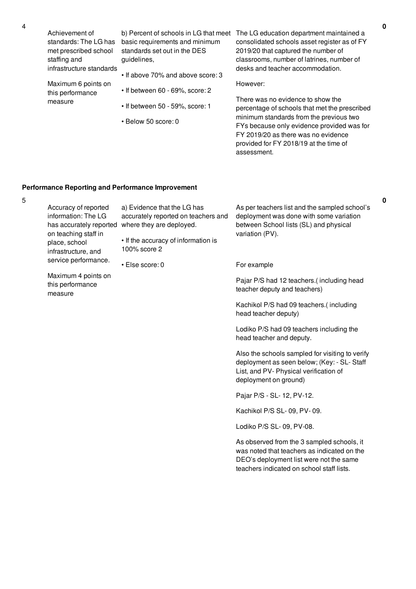| Achievement of<br>standards: The LG has  | b) Percent of schools in LG that meet<br>basic requirements and minimum | The LG education department maintained a<br>consolidated schools asset register as of FY |
|------------------------------------------|-------------------------------------------------------------------------|------------------------------------------------------------------------------------------|
| met prescribed school                    | standards set out in the DES                                            | 2019/20 that captured the number of                                                      |
| staffing and<br>infrastructure standards | quidelines.                                                             | classrooms, number of latrines, number of<br>desks and teacher accommodation.            |
| Maximum 6 points on                      | • If above 70% and above score: 3                                       | However:                                                                                 |
| this performance                         | • If between 60 - 69%, score: 2                                         | There was no evidence to show the                                                        |
| measure                                  | $\cdot$ If between 50 - 59%, score: 1                                   | percentage of schools that met the prescribed                                            |
|                                          | • Below 50 score: 0                                                     | minimum standards from the previous two<br>FYs because only evidence provided was for    |
|                                          |                                                                         | FY 2019/20 as there was no evidence                                                      |
|                                          |                                                                         | provided for FY 2018/19 at the time of<br>assessment.                                    |
|                                          |                                                                         |                                                                                          |

# **Performance Reporting and Performance Improvement**

| 5 |                                                                                                                                                                |                                                                                                |                                                                                                                                                                                   |
|---|----------------------------------------------------------------------------------------------------------------------------------------------------------------|------------------------------------------------------------------------------------------------|-----------------------------------------------------------------------------------------------------------------------------------------------------------------------------------|
|   | Accuracy of reported<br>information: The LG<br>has accurately reported<br>on teaching staff in<br>place, school<br>infrastructure, and<br>service performance. | a) Evidence that the LG has<br>accurately reported on teachers and<br>where they are deployed. | As per teachers list and the sampled school's<br>deployment was done with some variation<br>between School lists (SL) and physical                                                |
|   |                                                                                                                                                                | • If the accuracy of information is<br>100% score 2                                            | variation (PV).                                                                                                                                                                   |
|   |                                                                                                                                                                | · Else score: 0                                                                                | For example                                                                                                                                                                       |
|   | Maximum 4 points on<br>this performance<br>measure                                                                                                             |                                                                                                | Pajar P/S had 12 teachers.(including head<br>teacher deputy and teachers)                                                                                                         |
|   |                                                                                                                                                                |                                                                                                | Kachikol P/S had 09 teachers.(including<br>head teacher deputy)                                                                                                                   |
|   |                                                                                                                                                                |                                                                                                | Lodiko P/S had 09 teachers including the<br>head teacher and deputy.                                                                                                              |
|   |                                                                                                                                                                |                                                                                                | Also the schools sampled for visiting to verify<br>deployment as seen below; (Key: - SL- Staff<br>List, and PV- Physical verification of<br>deployment on ground)                 |
|   |                                                                                                                                                                |                                                                                                | Pajar P/S - SL- 12, PV-12.                                                                                                                                                        |
|   |                                                                                                                                                                |                                                                                                | Kachikol P/S SL- 09, PV- 09.                                                                                                                                                      |
|   |                                                                                                                                                                |                                                                                                | Lodiko P/S SL- 09, PV-08.                                                                                                                                                         |
|   |                                                                                                                                                                |                                                                                                | As observed from the 3 sampled schools, it<br>was noted that teachers as indicated on the<br>DEO's deployment list were not the same<br>teachers indicated on school staff lists. |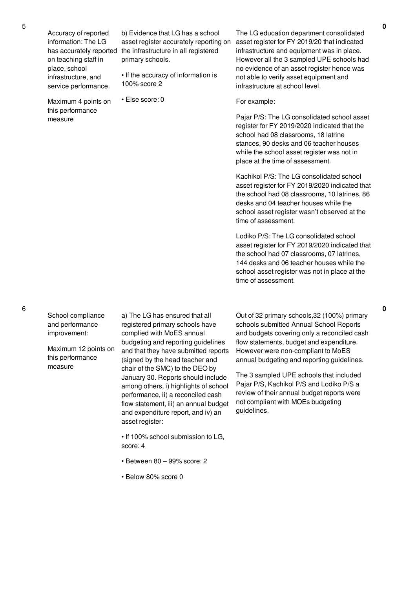Accuracy of reported information: The LG has accurately reported on teaching staff in place, school infrastructure, and service performance.

Maximum 4 points on this performance measure

b) Evidence that LG has a school asset register accurately reporting on the infrastructure in all registered primary schools.

• If the accuracy of information is 100% score 2

• Else score: 0

The LG education department consolidated asset register for FY 2019/20 that indicated infrastructure and equipment was in place. However all the 3 sampled UPE schools had no evidence of an asset register hence was not able to verify asset equipment and infrastructure at school level.

#### For example:

Pajar P/S: The LG consolidated school asset register for FY 2019/2020 indicated that the school had 08 classrooms, 18 latrine stances, 90 desks and 06 teacher houses while the school asset register was not in place at the time of assessment.

Kachikol P/S: The LG consolidated school asset register for FY 2019/2020 indicated that the school had 08 classrooms, 10 latrines, 86 desks and 04 teacher houses while the school asset register wasn't observed at the time of assessment.

Lodiko P/S: The LG consolidated school asset register for FY 2019/2020 indicated that the school had 07 classrooms, 07 latrines, 144 desks and 06 teacher houses while the school asset register was not in place at the time of assessment.

School compliance and performance improvement:

6

Maximum 12 points on this performance measure

a) The LG has ensured that all registered primary schools have complied with MoES annual budgeting and reporting guidelines and that they have submitted reports (signed by the head teacher and chair of the SMC) to the DEO by January 30. Reports should include among others, i) highlights of school performance, ii) a reconciled cash flow statement, iii) an annual budget and expenditure report, and iv) an asset register:

• If 100% school submission to LG, score: 4

- Between 80 99% score: 2
- Below 80% score 0

Out of 32 primary schools,32 (100%) primary schools submitted Annual School Reports and budgets covering only a reconciled cash flow statements, budget and expenditure. However were non-compliant to MoES annual budgeting and reporting guidelines.

The 3 sampled UPE schools that included Pajar P/S, Kachikol P/S and Lodiko P/S a review of their annual budget reports were not compliant with MOEs budgeting guidelines.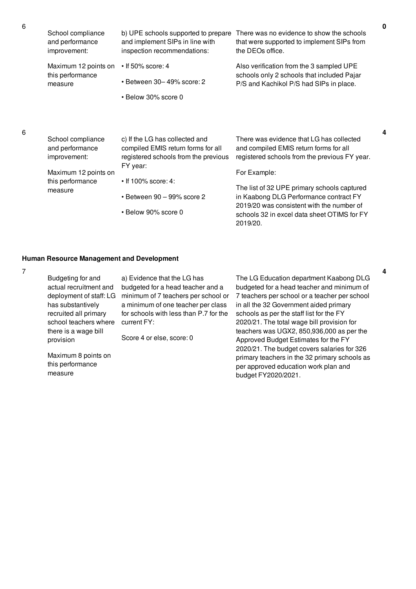| School compliance                                                                                           | b) UPE schools supported to prepare                                                                                                                                                                              | There was no evidence to show the schools  |
|-------------------------------------------------------------------------------------------------------------|------------------------------------------------------------------------------------------------------------------------------------------------------------------------------------------------------------------|--------------------------------------------|
| and performance                                                                                             | and implement SIPs in line with                                                                                                                                                                                  | that were supported to implement SIPs from |
| improvement:                                                                                                | inspection recommendations:                                                                                                                                                                                      | the DEOs office.                           |
| Maximum 12 points on                                                                                        | $\cdot$ If 50% score: 4                                                                                                                                                                                          | Also verification from the 3 sampled UPE   |
| this performance                                                                                            | $\cdot$ Between 30-49% score: 2                                                                                                                                                                                  | schools only 2 schools that included Pajar |
| measure                                                                                                     | • Below 30% score 0                                                                                                                                                                                              | P/S and Kachikol P/S had SIPs in place.    |
| School compliance<br>and performance<br>improvement:<br>Maximum 12 points on<br>this performance<br>measure | c) If the LG has collected and<br>compiled EMIS return forms for all<br>registered schools from the previous<br>FY year:<br>$\cdot$ If 100% score: 4:<br>$\cdot$ Between 90 - 99% score 2<br>• Below 90% score 0 |                                            |

### **Human Resource Management and Development**

7

Budgeting for and actual recruitment and deployment of staff: LG has substantively recruited all primary school teachers where there is a wage bill provision

a) Evidence that the LG has budgeted for a head teacher and a minimum of 7 teachers per school or a minimum of one teacher per class for schools with less than P.7 for the current FY:

Score 4 or else, score: 0

Maximum 8 points on this performance measure

The LG Education department Kaabong DLG budgeted for a head teacher and minimum of 7 teachers per school or a teacher per school in all the 32 Government aided primary schools as per the staff list for the FY 2020/21. The total wage bill provision for teachers was UGX2, 850,936,000 as per the Approved Budget Estimates for the FY 2020/21. The budget covers salaries for 326 primary teachers in the 32 primary schools as per approved education work plan and budget FY2020/2021.

6

6

**4**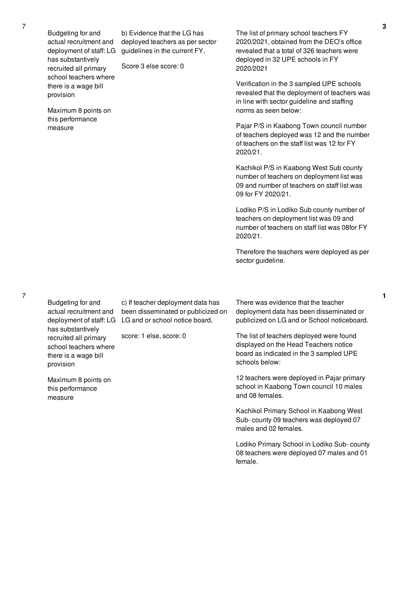Budgeting for and actual recruitment and deployment of staff: LG has substantively recruited all primary school teachers where there is a wage bill provision

Maximum 8 points on this performance measure

b) Evidence that the LG has deployed teachers as per sector guidelines in the current FY,

Score 3 else score: 0

The list of primary school teachers FY 2020/2021, obtained from the DEO's office revealed that a total of 326 teachers were deployed in 32 UPE schools in FY 2020/2021

Verification in the 3 sampled UPE schools revealed that the deployment of teachers was in line with sector guideline and staffing norms as seen below:

Pajar P/S in Kaabong Town council number of teachers deployed was 12 and the number of teachers on the staff list was 12 for FY 2020/21.

Kachikol P/S in Kaabong West Sub county number of teachers on deployment list was 09 and number of teachers on staff list was 09 for FY 2020/21.

Lodiko P/S in Lodiko Sub county number of teachers on deployment list was 09 and number of teachers on staff list was 08for FY 2020/21.

Therefore the teachers were deployed as per sector guideline.

Budgeting for and actual recruitment and has substantively recruited all primary school teachers where there is a wage bill provision

deployment of staff: LG LG and or school notice board, c) If teacher deployment data has been disseminated or publicized on

score: 1 else, score: 0

Maximum 8 points on this performance measure

There was evidence that the teacher deployment data has been disseminated or publicized on LG and or School noticeboard.

The list of teachers deployed were found displayed on the Head Teachers notice board as indicated in the 3 sampled UPE schools below:

12 teachers were deployed in Pajar primary school in Kaabong Town council 10 males and 08 females.

Kachikol Primary School in Kaabong West Sub- county 09 teachers was deployed 07 males and 02 females.

Lodiko Primary School in Lodiko Sub- county 08 teachers were deployed 07 males and 01 female.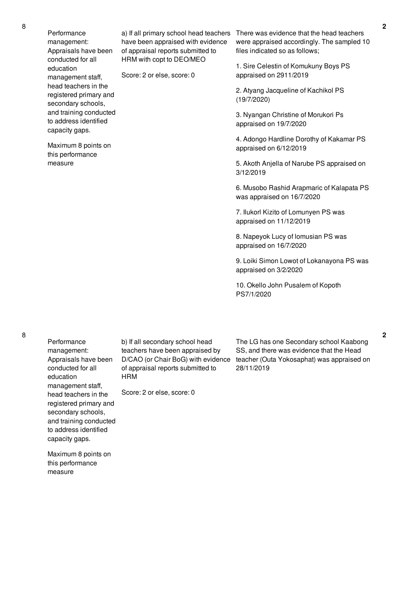Performance management: Appraisals have been conducted for all education management staff, head teachers in the registered primary and secondary schools, and training conducted to address identified capacity gaps.

Maximum 8 points on this performance measure

have been appraised with evidence of appraisal reports submitted to HRM with copt to DEO/MEO

Score: 2 or else, score: 0

a) If all primary school head teachers There was evidence that the head teachers were appraised accordingly. The sampled 10 files indicated so as follows;

> 1. Sire Celestin of Komukuny Boys PS appraised on 2911/2019

2. Atyang Jacqueline of Kachikol PS (19/7/2020)

3. Nyangan Christine of Morukori Ps appraised on 19/7/2020

4. Adongo Hardline Dorothy of Kakamar PS appraised on 6/12/2019

5. Akoth Anjella of Narube PS appraised on 3/12/2019

6. Musobo Rashid Arapmaric of Kalapata PS was appraised on 16/7/2020

7. Ilukorl Kizito of Lomunyen PS was appraised on 11/12/2019

8. Napeyok Lucy of lomusian PS was appraised on 16/7/2020

9. Loiki Simon Lowot of Lokanayona PS was appraised on 3/2/2020

10. Okello John Pusalem of Kopoth PS7/1/2020

Performance management: Appraisals have been conducted for all education management staff, head teachers in the registered primary and secondary schools, and training conducted to address identified capacity gaps.

Maximum 8 points on this performance measure

b) If all secondary school head teachers have been appraised by D/CAO (or Chair BoG) with evidence of appraisal reports submitted to HRM

Score: 2 or else, score: 0

The LG has one Secondary school Kaabong SS, and there was evidence that the Head teacher (Outa Yokosaphat) was appraised on 28/11/2019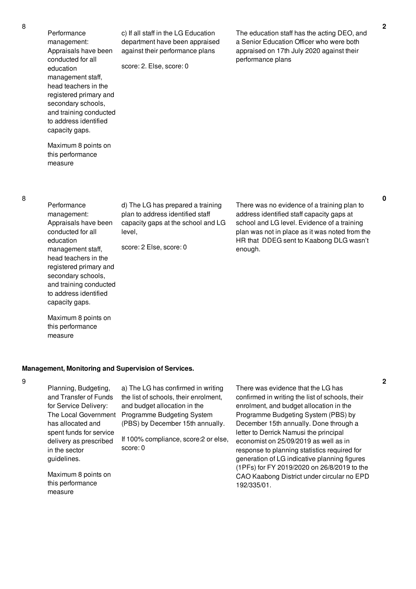| Performance<br>management:<br>Appraisals have been<br>conducted for all<br>education<br>management staff,<br>head teachers in the<br>registered primary and<br>secondary schools,<br>and training conducted<br>to address identified<br>capacity gaps. | c) If all staff in the LG Education<br>department have been appraised<br>against their performance plans<br>score: 2. Else, score: 0 | The education staff has the acting DEO, and<br>a Senior Education Officer who were both<br>appraised on 17th July 2020 against their<br>performance plans |
|--------------------------------------------------------------------------------------------------------------------------------------------------------------------------------------------------------------------------------------------------------|--------------------------------------------------------------------------------------------------------------------------------------|-----------------------------------------------------------------------------------------------------------------------------------------------------------|
| Maximum 8 points on<br>this performance<br>measure                                                                                                                                                                                                     |                                                                                                                                      |                                                                                                                                                           |
| Performance<br>management:                                                                                                                                                                                                                             | d) The LG has prepared a training<br>plan to address identified staff                                                                | There was no evidence of a training plan to<br>address identified staff capacity gaps at                                                                  |

capacity gaps at the school and LG

there of a training plan to address identified staff capacity gaps at school and LG level. Evidence of a training plan was not in place as it was noted from the HR that DDEG sent to Kaabong DLG wasn't enough.

Maximum 8 points on this performance measure

Appraisals have been conducted for all education

management staff, head teachers in the registered primary and secondary schools, and training conducted to address identified capacity gaps.

#### **Management, Monitoring and Supervision of Services.**

level,

score: 2 Else, score: 0

9

Planning, Budgeting, and Transfer of Funds for Service Delivery: The Local Government has allocated and spent funds for service delivery as prescribed in the sector guidelines.

a) The LG has confirmed in writing the list of schools, their enrolment, and budget allocation in the Programme Budgeting System (PBS) by December 15th annually.

If 100% compliance, score:2 or else, score: 0

Maximum 8 points on this performance measure

There was evidence that the LG has confirmed in writing the list of schools, their enrolment, and budget allocation in the Programme Budgeting System (PBS) by December 15th annually. Done through a letter to Derrick Namusi the principal economist on 25/09/2019 as well as in response to planning statistics required for generation of LG indicative planning figures (1PFs) for FY 2019/2020 on 26/8/2019 to the CAO Kaabong District under circular no EPD 192/335/01.

8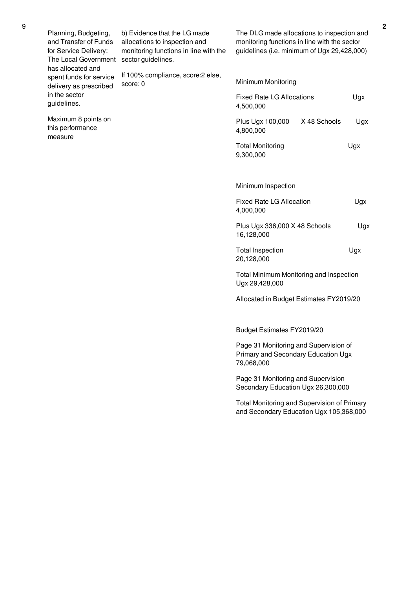| Planning, Budgeting,<br>and Transfer of Funds<br>for Service Delivery:<br>The Local Government<br>has allocated and | b) Evidence that the LG made<br>allocations to inspection and<br>monitoring functions in line with the<br>sector guidelines. | The DLG made allocations to inspection and<br>monitoring functions in line with the sector<br>guidelines (i.e. minimum of Ugx 29,428,000) |              |     |
|---------------------------------------------------------------------------------------------------------------------|------------------------------------------------------------------------------------------------------------------------------|-------------------------------------------------------------------------------------------------------------------------------------------|--------------|-----|
| spent funds for service<br>delivery as prescribed                                                                   | If 100% compliance, score: 2 else,<br>score: 0                                                                               | Minimum Monitoring                                                                                                                        |              |     |
| in the sector<br>guidelines.                                                                                        |                                                                                                                              | <b>Fixed Rate LG Allocations</b><br>4,500,000                                                                                             |              | Ugx |
| Maximum 8 points on<br>this performance<br>measure                                                                  |                                                                                                                              | Plus Ugx 100,000<br>4,800,000                                                                                                             | X 48 Schools | Ugx |
|                                                                                                                     |                                                                                                                              | <b>Total Monitoring</b><br>9,300,000                                                                                                      |              | Ugx |
|                                                                                                                     |                                                                                                                              | Minimum Inspection                                                                                                                        |              |     |
|                                                                                                                     |                                                                                                                              | Fixed Rate LG Allocation<br>4,000,000                                                                                                     |              | Ugx |
|                                                                                                                     |                                                                                                                              | Plus Ugx 336,000 X 48 Schools<br>16,128,000                                                                                               |              | Ugx |
|                                                                                                                     |                                                                                                                              | <b>Total Inspection</b><br>20,128,000                                                                                                     |              | Ugx |
|                                                                                                                     |                                                                                                                              | Total Minimum Monitoring and Inspection<br>Ugx 29,428,000                                                                                 |              |     |
|                                                                                                                     |                                                                                                                              | Allocated in Budget Estimates FY2019/20                                                                                                   |              |     |
|                                                                                                                     |                                                                                                                              | Budget Estimates FY2019/20                                                                                                                |              |     |
|                                                                                                                     |                                                                                                                              | Page 31 Monitoring and Supervision of<br>Primary and Secondary Education Ugx<br>79,068,000                                                |              |     |
|                                                                                                                     |                                                                                                                              | Page 31 Monitoring and Supervision<br>Secondary Education Ugx 26,300,000                                                                  |              |     |
|                                                                                                                     |                                                                                                                              | Total Monitoring and Supervision of Primary<br>and Secondary Education Ugx 105,368,000                                                    |              |     |
|                                                                                                                     |                                                                                                                              |                                                                                                                                           |              |     |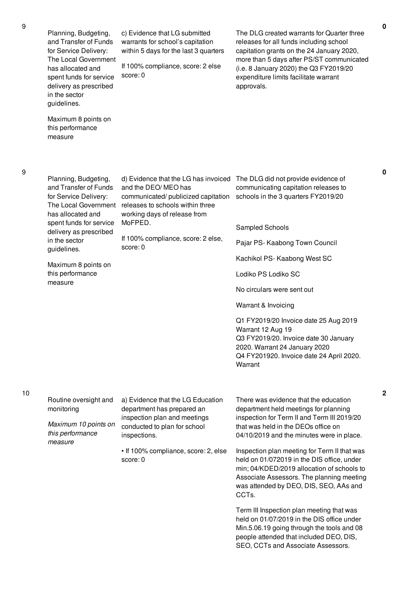spent funds for service delivery as prescribed in the sector guidelines. Maximum 8 points on this performance measure expenditure limits facilitate warrant approvals. Planning, Budgeting, Maximum 8 points on d) Evidence that the LG has invoiced The DLG did not provide evidence of and the DEO/ MEO has communicated/ publicized capitation releases to schools within three working days of release from MoFPED. If 100% compliance, score: 2 else, score: 0 Sampled Schools Kachikol PS- Kaabong West SC Lodiko PS Lodiko SC No circulars were sent out Warrant & Invoicing Warrant 12 Aug 19 **Warrant** Routine oversight and monitoring *Maximum 10 points on this performance measure* a) Evidence that the LG Education department has prepared an inspection plan and meetings conducted to plan for school inspections. • If 100% compliance, score: 2, else score: 0 There was evidence that the education CCTs.

c) Evidence that LG submitted warrants for school's capitation within 5 days for the last 3 quarters

If 100% compliance, score: 2 else

score: 0

Term III Inspection plan meeting that was held on 01/07/2019 in the DIS office under Min.5.06.19 going through the tools and 08 people attended that included DEO, DIS, SEO, CCTs and Associate Assessors.

**0**

**2**

and Transfer of Funds for Service Delivery: The Local Government has allocated and spent funds for service delivery as prescribed in the sector guidelines.

Planning, Budgeting, and Transfer of Funds for Service Delivery: The Local Government has allocated and

this performance measure

communicating capitation releases to schools in the 3 quarters FY2019/20

The DLG created warrants for Quarter three releases for all funds including school capitation grants on the 24 January 2020, more than 5 days after PS/ST communicated (i.e. 8 January 2020) the Q3 FY2019/20

Pajar PS- Kaabong Town Council

Q1 FY2019/20 Invoice date 25 Aug 2019 Q3 FY2019/20. Invoice date 30 January 2020. Warrant 24 January 2020 Q4 FY201920. Invoice date 24 April 2020.

department held meetings for planning inspection for Term II and Term III 2019/20 that was held in the DEOs office on 04/10/2019 and the minutes were in place.

Inspection plan meeting for Term II that was held on 01/072019 in the DIS office, under min; 04/KDED/2019 allocation of schools to Associate Assessors. The planning meeting was attended by DEO, DIS, SEO, AAs and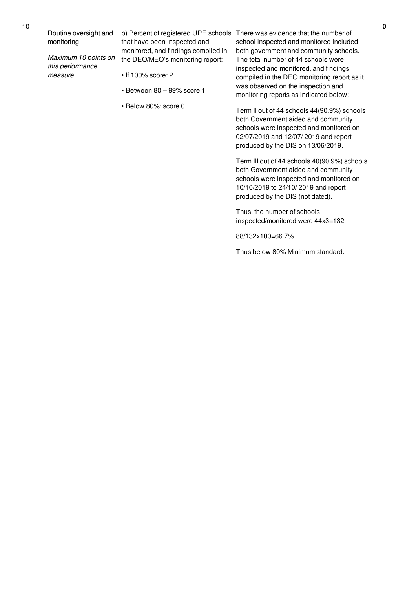Routine oversight and

10

monitoring

*Maximum 10 points on this performance measure*

- that have been inspected and monitored, and findings compiled in the DEO/MEO's monitoring report:
- If 100% score: 2
- Between 80 99% score 1
- Below 80%: score 0

b) Percent of registered UPE schools There was evidence that the number of school inspected and monitored included both government and community schools. The total number of 44 schools were inspected and monitored, and findings compiled in the DEO monitoring report as it was observed on the inspection and monitoring reports as indicated below:

> Term II out of 44 schools 44(90.9%) schools both Government aided and community schools were inspected and monitored on 02/07/2019 and 12/07/ 2019 and report produced by the DIS on 13/06/2019.

Term III out of 44 schools 40(90.9%) schools both Government aided and community schools were inspected and monitored on 10/10/2019 to 24/10/ 2019 and report produced by the DIS (not dated).

Thus, the number of schools inspected/monitored were 44x3=132

88/132x100=66.7%

Thus below 80% Minimum standard.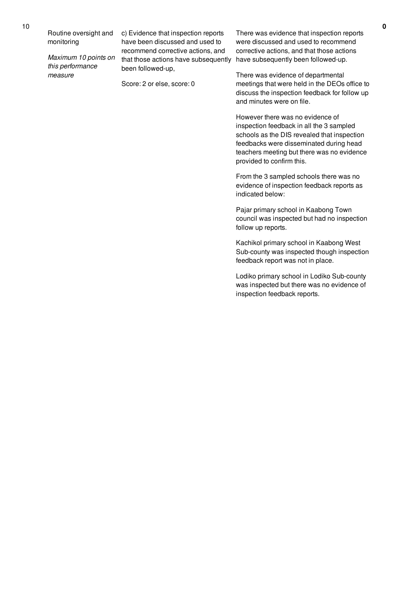*Maximum 10 points on this performance measure*

c) Evidence that inspection reports have been discussed and used to recommend corrective actions, and that those actions have subsequently been followed-up,

Score: 2 or else, score: 0

There was evidence that inspection reports were discussed and used to recommend corrective actions, and that those actions have subsequently been followed-up.

There was evidence of departmental meetings that were held in the DEOs office to discuss the inspection feedback for follow up and minutes were on file.

However there was no evidence of inspection feedback in all the 3 sampled schools as the DIS revealed that inspection feedbacks were disseminated during head teachers meeting but there was no evidence provided to confirm this.

From the 3 sampled schools there was no evidence of inspection feedback reports as indicated below:

Pajar primary school in Kaabong Town council was inspected but had no inspection follow up reports.

Kachikol primary school in Kaabong West Sub-county was inspected though inspection feedback report was not in place.

Lodiko primary school in Lodiko Sub-county was inspected but there was no evidence of inspection feedback reports.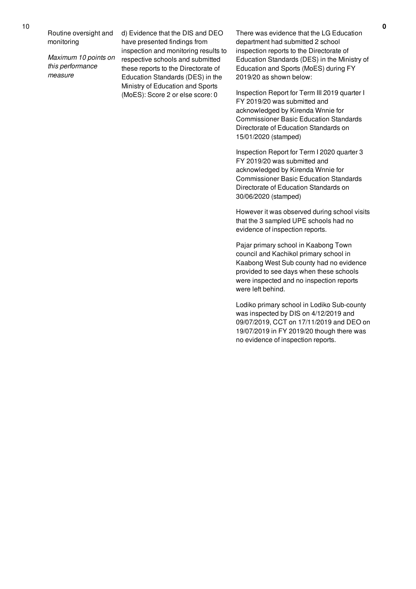Routine oversight and monitoring

*Maximum 10 points on this performance measure*

d) Evidence that the DIS and DEO have presented findings from inspection and monitoring results to respective schools and submitted these reports to the Directorate of Education Standards (DES) in the Ministry of Education and Sports (MoES): Score 2 or else score: 0

There was evidence that the LG Education department had submitted 2 school inspection reports to the Directorate of Education Standards (DES) in the Ministry of Education and Sports (MoES) during FY 2019/20 as shown below:

Inspection Report for Term III 2019 quarter I FY 2019/20 was submitted and acknowledged by Kirenda Wnnie for Commissioner Basic Education Standards Directorate of Education Standards on 15/01/2020 (stamped)

Inspection Report for Term I 2020 quarter 3 FY 2019/20 was submitted and acknowledged by Kirenda Wnnie for Commissioner Basic Education Standards Directorate of Education Standards on 30/06/2020 (stamped)

However it was observed during school visits that the 3 sampled UPE schools had no evidence of inspection reports.

Pajar primary school in Kaabong Town council and Kachikol primary school in Kaabong West Sub county had no evidence provided to see days when these schools were inspected and no inspection reports were left behind.

Lodiko primary school in Lodiko Sub-county was inspected by DIS on 4/12/2019 and 09/07/2019, CCT on 17/11/2019 and DEO on 19/07/2019 in FY 2019/20 though there was no evidence of inspection reports.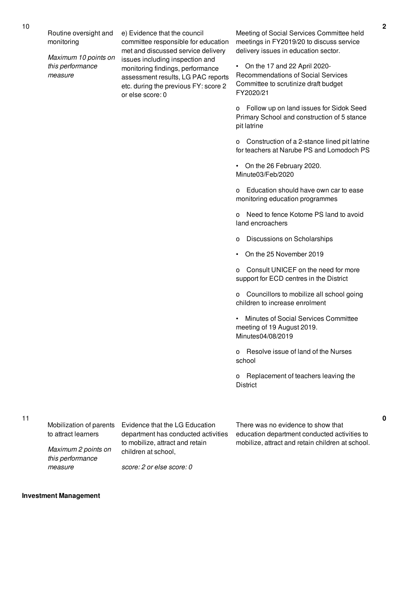Routine oversight and monitoring

*Maximum 10 points on this performance measure*

e) Evidence that the council committee responsible for education met and discussed service delivery issues including inspection and monitoring findings, performance assessment results, LG PAC reports etc. during the previous FY: score 2 or else score: 0

Meeting of Social Services Committee held meetings in FY2019/20 to discuss service delivery issues in education sector.

• On the 17 and 22 April 2020- Recommendations of Social Services Committee to scrutinize draft budget FY2020/21

o Follow up on land issues for Sidok Seed Primary School and construction of 5 stance pit latrine

o Construction of a 2-stance lined pit latrine for teachers at Narube PS and Lomodoch PS

• On the 26 February 2020. Minute03/Feb/2020

o Education should have own car to ease monitoring education programmes

o Need to fence Kotome PS land to avoid land encroachers

- o Discussions on Scholarships
- On the 25 November 2019

o Consult UNICEF on the need for more support for ECD centres in the District

o Councillors to mobilize all school going children to increase enrolment

• Minutes of Social Services Committee meeting of 19 August 2019. Minutes04/08/2019

o Resolve issue of land of the Nurses school

o Replacement of teachers leaving the **District** 

11

Mobilization of parents to attract learners

Evidence that the LG Education department has conducted activities to mobilize, attract and retain children at school,

There was no evidence to show that education department conducted activities to mobilize, attract and retain children at school.

*Maximum 2 points on this performance*

*score: 2 or else score: 0*

#### **Investment Management**

*measure*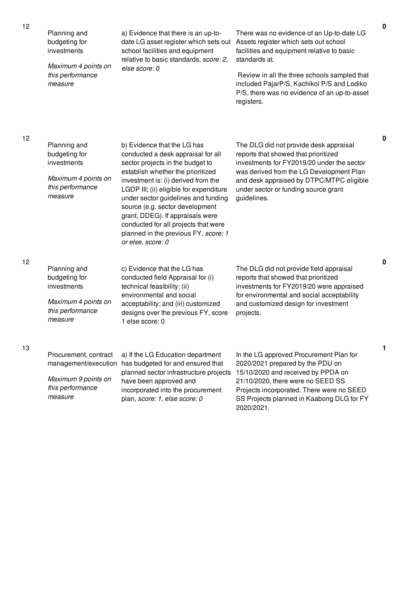| 12 | Planning and<br>budgeting for<br>investments<br>Maximum 4 points on<br>this performance<br>measure  | a) Evidence that there is an up-to-<br>date LG asset register which sets out<br>school facilities and equipment<br>relative to basic standards, score: 2,<br>else score: 0                                                                                                                                                                                                                                                                      | There was no evidence of an Up-to-date LG<br>Assets register which sets out school<br>facilities and equipment relative to basic<br>standards at.<br>Review in all the three schools sampled that<br>included PajarP/S, Kachikol P/S and Lodiko<br>P/S, there was no evidence of an up-to-asset<br>registers. | υ |
|----|-----------------------------------------------------------------------------------------------------|-------------------------------------------------------------------------------------------------------------------------------------------------------------------------------------------------------------------------------------------------------------------------------------------------------------------------------------------------------------------------------------------------------------------------------------------------|---------------------------------------------------------------------------------------------------------------------------------------------------------------------------------------------------------------------------------------------------------------------------------------------------------------|---|
| 12 | Planning and<br>budgeting for<br>investments<br>Maximum 4 points on<br>this performance<br>measure  | b) Evidence that the LG has<br>conducted a desk appraisal for all<br>sector projects in the budget to<br>establish whether the prioritized<br>investment is: (i) derived from the<br>LGDP III; (ii) eligible for expenditure<br>under sector guidelines and funding<br>source (e.g. sector development<br>grant, DDEG). If appraisals were<br>conducted for all projects that were<br>planned in the previous FY, score: 1<br>or else, score: 0 | The DLG did not provide desk appraisal<br>reports that showed that prioritized<br>investments for FY2019/20 under the sector<br>was derived from the LG Development Plan<br>and desk appraised by DTPC/MTPC eligible<br>under sector or funding source grant<br>guidelines.                                   | 0 |
| 12 | Planning and<br>budgeting for<br>investments<br>Maximum 4 points on<br>this performance<br>measure  | c) Evidence that the LG has<br>conducted field Appraisal for (i)<br>technical feasibility; (ii)<br>environmental and social<br>acceptability; and (iii) customized<br>designs over the previous FY, score<br>1 else score: 0                                                                                                                                                                                                                    | The DLG did not provide field appraisal<br>reports that showed that prioritized<br>investments for FY2019/20 were appraised<br>for environmental and social acceptability<br>and customized design for investment<br>projects.                                                                                | 0 |
| 13 | Procurement, contract<br>management/execution<br>Maximum 9 points on<br>this performance<br>measure | a) If the LG Education department<br>has budgeted for and ensured that<br>planned sector infrastructure projects<br>have been approved and<br>incorporated into the procurement<br>plan, score: 1, else score: 0                                                                                                                                                                                                                                | In the LG approved Procurement Plan for<br>2020/2021 prepared by the PDU on<br>15/10/2020 and received by PPDA on<br>21/10/2020, there were no SEED SS<br>Projects incorporated. There were no SEED<br>SS Projects planned in Kaabong DLG for FY<br>2020/2021.                                                | 1 |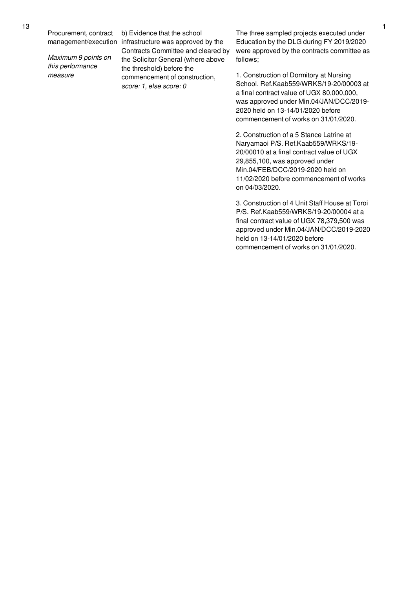Procurement, contract

*Maximum 9 points on this performance measure*

management/execution infrastructure was approved by the b) Evidence that the school Contracts Committee and cleared by the Solicitor General (where above the threshold) before the commencement of construction, *score: 1, else score: 0*

The three sampled projects executed under Education by the DLG during FY 2019/2020 were approved by the contracts committee as follows;

1. Construction of Dormitory at Nursing School. Ref.Kaab559/WRKS/19-20/00003 at a final contract value of UGX 80,000,000, was approved under Min.04/JAN/DCC/2019- 2020 held on 13-14/01/2020 before commencement of works on 31/01/2020.

2. Construction of a 5 Stance Latrine at Naryamaoi P/S. Ref.Kaab559/WRKS/19- 20/00010 at a final contract value of UGX 29,855,100, was approved under Min.04/FEB/DCC/2019-2020 held on 11/02/2020 before commencement of works on 04/03/2020.

3. Construction of 4 Unit Staff House at Toroi P/S. Ref.Kaab559/WRKS/19-20/00004 at a final contract value of UGX 78,379,500 was approved under Min.04/JAN/DCC/2019-2020 held on 13-14/01/2020 before commencement of works on 31/01/2020.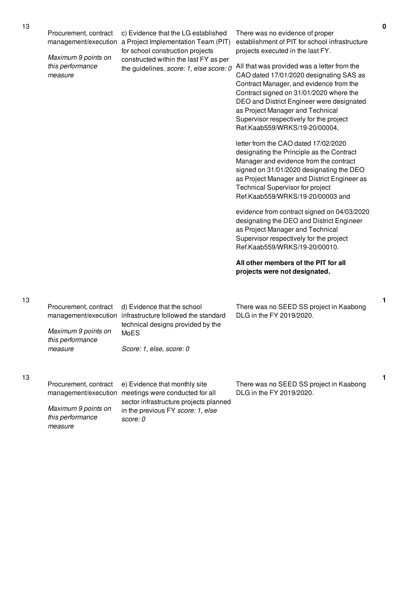13

13

*this performance*

*score: 0*

*measure*

| Procurement, contract<br>Maximum 9 points on<br>this performance | c) Evidence that the LG established<br>management/execution a Project Implementation Team (PIT)<br>for school construction projects<br>constructed within the last FY as per<br>the guidelines. score: 1, else score: 0                                                                    | There was no evidence of proper<br>establishment of PIT for school infrastructure<br>projects executed in the last FY.<br>All that was provided was a letter from the                                                                                                                          |
|------------------------------------------------------------------|--------------------------------------------------------------------------------------------------------------------------------------------------------------------------------------------------------------------------------------------------------------------------------------------|------------------------------------------------------------------------------------------------------------------------------------------------------------------------------------------------------------------------------------------------------------------------------------------------|
| measure                                                          | CAO dated 17/01/2020 designating SAS as<br>Contract Manager, and evidence from the<br>Contract signed on 31/01/2020 where the<br>DEO and District Engineer were designated<br>as Project Manager and Technical<br>Supervisor respectively for the project<br>Ref.Kaab559/WRKS/19-20/00004, |                                                                                                                                                                                                                                                                                                |
|                                                                  |                                                                                                                                                                                                                                                                                            | letter from the CAO dated 17/02/2020<br>designating the Principle as the Contract<br>Manager and evidence from the contract<br>signed on 31/01/2020 designating the DEO<br>as Project Manager and District Engineer as<br>Technical Supervisor for project<br>Ref.Kaab559/WRKS/19-20/00003 and |
|                                                                  |                                                                                                                                                                                                                                                                                            | evidence from contract signed on 04/03/2020<br>designating the DEO and District Engineer<br>as Project Manager and Technical<br>Supervisor respectively for the project<br>Ref.Kaab559/WRKS/19-20/00010.                                                                                       |
|                                                                  |                                                                                                                                                                                                                                                                                            | All other members of the PIT for all<br>projects were not designated.                                                                                                                                                                                                                          |
| Procurement, contract                                            | d) Evidence that the school<br>management/execution infrastructure followed the standard<br>technical designs provided by the                                                                                                                                                              | There was no SEED SS project in Kaabong<br>DLG in the FY 2019/2020.                                                                                                                                                                                                                            |
| Maximum 9 points on<br>this performance<br>measure               | MoES<br>Score: 1, else, score: 0                                                                                                                                                                                                                                                           |                                                                                                                                                                                                                                                                                                |
| Procurement, contract<br>management/execution                    | e) Evidence that monthly site<br>meetings were conducted for all<br>sector infrastructure projects planned                                                                                                                                                                                 | There was no SEED SS project in Kaabong<br>DLG in the FY 2019/2020.                                                                                                                                                                                                                            |
| Maximum 9 points on                                              | in the previous FY score: 1, else                                                                                                                                                                                                                                                          |                                                                                                                                                                                                                                                                                                |

**1**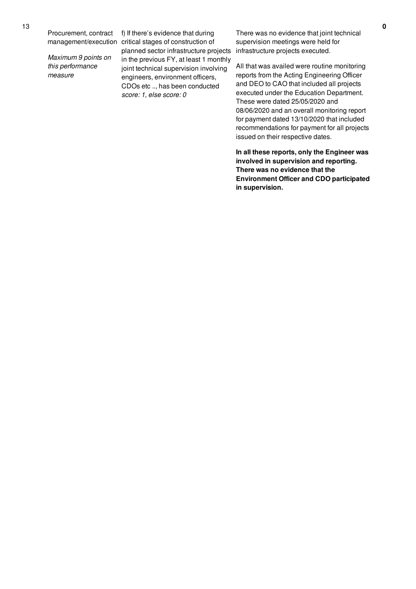Procurement, contract

*Maximum 9 points on this performance measure*

management/execution critical stages of construction of f) If there's evidence that during planned sector infrastructure projects infrastructure projects executed. in the previous FY, at least 1 monthly joint technical supervision involving engineers, environment officers, CDOs etc .., has been conducted *score: 1, else score: 0*

There was no evidence that joint technical supervision meetings were held for

All that was availed were routine monitoring reports from the Acting Engineering Officer and DEO to CAO that included all projects executed under the Education Department. These were dated 25/05/2020 and 08/06/2020 and an overall monitoring report for payment dated 13/10/2020 that included recommendations for payment for all projects issued on their respective dates.

**In all these reports, only the Engineer was involved in supervision and reporting. There was no evidence that the Environment Officer and CDO participated in supervision.**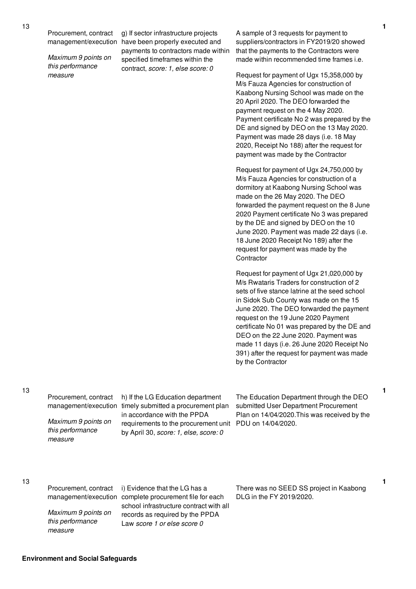Procurement, contract

*Maximum 9 points on this performance measure*

management/execution have been properly executed and g) If sector infrastructure projects payments to contractors made within specified timeframes within the contract, *score: 1, else score: 0*

A sample of 3 requests for payment to suppliers/contractors in FY2019/20 showed that the payments to the Contractors were made within recommended time frames i.e.

Request for payment of Ugx 15,358,000 by M/s Fauza Agencies for construction of Kaabong Nursing School was made on the 20 April 2020. The DEO forwarded the payment request on the 4 May 2020. Payment certificate No 2 was prepared by the DE and signed by DEO on the 13 May 2020. Payment was made 28 days (i.e. 18 May 2020, Receipt No 188) after the request for payment was made by the Contractor

Request for payment of Ugx 24,750,000 by M/s Fauza Agencies for construction of a dormitory at Kaabong Nursing School was made on the 26 May 2020. The DEO forwarded the payment request on the 8 June 2020 Payment certificate No 3 was prepared by the DE and signed by DEO on the 10 June 2020. Payment was made 22 days (i.e. 18 June 2020 Receipt No 189) after the request for payment was made by the **Contractor** 

Request for payment of Ugx 21,020,000 by M/s Rwataris Traders for construction of 2 sets of five stance latrine at the seed school in Sidok Sub County was made on the 15 June 2020. The DEO forwarded the payment request on the 19 June 2020 Payment certificate No 01 was prepared by the DE and DEO on the 22 June 2020. Payment was made 11 days (i.e. 26 June 2020 Receipt No 391) after the request for payment was made by the Contractor

13

Procurement, contract

*Maximum 9 points on this performance measure*

management/execution timely submitted a procurement plan h) If the LG Education department in accordance with the PPDA requirements to the procurement unit PDU on 14/04/2020. by April 30, *score: 1, else, score: 0*

The Education Department through the DEO submitted User Department Procurement Plan on 14/04/2020.This was received by the

Procurement, contract

*Maximum 9 points on this performance measure*

management/execution complete procurement file for each i) Evidence that the LG has a school infrastructure contract with all records as required by the PPDA Law *score 1 or else score 0*

There was no SEED SS project in Kaabong DLG in the FY 2019/2020.

**1**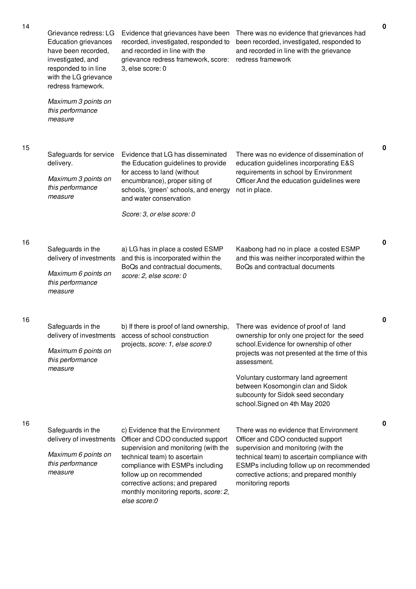| 14 | Grievance redress: LG<br><b>Education grievances</b><br>have been recorded,<br>investigated, and<br>responded to in line<br>with the LG grievance<br>redress framework. | Evidence that grievances have been<br>recorded, investigated, responded to<br>and recorded in line with the<br>grievance redress framework, score:<br>3, else score: 0                                                                                                                                    | There was no evidence that grievances had<br>been recorded, investigated, responded to<br>and recorded in line with the grievance<br>redress framework                                                                                                                                                                                            | $\mathbf 0$ |
|----|-------------------------------------------------------------------------------------------------------------------------------------------------------------------------|-----------------------------------------------------------------------------------------------------------------------------------------------------------------------------------------------------------------------------------------------------------------------------------------------------------|---------------------------------------------------------------------------------------------------------------------------------------------------------------------------------------------------------------------------------------------------------------------------------------------------------------------------------------------------|-------------|
|    | Maximum 3 points on<br>this performance<br>measure                                                                                                                      |                                                                                                                                                                                                                                                                                                           |                                                                                                                                                                                                                                                                                                                                                   |             |
| 15 | Safeguards for service<br>delivery.<br>Maximum 3 points on<br>this performance<br>measure                                                                               | Evidence that LG has disseminated<br>the Education guidelines to provide<br>for access to land (without<br>encumbrance), proper siting of<br>schools, 'green' schools, and energy<br>and water conservation<br>Score: 3, or else score: 0                                                                 | There was no evidence of dissemination of<br>education guidelines incorporating E&S<br>requirements in school by Environment<br>Officer. And the education guidelines were<br>not in place.                                                                                                                                                       | 0           |
| 16 | Safeguards in the<br>delivery of investments<br>Maximum 6 points on<br>this performance<br>measure                                                                      | a) LG has in place a costed ESMP<br>and this is incorporated within the<br>BoQs and contractual documents,<br>score: 2, else score: 0                                                                                                                                                                     | Kaabong had no in place a costed ESMP<br>and this was neither incorporated within the<br>BoQs and contractual documents                                                                                                                                                                                                                           | $\pmb{0}$   |
| 16 | Safeguards in the<br>Maximum 6 points on<br>this performance<br>measure                                                                                                 | b) If there is proof of land ownership,<br>delivery of investments access of school construction<br>projects, score: 1, else score: 0                                                                                                                                                                     | There was evidence of proof of land<br>ownership for only one project for the seed<br>school. Evidence for ownership of other<br>projects was not presented at the time of this<br>assessment.<br>Voluntary custormary land agreement<br>between Kosomongin clan and Sidok<br>subcounty for Sidok seed secondary<br>school.Signed on 4th May 2020 | 0           |
| 16 | Safeguards in the<br>delivery of investments<br>Maximum 6 points on<br>this performance<br>measure                                                                      | c) Evidence that the Environment<br>Officer and CDO conducted support<br>supervision and monitoring (with the<br>technical team) to ascertain<br>compliance with ESMPs including<br>follow up on recommended<br>corrective actions; and prepared<br>monthly monitoring reports, score: 2,<br>else score:0 | There was no evidence that Environment<br>Officer and CDO conducted support<br>supervision and monitoring (with the<br>technical team) to ascertain compliance with<br>ESMPs including follow up on recommended<br>corrective actions; and prepared monthly<br>monitoring reports                                                                 | 0           |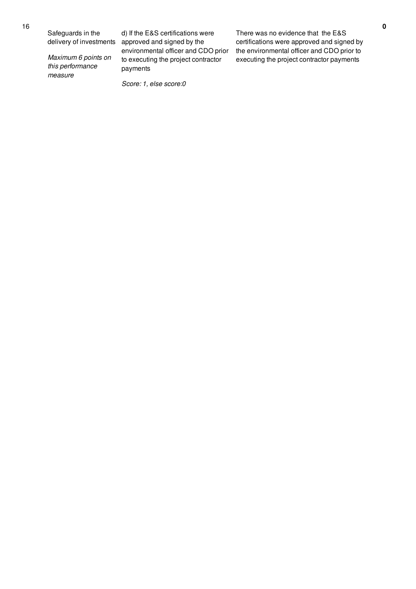Safeguards in the delivery of investments

*Maximum 6 points on this performance measure*

d) If the E&S certifications were approved and signed by the environmental officer and CDO prior to executing the project contractor payments

*Score: 1, else score:0*

There was no evidence that the E&S certifications were approved and signed by the environmental officer and CDO prior to executing the project contractor payments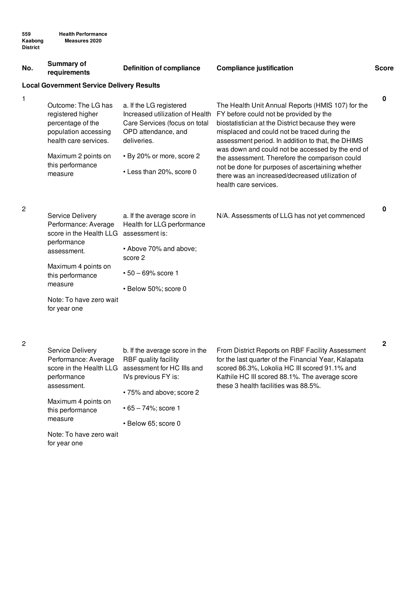| No.            | Summary of<br>requirements                                                                                     | <b>Definition of compliance</b>                                                                                                   | <b>Compliance justification</b>                                                                                                                                                                                                                       | <b>Score</b> |
|----------------|----------------------------------------------------------------------------------------------------------------|-----------------------------------------------------------------------------------------------------------------------------------|-------------------------------------------------------------------------------------------------------------------------------------------------------------------------------------------------------------------------------------------------------|--------------|
|                | <b>Local Government Service Delivery Results</b>                                                               |                                                                                                                                   |                                                                                                                                                                                                                                                       |              |
| 1              | Outcome: The LG has<br>registered higher<br>percentage of the<br>population accessing<br>health care services. | a. If the LG registered<br>Increased utilization of Health<br>Care Services (focus on total<br>OPD attendance, and<br>deliveries. | The Health Unit Annual Reports (HMIS 107) for the<br>FY before could not be provided by the<br>biostatistician at the District because they were<br>misplaced and could not be traced during the<br>assessment period. In addition to that, the DHIMS | 0            |
|                | Maximum 2 points on<br>this performance<br>measure                                                             | • By 20% or more, score 2<br>• Less than 20%, score 0                                                                             | was down and could not be accessed by the end of<br>the assessment. Therefore the comparison could<br>not be done for purposes of ascertaining whether<br>there was an increased/decreased utilization of<br>health care services.                    |              |
| $\overline{c}$ | Service Delivery<br>Performance: Average<br>score in the Health LLG<br>performance                             | a. If the average score in<br>Health for LLG performance<br>assessment is:                                                        | N/A. Assessments of LLG has not yet commenced                                                                                                                                                                                                         | 0            |
|                | assessment.                                                                                                    | • Above 70% and above;<br>score 2                                                                                                 |                                                                                                                                                                                                                                                       |              |
|                | Maximum 4 points on<br>this performance                                                                        | $\cdot$ 50 - 69% score 1                                                                                                          |                                                                                                                                                                                                                                                       |              |
|                | measure                                                                                                        | · Below 50%; score 0                                                                                                              |                                                                                                                                                                                                                                                       |              |
|                | Note: To have zero wait<br>for year one                                                                        |                                                                                                                                   |                                                                                                                                                                                                                                                       |              |
| 2              | <b>Service Delivery</b>                                                                                        | b. If the average score in the                                                                                                    | From District Reports on RBF Facility Assessment                                                                                                                                                                                                      | $\mathbf 2$  |

| Service Delivery        | b. If the average score in the |
|-------------------------|--------------------------------|
| Performance: Average    | RBF quality facility           |
| score in the Health LLG | assessment for HC IIIs and     |
| performance             | IVs previous FY is:            |
| assessment.             |                                |
|                         | • 75% and above; score 2       |
| Maximum 4 points on     |                                |
| this performance        | • 65 – 74%; score 1            |
| measure                 | • Below 65; score 0            |
| Note: To have zero wait |                                |
| for year one            |                                |

From District Reports on RBF Facility Assessment for the last quarter of the Financial Year, Kalapata scored 86.3%, Lokolia HC III scored 91.1% and Kathile HC III scored 88.1%. The average score these 3 health facilities was 88.5%.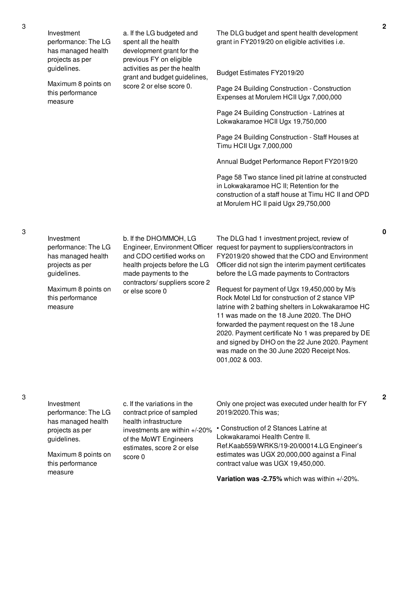Investment performance: The LG has managed health projects as per guidelines.

Maximum 8 points on this performance measure

a. If the LG budgeted and spent all the health development grant for the previous FY on eligible activities as per the health grant and budget guidelines, score 2 or else score 0.

The DLG budget and spent health development grant in FY2019/20 on eligible activities i.e.

Budget Estimates FY2019/20

Page 24 Building Construction - Construction Expenses at Morulem HCII Ugx 7,000,000

Page 24 Building Construction - Latrines at Lokwakaramoe HCII Ugx 19,750,000

Page 24 Building Construction - Staff Houses at Timu HCII Ugx 7,000,000

Annual Budget Performance Report FY2019/20

Page 58 Two stance lined pit latrine at constructed in Lokwakaramoe HC II; Retention for the construction of a staff house at Timu HC II and OPD at Morulem HC II paid Ugx 29,750,000

Investment performance: The LG has managed health projects as per guidelines.

Maximum 8 points on this performance measure

b. If the DHO/MMOH, LG and CDO certified works on health projects before the LG made payments to the contractors/ suppliers score 2 or else score 0

Engineer, Environment Officer request for payment to suppliers/contractors in The DLG had 1 investment project, review of FY2019/20 showed that the CDO and Environment Officer did not sign the interim payment certificates before the LG made payments to Contractors

> Request for payment of Ugx 19,450,000 by M/s Rock Motel Ltd for construction of 2 stance VIP latrine with 2 bathing shelters in Lokwakaramoe HC 11 was made on the 18 June 2020. The DHO forwarded the payment request on the 18 June 2020. Payment certificate No 1 was prepared by DE and signed by DHO on the 22 June 2020. Payment was made on the 30 June 2020 Receipt Nos. 001,002 & 003.

measure

| Investment<br>performance: The LG                    | c. If the variations in the<br>contract price of sampled                                                      | Only one project was executed under health for FY<br>2019/2020. This was:                                              |
|------------------------------------------------------|---------------------------------------------------------------------------------------------------------------|------------------------------------------------------------------------------------------------------------------------|
| has managed health<br>projects as per<br>guidelines. | health infrastructure<br>investments are within +/-20%<br>of the MoWT Engineers<br>estimates, score 2 or else | • Construction of 2 Stances Latrine at<br>Lokwakaramoi Health Centre II.<br>Ref.Kaab559/WRKS/19-20/00014.LG Engineer's |
| Maximum 8 points on<br>this performance              | score 0                                                                                                       | estimates was UGX 20,000,000 against a Final<br>contract value was UGX 19,450,000.                                     |

**Variation was -2.75%** which was within +/-20%.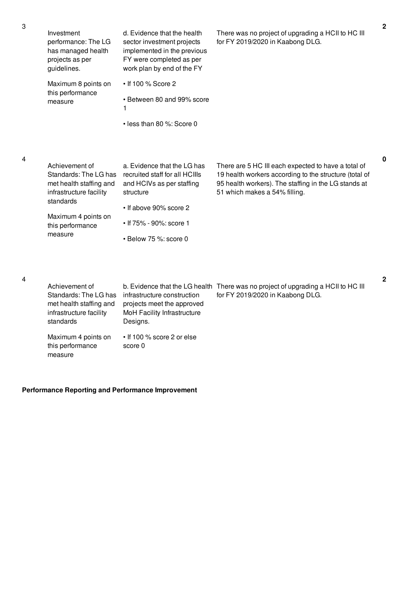| Investment<br>performance: The LG<br>has managed health<br>projects as per<br>guidelines.                                                                        | d. Evidence that the health<br>sector investment projects<br>implemented in the previous<br>FY were completed as per<br>work plan by end of the FY                                          | There was no project of upgrading a HCII to HC III<br>for FY 2019/2020 in Kaabong DLG.                                                                                                                 | $\mathbf{2}$ |
|------------------------------------------------------------------------------------------------------------------------------------------------------------------|---------------------------------------------------------------------------------------------------------------------------------------------------------------------------------------------|--------------------------------------------------------------------------------------------------------------------------------------------------------------------------------------------------------|--------------|
| Maximum 8 points on<br>this performance<br>measure                                                                                                               | • If 100 % Score 2<br>• Between 80 and 99% score<br>1<br>• less than 80 %: Score 0                                                                                                          |                                                                                                                                                                                                        |              |
| Achievement of<br>Standards: The LG has<br>met health staffing and<br>infrastructure facility<br>standards<br>Maximum 4 points on<br>this performance<br>measure | a. Evidence that the LG has<br>recruited staff for all HCIIIs<br>and HCIVs as per staffing<br>structure<br>• If above 90% score 2<br>• If 75% - 90%: score 1<br>$\cdot$ Below 75 %: score 0 | There are 5 HC III each expected to have a total of<br>19 health workers according to the structure (total of<br>95 health workers). The staffing in the LG stands at<br>51 which makes a 54% filling. | $\mathbf{0}$ |
| Achievement of<br>Standards: The LG has<br>met health staffing and<br>infrastructure facility<br>standards                                                       | infrastructure construction<br>projects meet the approved<br>MoH Facility Infrastructure<br>Designs.                                                                                        | b. Evidence that the LG health There was no project of upgrading a HCII to HC III<br>for FY 2019/2020 in Kaabong DLG.                                                                                  | $\mathbf{2}$ |

# **Performance Reporting and Performance Improvement**

this performance

measure

Maximum 4 points on • If 100 % score 2 or else

score 0

4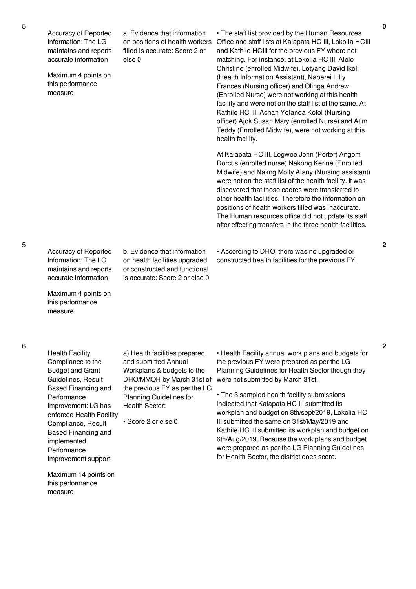Accuracy of Reported Information: The LG maintains and reports accurate information

Maximum 4 points on this performance measure

a. Evidence that information on positions of health workers filled is accurate: Score 2 or else 0

• The staff list provided by the Human Resources Office and staff lists at Kalapata HC III, Lokolia HCIII and Kathile HCIII for the previous FY where not matching. For instance, at Lokolia HC III, Alelo Christine (enrolled Midwife), Lotyang David Ikoli (Health Information Assistant), Naberei Lilly Frances (Nursing officer) and Olinga Andrew (Enrolled Nurse) were not working at this health facility and were not on the staff list of the same. At Kathile HC III, Achan Yolanda Kotol (Nursing officer) Ajok Susan Mary (enrolled Nurse) and Atim Teddy (Enrolled Midwife), were not working at this health facility.

At Kalapata HC III, Logwee John (Porter) Angom Dorcus (enrolled nurse) Nakong Kerine (Enrolled Midwife) and Nakng Molly Alany (Nursing assistant) were not on the staff list of the health facility. It was discovered that those cadres were transferred to other health facilities. Therefore the information on positions of health workers filled was inaccurate. The Human resources office did not update its staff after effecting transfers in the three health facilities.

• According to DHO, there was no upgraded or constructed health facilities for the previous FY. **2**

5

Accuracy of Reported Information: The LG maintains and reports accurate information

Maximum 4 points on this performance measure

b. Evidence that information on health facilities upgraded or constructed and functional is accurate: Score 2 or else 0

6

Health Facility Compliance to the Budget and Grant Guidelines, Result Based Financing and Performance Improvement: LG has enforced Health Facility Compliance, Result Based Financing and implemented Performance Improvement support.

a) Health facilities prepared and submitted Annual Workplans & budgets to the DHO/MMOH by March 31st of the previous FY as per the LG Planning Guidelines for Health Sector:

• Score 2 or else 0

• Health Facility annual work plans and budgets for the previous FY were prepared as per the LG Planning Guidelines for Health Sector though they were not submitted by March 31st.

• The 3 sampled health facility submissions indicated that Kalapata HC III submitted its workplan and budget on 8th/sept/2019, Lokolia HC III submitted the same on 31st/May/2019 and Kathile HC III submitted its workplan and budget on 6th/Aug/2019. Because the work plans and budget were prepared as per the LG Planning Guidelines for Health Sector, the district does score.

Maximum 14 points on this performance measure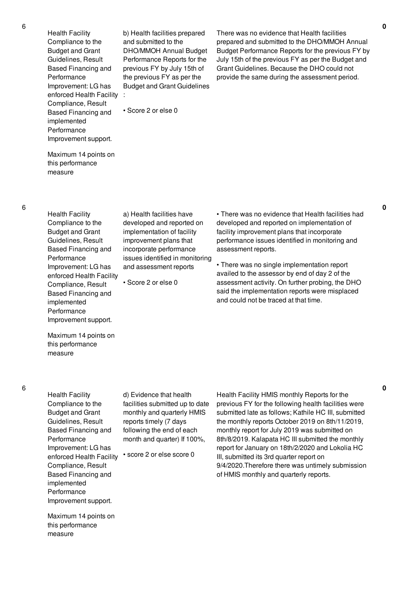Health Facility Compliance to the Budget and Grant Guidelines, Result Based Financing and Performance Improvement: LG has enforced Health Facility : Compliance, Result Based Financing and implemented Performance Improvement support.

b) Health facilities prepared and submitted to the DHO/MMOH Annual Budget Performance Reports for the previous FY by July 15th of the previous FY as per the Budget and Grant Guidelines There was no evidence that Health facilities prepared and submitted to the DHO/MMOH Annual Budget Performance Reports for the previous FY by July 15th of the previous FY as per the Budget and Grant Guidelines. Because the DHO could not provide the same during the assessment period.

• Score 2 or else 0

Maximum 14 points on this performance measure

6

Health Facility Compliance to the Budget and Grant Guidelines, Result Based Financing and Performance Improvement: LG has enforced Health Facility Compliance, Result Based Financing and implemented Performance Improvement support.

a) Health facilities have developed and reported on implementation of facility improvement plans that incorporate performance issues identified in monitoring and assessment reports

• Score 2 or else 0

• There was no evidence that Health facilities had developed and reported on implementation of facility improvement plans that incorporate performance issues identified in monitoring and assessment reports.

• There was no single implementation report availed to the assessor by end of day 2 of the assessment activity. On further probing, the DHO said the implementation reports were misplaced and could not be traced at that time.

Maximum 14 points on this performance measure

Health Facility Compliance to the Budget and Grant Guidelines, Result Based Financing and Performance Improvement: LG has enforced Health Facility Compliance, Result Based Financing and implemented Performance Improvement support.

Maximum 14 points on this performance

measure

d) Evidence that health facilities submitted up to date monthly and quarterly HMIS reports timely (7 days following the end of each month and quarter) If 100%,

• score 2 or else score 0

Health Facility HMIS monthly Reports for the previous FY for the following health facilities were submitted late as follows; Kathile HC III, submitted the monthly reports October 2019 on 8th/11/2019, monthly report for July 2019 was submitted on 8th/8/2019. Kalapata HC III submitted the monthly report for January on 18th/2/2020 and Lokolia HC III, submitted its 3rd quarter report on 9/4/2020.Therefore there was untimely submission of HMIS monthly and quarterly reports.

**0**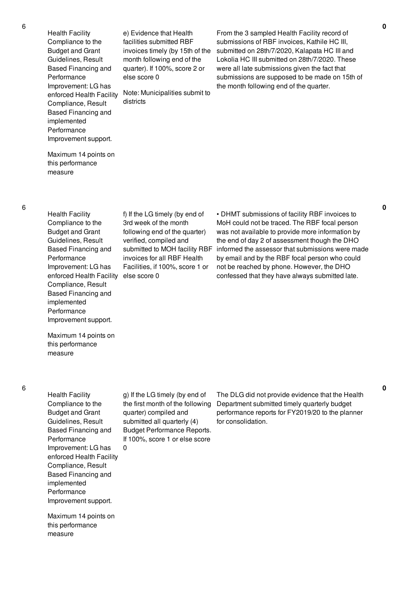Health Facility Compliance to the Budget and Grant Guidelines, Result Based Financing and Performance Improvement: LG has enforced Health Facility Compliance, Result Based Financing and implemented Performance Improvement support.

e) Evidence that Health facilities submitted RBF invoices timely (by 15th of the month following end of the quarter). If 100%, score 2 or else score 0

Note: Municipalities submit to districts

From the 3 sampled Health Facility record of submissions of RBF invoices, Kathile HC III, submitted on 28th/7/2020, Kalapata HC III and Lokolia HC III submitted on 28th/7/2020. These were all late submissions given the fact that submissions are supposed to be made on 15th of the month following end of the quarter.

Maximum 14 points on this performance measure

- Health Facility Compliance to the Budget and Grant Guidelines, Result Based Financing and Performance Improvement: LG has enforced Health Facility else score 0 Compliance, Result Based Financing and implemented Performance Improvement support.
	- f) If the LG timely (by end of 3rd week of the month following end of the quarter) verified, compiled and submitted to MOH facility RBF invoices for all RBF Health Facilities, if 100%, score 1 or

• DHMT submissions of facility RBF invoices to MoH could not be traced. The RBF focal person was not available to provide more information by the end of day 2 of assessment though the DHO informed the assessor that submissions were made by email and by the RBF focal person who could not be reached by phone. However, the DHO confessed that they have always submitted late.

Maximum 14 points on this performance measure

Health Facility Compliance to the Budget and Grant Guidelines, Result Based Financing and Performance Improvement: LG has enforced Health Facility Compliance, Result Based Financing and implemented Performance Improvement support.  $\Omega$ 

Maximum 14 points on this performance

measure

g) If the LG timely (by end of the first month of the following quarter) compiled and submitted all quarterly (4) Budget Performance Reports. If 100%, score 1 or else score

The DLG did not provide evidence that the Health Department submitted timely quarterly budget performance reports for FY2019/20 to the planner for consolidation.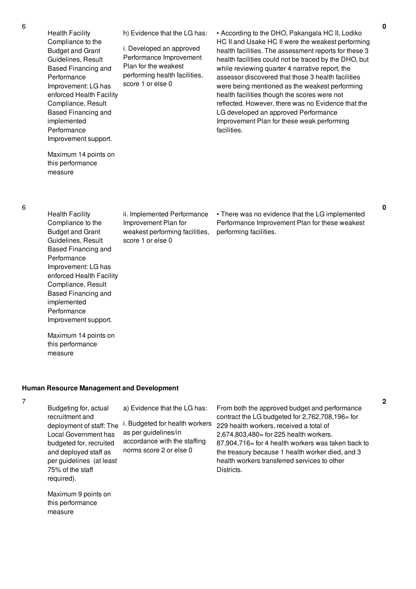**0**

**2**

enforced Health Facility h) Evidence that the LG has: i. Developed an approved Performance Improvement Plan for the weakest performing health facilities, score 1 or else 0 • According to the DHO, Pakangala HC II, Lodiko HC II and Usake HC II were the weakest performing health facilities. The assessment reports for these 3 health facilities could not be traced by the DHO, but while reviewing quarter 4 narrative report, the assessor discovered that those 3 health facilities were being mentioned as the weakest performing health facilities though the scores were not reflected. However, there was no Evidence that the LG developed an approved Performance Improvement Plan for these weak performing facilities.

Maximum 14 points on this performance measure

Improvement support.

Health Facility Compliance to the Budget and Grant Guidelines, Result Based Financing and

Performance

implemented Performance

Improvement: LG has

Compliance, Result Based Financing and

6

- Health Facility Compliance to the Budget and Grant Guidelines, Result Based Financing and Performance Improvement: LG has enforced Health Facility Compliance, Result Based Financing and implemented Performance Improvement support. ii. Implemented Performance
	- Improvement Plan for weakest performing facilities, score 1 or else 0

• There was no evidence that the LG implemented Performance Improvement Plan for these weakest performing facilities.

Maximum 14 points on this performance measure

#### **Human Resource Management and Development**

7

Budgeting for, actual recruitment and deployment of staff: The i. Budgeted for health workers Local Government has budgeted for, recruited and deployed staff as per guidelines (at least 75% of the staff required). a) Evidence that the LG has: as per guidelines/in accordance with the staffing norms score 2 or else 0 Districts.

Maximum 9 points on this performance measure

From both the approved budget and performance contract the LG budgeted for 2,762,708,196= for 229 health workers, received a total of 2,674,803,480= for 225 health workers. 87,904,716= for 4 health workers was taken back to the treasury because 1 health worker died, and 3 health workers transferred services to other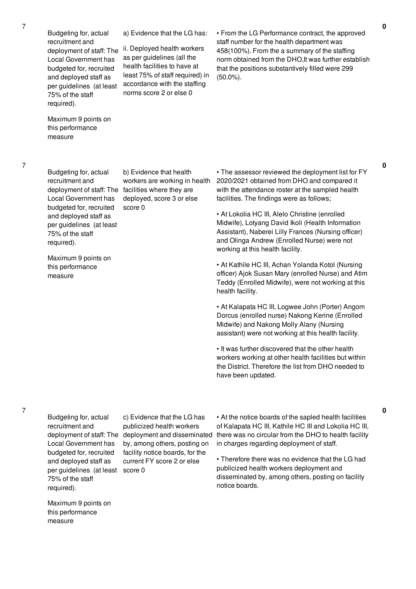Budgeting for, actual recruitment and deployment of staff: The Local Government has budgeted for, recruited and deployed staff as per guidelines (at least 75% of the staff required).

Maximum 9 points on this performance measure

a) Evidence that the LG has:

ii. Deployed health workers as per guidelines (all the health facilities to have at least 75% of staff required) in accordance with the staffing norms score 2 or else 0

• From the LG Performance contract, the approved staff number for the health department was 458(100%). From the a summary of the staffing norm obtained from the DHO,It was further establish that the positions substantively filled were 299 (50.0%).

7

Budgeting for, actual recruitment and Local Government has budgeted for, recruited and deployed staff as per guidelines (at least 75% of the staff required).

deployment of staff: The facilities where they are workers are working in health deployed, score 3 or else score 0

b) Evidence that health

Maximum 9 points on this performance measure

• The assessor reviewed the deployment list for FY 2020/2021 obtained from DHO and compared it with the attendance roster at the sampled health facilities. The findings were as follows;

• At Lokolia HC III, Alelo Christine (enrolled Midwife), Lotyang David Ikoli (Health Information Assistant), Naberei Lilly Frances (Nursing officer) and Olinga Andrew (Enrolled Nurse) were not working at this health facility.

• At Kathile HC III, Achan Yolanda Kotol (Nursing officer) Ajok Susan Mary (enrolled Nurse) and Atim Teddy (Enrolled Midwife), were not working at this health facility.

• At Kalapata HC III, Logwee John (Porter) Angom Dorcus (enrolled nurse) Nakong Kerine (Enrolled Midwife) and Nakong Molly Alany (Nursing assistant) were not working at this health facility.

• It was further discovered that the other health workers working at other health facilities but within the District. Therefore the list from DHO needed to have been updated.

7

Budgeting for, actual recruitment and Local Government has budgeted for, recruited and deployed staff as per guidelines (at least score 0 75% of the staff required).

deployment of staff: The deployment and disseminated c) Evidence that the LG has publicized health workers by, among others, posting on facility notice boards, for the current FY score 2 or else

• At the notice boards of the sapled health facilities of Kalapata HC III, Kathile HC III and Lokolia HC III, there was no circular from the DHO to health facility in charges regarding deployment of staff.

• Therefore there was no evidence that the LG had publicized health workers deployment and disseminated by, among others, posting on facility notice boards.

Maximum 9 points on this performance measure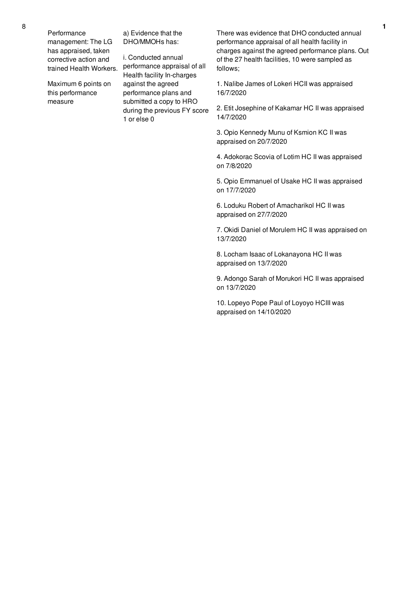Performance management: The LG has appraised, taken corrective action and trained Health Workers.

Maximum 6 points on this performance measure

a) Evidence that the DHO/MMOHs has:

i. Conducted annual performance appraisal of all Health facility In-charges against the agreed performance plans and submitted a copy to HRO during the previous FY score 1 or else 0

There was evidence that DHO conducted annual performance appraisal of all health facility in charges against the agreed performance plans. Out of the 27 health facilities, 10 were sampled as follows;

1. Nalibe James of Lokeri HCII was appraised 16/7/2020

2. Etit Josephine of Kakamar HC II was appraised 14/7/2020

3. Opio Kennedy Munu of Ksmion KC II was appraised on 20/7/2020

4. Adokorac Scovia of Lotim HC II was appraised on 7/8/2020

5. Opio Emmanuel of Usake HC II was appraised on 17/7/2020

6. Loduku Robert of Amacharikol HC II was appraised on 27/7/2020

7. Okidi Daniel of Morulem HC II was appraised on 13/7/2020

8. Locham Isaac of Lokanayona HC II was appraised on 13/7/2020

9. Adongo Sarah of Morukori HC II was appraised on 13/7/2020

10. Lopeyo Pope Paul of Loyoyo HCIII was appraised on 14/10/2020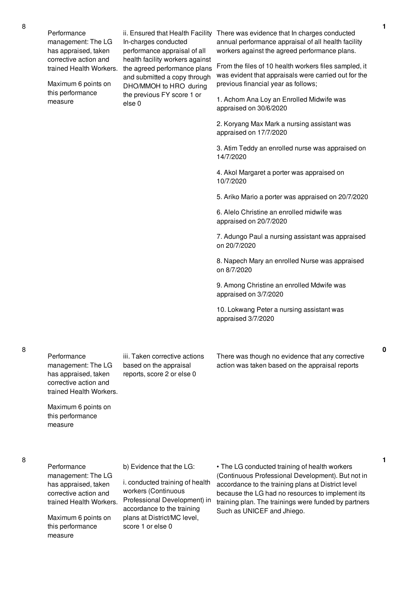Performance management: The LG has appraised, taken corrective action and trained Health Workers.

Maximum 6 points on this performance measure

ii. Ensured that Health Facility In-charges conducted performance appraisal of all health facility workers against the agreed performance plans and submitted a copy through DHO/MMOH to HRO during the previous FY score 1 or else 0

There was evidence that In charges conducted annual performance appraisal of all health facility workers against the agreed performance plans.

From the files of 10 health workers files sampled, it was evident that appraisals were carried out for the previous financial year as follows;

1. Achom Ana Loy an Enrolled Midwife was appraised on 30/6/2020

2. Koryang Max Mark a nursing assistant was appraised on 17/7/2020

3. Atim Teddy an enrolled nurse was appraised on 14/7/2020

4. Akol Margaret a porter was appraised on 10/7/2020

5. Ariko Mario a porter was appraised on 20/7/2020

6. Alelo Christine an enrolled midwife was appraised on 20/7/2020

7. Adungo Paul a nursing assistant was appraised on 20/7/2020

8. Napech Mary an enrolled Nurse was appraised on 8/7/2020

9. Among Christine an enrolled Mdwife was appraised on 3/7/2020

10. Lokwang Peter a nursing assistant was appraised 3/7/2020

Performance management: The LG has appraised, taken corrective action and trained Health Workers.

Maximum 6 points on this performance

measure

iii. Taken corrective actions based on the appraisal reports, score 2 or else 0

There was though no evidence that any corrective action was taken based on the appraisal reports

**1**

## 8

Performance management: The LG has appraised, taken corrective action and trained Health Workers.

Maximum 6 points on this performance measure

#### b) Evidence that the LG:

i. conducted training of health workers (Continuous Professional Development) in accordance to the training plans at District/MC level, score 1 or else 0

• The LG conducted training of health workers (Continuous Professional Development). But not in accordance to the training plans at District level because the LG had no resources to implement its training plan. The trainings were funded by partners Such as UNICEF and Jhiego.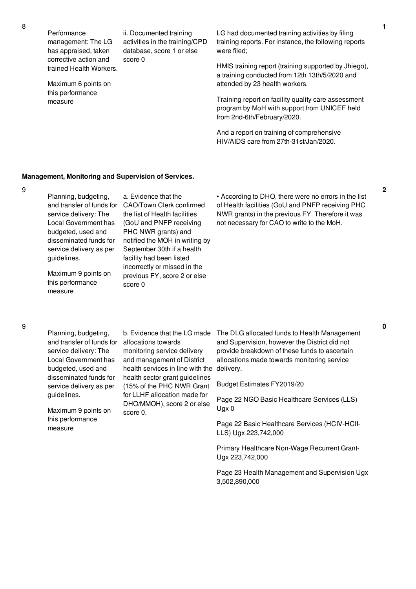Performance management: The LG has appraised, taken corrective action and trained Health Workers.

ii. Documented training activities in the training/CPD database, score 1 or else score 0

Maximum 6 points on this performance measure

LG had documented training activities by filing training reports. For instance, the following reports were filed;

HMIS training report (training supported by Jhiego), a training conducted from 12th 13th/5/2020 and attended by 23 health workers.

Training report on facility quality care assessment program by MoH with support from UNICEF held from 2nd-6th/February/2020.

And a report on training of comprehensive HIV/AIDS care from 27th-31st/Jan/2020.

#### **Management, Monitoring and Supervision of Services.**

9

| Planning, budgeting,      | a. Evidence that the           | • According to DHO,     |
|---------------------------|--------------------------------|-------------------------|
| and transfer of funds for | CAO/Town Clerk confirmed       | of Health facilities (G |
| service delivery: The     | the list of Health facilities  | NWR grants) in the p    |
| Local Government has      | (GoU and PNFP receiving        | not necessary for CA    |
| budgeted, used and        | PHC NWR grants) and            |                         |
| disseminated funds for    | notified the MOH in writing by |                         |
| service delivery as per   | September 30th if a health     |                         |
| guidelines.               | facility had been listed       |                         |
|                           | incorrectly or missed in the   |                         |
| Maximum 9 points on       | previous FY, score 2 or else   |                         |
| this performance          | ecora N                        |                         |

score 0

there were no errors in the list GoU and PNFP receiving PHC orevious FY. Therefore it was  $A\Omega$  to write to the MoH.

Planning, budgeting, and transfer of funds for service delivery: The Local Government has budgeted, used and disseminated funds for service delivery as per guidelines.

measure

Maximum 9 points on this performance measure

allocations towards monitoring service delivery and management of District health services in line with the health sector grant guidelines (15% of the PHC NWR Grant for LLHF allocation made for DHO/MMOH), score 2 or else score 0.

b. Evidence that the LG made The DLG allocated funds to Health Management and Supervision, however the District did not provide breakdown of these funds to ascertain allocations made towards monitoring service delivery.

Budget Estimates FY2019/20

Page 22 NGO Basic Healthcare Services (LLS) Ugx 0

Page 22 Basic Healthcare Services (HCIV-HCII-LLS) Ugx 223,742,000

Primary Healthcare Non-Wage Recurrent Grant-Ugx 223,742,000

Page 23 Health Management and Supervision Ugx 3,502,890,000

**2**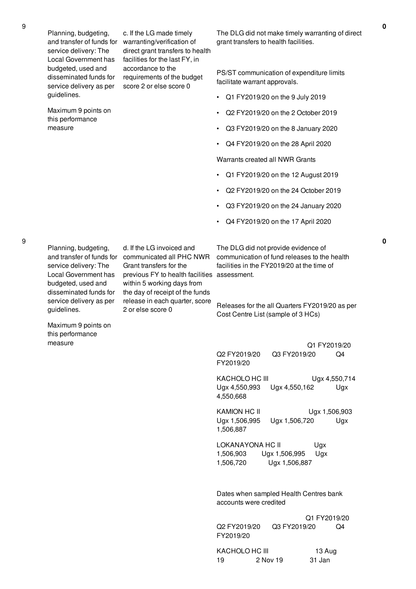9

Planning, budgeting, service delivery: The Local Government has budgeted, used and disseminated funds for service delivery as per guidelines.

accordance to the score 2 or else score 0

Maximum 9 points on this performance measure

and transfer of funds for warranting/verification of c. If the LG made timely direct grant transfers to health facilities for the last FY, in requirements of the budget

The DLG did not make timely warranting of direct grant transfers to health facilities.

PS/ST communication of expenditure limits facilitate warrant approvals.

- Q1 FY2019/20 on the 9 July 2019
- Q2 FY2019/20 on the 2 October 2019
- Q3 FY2019/20 on the 8 January 2020
- Q4 FY2019/20 on the 28 April 2020

Warrants created all NWR Grants

- Q1 FY2019/20 on the 12 August 2019
- Q2 FY2019/20 on the 24 October 2019
- Q3 FY2019/20 on the 24 January 2020
- Q4 FY2019/20 on the 17 April 2020

service delivery: The Local Government has budgeted, used and disseminated funds for service delivery as per guidelines.

and transfer of funds for communicated all PHC NWR d. If the LG invoiced and Grant transfers for the previous FY to health facilities assessment. within 5 working days from the day of receipt of the funds release in each quarter, score 2 or else score 0

The DLG did not provide evidence of communication of fund releases to the health facilities in the FY2019/20 at the time of

Releases for the all Quarters FY2019/20 as per Cost Centre List (sample of 3 HCs)

Q1 FY2019/20 Q2 FY2019/20 Q3 FY2019/20 Q4 FY2019/20

KACHOLO HC III Ugx 4,550,714 Ugx 4,550,993 Ugx 4,550,162 Ugx 4,550,668

KAMION HC II Ugx 1,506,903 Ugx 1,506,995 Ugx 1,506,720 Ugx 1,506,887

LOKANAYONA HC II Ugx 1,506,903 Ugx 1,506,995 Ugx 1,506,720 Ugx 1,506,887

Dates when sampled Health Centres bank accounts were credited

Q1 FY2019/20 Q2 FY2019/20 Q3 FY2019/20 Q4 FY2019/20

KACHOLO HC III 13 Aug 19 2 Nov 19 31 Jan

**0**

Planning, budgeting,

Maximum 9 points on this performance measure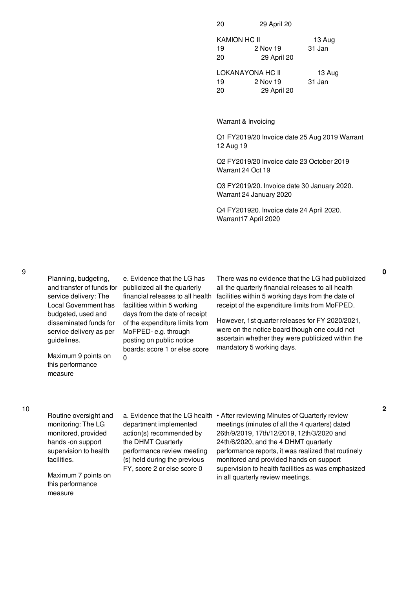20 29 April 20

KAMION HC II 13 Aug 19 2 Nov 19 31 Jan 20 29 April 20

LOKANAYONA HC II 13 Aug 19 2 Nov 19 31 Jan 20 29 April 20

Warrant & Invoicing

Q1 FY2019/20 Invoice date 25 Aug 2019 Warrant 12 Aug 19

Q2 FY2019/20 Invoice date 23 October 2019 Warrant 24 Oct 19

Q3 FY2019/20. Invoice date 30 January 2020. Warrant 24 January 2020

Q4 FY201920. Invoice date 24 April 2020. Warrant17 April 2020

Planning, budgeting, and transfer of funds for service delivery: The Local Government has budgeted, used and disseminated funds for service delivery as per guidelines.

Maximum 9 points on this performance measure

e. Evidence that the LG has publicized all the quarterly financial releases to all health facilities within 5 working days from the date of receipt of the expenditure limits from MoFPED- e.g. through posting on public notice boards: score 1 or else score  $\Omega$ 

There was no evidence that the LG had publicized all the quarterly financial releases to all health facilities within 5 working days from the date of receipt of the expenditure limits from MoFPED.

However, 1st quarter releases for FY 2020/2021, were on the notice board though one could not ascertain whether they were publicized within the mandatory 5 working days.

Routine oversight and monitoring: The LG monitored, provided hands -on support supervision to health facilities.

Maximum 7 points on this performance measure

department implemented action(s) recommended by the DHMT Quarterly performance review meeting (s) held during the previous FY, score 2 or else score 0

a. Evidence that the LG health • After reviewing Minutes of Quarterly review meetings (minutes of all the 4 quarters) dated 26th/9/2019, 17th/12/2019, 12th/3/2020 and 24th/6/2020, and the 4 DHMT quarterly performance reports, it was realized that routinely monitored and provided hands on support supervision to health facilities as was emphasized in all quarterly review meetings.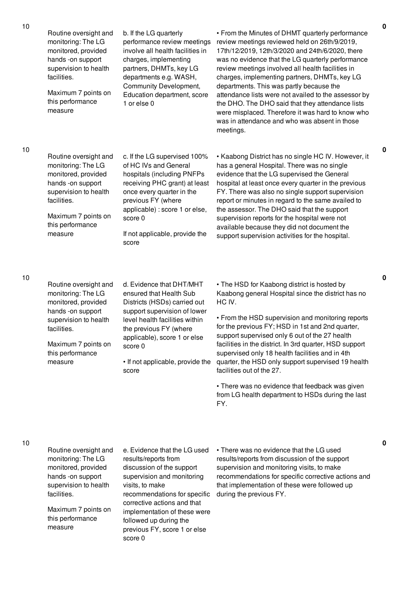| 10 | Routine oversight and<br>monitoring: The LG<br>monitored, provided<br>hands -on support<br>supervision to health<br>facilities.<br>Maximum 7 points on<br>this performance<br>measure | b. If the LG quarterly<br>performance review meetings<br>involve all health facilities in<br>charges, implementing<br>partners, DHMTs, key LG<br>departments e.g. WASH,<br>Community Development,<br>Education department, score<br>1 or else 0                         | • From the Minutes of DHMT quarterly performance<br>review meetings reviewed held on 26th/9/2019,<br>17th/12/2019, 12th/3/2020 and 24th/6/2020, there<br>was no evidence that the LG quarterly performance<br>review meetings involved all health facilities in<br>charges, implementing partners, DHMTs, key LG<br>departments. This was partly because the<br>attendance lists were not availed to the assessor by<br>the DHO. The DHO said that they attendance lists<br>were misplaced. Therefore it was hard to know who<br>was in attendance and who was absent in those<br>meetings. |
|----|---------------------------------------------------------------------------------------------------------------------------------------------------------------------------------------|-------------------------------------------------------------------------------------------------------------------------------------------------------------------------------------------------------------------------------------------------------------------------|---------------------------------------------------------------------------------------------------------------------------------------------------------------------------------------------------------------------------------------------------------------------------------------------------------------------------------------------------------------------------------------------------------------------------------------------------------------------------------------------------------------------------------------------------------------------------------------------|
| 10 | Routine oversight and<br>monitoring: The LG<br>monitored, provided<br>hands -on support<br>supervision to health<br>facilities.<br>Maximum 7 points on<br>this performance<br>measure | c. If the LG supervised 100%<br>of HC IVs and General<br>hospitals (including PNFPs<br>receiving PHC grant) at least<br>once every quarter in the<br>previous FY (where<br>applicable) : score 1 or else,<br>score 0<br>If not applicable, provide the<br>score         | • Kaabong District has no single HC IV. However, it<br>has a general Hospital. There was no single<br>evidence that the LG supervised the General<br>hospital at least once every quarter in the previous<br>FY. There was also no single support supervision<br>report or minutes in regard to the same availed to<br>the assessor. The DHO said that the support<br>supervision reports for the hospital were not<br>available because they did not document the<br>support supervision activities for the hospital.                                                                      |
| 10 | Routine oversight and<br>monitoring: The LG<br>monitored, provided<br>hands -on support<br>supervision to health<br>facilities.<br>Maximum 7 points on<br>this performance<br>measure | d. Evidence that DHT/MHT<br>ensured that Health Sub<br>Districts (HSDs) carried out<br>support supervision of lower<br>level health facilities within<br>the previous FY (where<br>applicable), score 1 or else<br>score 0<br>• If not applicable, provide the<br>score | • The HSD for Kaabong district is hosted by<br>Kaabong general Hospital since the district has no<br>HC IV.<br>• From the HSD supervision and monitoring reports<br>for the previous FY; HSD in 1st and 2nd quarter,<br>support supervised only 6 out of the 27 health<br>facilities in the district. In 3rd quarter, HSD support<br>supervised only 18 health facilities and in 4th<br>quarter, the HSD only support supervised 19 health<br>facilities out of the 27.<br>• There was no evidence that feedback was given<br>from LG health department to HSDs during the last<br>FY.      |
| 10 | Routine oversight and<br>monitoring: The LG<br>monitored, provided<br>hands -on support<br>supervision to health<br>facilities.                                                       | e. Evidence that the LG used<br>results/reports from<br>discussion of the support<br>supervision and monitoring<br>visits, to make<br>recommendations for specific                                                                                                      | • There was no evidence that the LG used<br>results/reports from discussion of the support<br>supervision and monitoring visits, to make<br>recommendations for specific corrective actions and<br>that implementation of these were followed up<br>during the previous FY.                                                                                                                                                                                                                                                                                                                 |

corrective actions and that implementation of these were

followed up during the previous FY, score 1 or else

score 0

10

Maximum 7 points on this performance

measure

**0**

**0**

**0**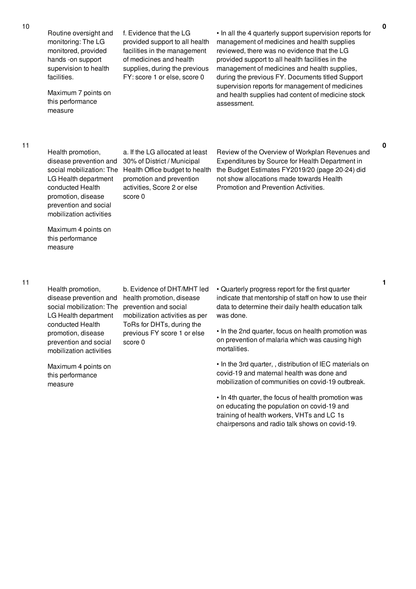10

Routine oversight and monitoring: The LG monitored, provided hands -on support supervision to health facilities.

Maximum 7 points on this performance measure

f. Evidence that the LG provided support to all health facilities in the management of medicines and health supplies, during the previous FY: score 1 or else, score 0

• In all the 4 quarterly support supervision reports for management of medicines and health supplies reviewed, there was no evidence that the LG provided support to all health facilities in the management of medicines and health supplies, during the previous FY. Documents titled Support supervision reports for management of medicines and health supplies had content of medicine stock assessment.

11

Health promotion, disease prevention and LG Health department conducted Health promotion, disease prevention and social mobilization activities

social mobilization: The Health Office budget to health a. If the LG allocated at least 30% of District / Municipal promotion and prevention activities, Score 2 or else score 0

Review of the Overview of Workplan Revenues and Expenditures by Source for Health Department in the Budget Estimates FY2019/20 (page 20-24) did not show allocations made towards Health Promotion and Prevention Activities.

Maximum 4 points on this performance measure

11

Health promotion, disease prevention and social mobilization: The LG Health department conducted Health promotion, disease prevention and social mobilization activities

Maximum 4 points on this performance measure

b. Evidence of DHT/MHT led health promotion, disease prevention and social mobilization activities as per ToRs for DHTs, during the previous FY score 1 or else score 0

• Quarterly progress report for the first quarter indicate that mentorship of staff on how to use their data to determine their daily health education talk was done.

• In the 2nd quarter, focus on health promotion was on prevention of malaria which was causing high mortalities.

• In the 3rd quarter, , distribution of IEC materials on covid-19 and maternal health was done and mobilization of communities on covid-19 outbreak.

• In 4th quarter, the focus of health promotion was on educating the population on covid-19 and training of health workers, VHTs and LC 1s chairpersons and radio talk shows on covid-19.

**0**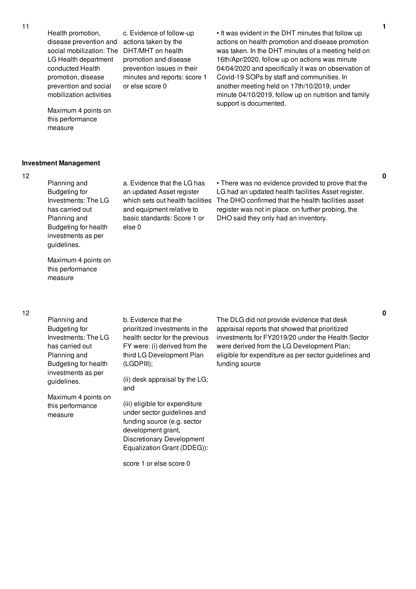Health promotion, disease prevention and social mobilization: The LG Health department conducted Health promotion, disease prevention and social mobilization activities

Maximum 4 points on this performance measure

**Investment Management**

12

Planning and Budgeting for Investments: The LG has carried out Planning and Budgeting for health investments as per guidelines.

Maximum 4 points on this performance measure

a. Evidence that the LG has an updated Asset register which sets out health facilities and equipment relative to basic standards: Score 1 or else 0

c. Evidence of follow-up actions taken by the DHT/MHT on health promotion and disease prevention issues in their minutes and reports: score 1

or else score 0

• There was no evidence provided to prove that the LG had an updated health facilities Asset register. The DHO confirmed that the health facilities asset register was not in place. on further probing, the DHO said they only had an inventory.

• It was evident in the DHT minutes that follow up actions on health promotion and disease promotion was taken. In the DHT minutes of a meeting held on 16th/Apr/2020, follow up on actions was minute 04/04/2020 and specifically it was on observation of

Covid-19 SOPs by staff and communities. In another meeting held on 17th/10/2019, under minute 04/10/2019, follow up on nutrition and family

support is documented.

### 12

Planning and Budgeting for Investments: The LG has carried out Planning and Budgeting for health investments as per guidelines.

Maximum 4 points on this performance measure

b. Evidence that the prioritized investments in the

health sector for the previous FY were: (i) derived from the third LG Development Plan (LGDPIII);

(ii) desk appraisal by the LG; and

(iii) eligible for expenditure under sector guidelines and funding source (e.g. sector development grant, Discretionary Development Equalization Grant (DDEG)):

score 1 or else score 0

The DLG did not provide evidence that desk appraisal reports that showed that prioritized investments for FY2019/20 under the Health Sector were derived from the LG Development Plan; eligible for expenditure as per sector guidelines and funding source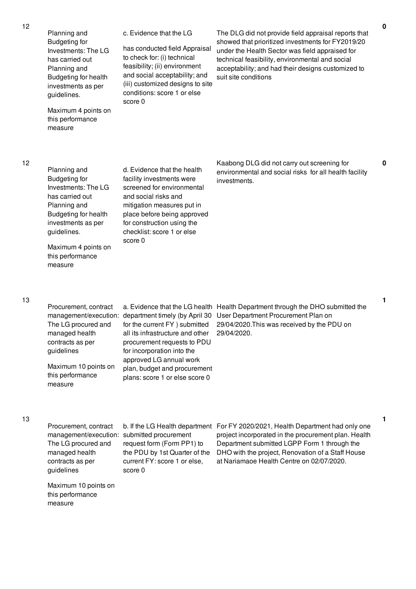| 12 | Planning and<br><b>Budgeting for</b><br>Investments: The LG<br>has carried out<br>Planning and<br>Budgeting for health<br>investments as per<br>guidelines.<br>Maximum 4 points on<br>this performance<br>measure | c. Evidence that the LG<br>has conducted field Appraisal<br>to check for: (i) technical<br>feasibility; (ii) environment<br>and social acceptability; and<br>(iii) customized designs to site<br>conditions: score 1 or else<br>score 0                                              | The DLG did not provide field appraisal reports that<br>showed that prioritized investments for FY2019/20<br>under the Health Sector was field appraised for<br>technical feasibility, environmental and social<br>acceptability; and had their designs customized to<br>suit site conditions |
|----|-------------------------------------------------------------------------------------------------------------------------------------------------------------------------------------------------------------------|--------------------------------------------------------------------------------------------------------------------------------------------------------------------------------------------------------------------------------------------------------------------------------------|-----------------------------------------------------------------------------------------------------------------------------------------------------------------------------------------------------------------------------------------------------------------------------------------------|
| 12 | Planning and<br><b>Budgeting for</b><br>Investments: The LG<br>has carried out<br>Planning and<br>Budgeting for health<br>investments as per<br>guidelines.<br>Maximum 4 points on<br>this performance<br>measure | d. Evidence that the health<br>facility investments were<br>screened for environmental<br>and social risks and<br>mitigation measures put in<br>place before being approved<br>for construction using the<br>checklist: score 1 or else<br>score 0                                   | Kaabong DLG did not carry out screening for<br>environmental and social risks for all health facility<br>investments.                                                                                                                                                                         |
| 13 | Procurement, contract<br>The LG procured and<br>managed health<br>contracts as per<br>guidelines<br>Maximum 10 points on<br>this performance<br>measure                                                           | management/execution: department timely (by April 30<br>for the current FY ) submitted<br>all its infrastructure and other<br>procurement requests to PDU<br>for incorporation into the<br>approved LG annual work<br>plan, budget and procurement<br>plans: score 1 or else score 0 | a. Evidence that the LG health Health Department through the DHO submitted the<br>User Department Procurement Plan on<br>29/04/2020. This was received by the PDU on<br>29/04/2020.                                                                                                           |
| 13 | Procurement, contract<br>management/execution: submitted procurement<br>The LG procured and<br>managed health<br>contracts as per<br>guidelines                                                                   | request form (Form PP1) to<br>the PDU by 1st Quarter of the<br>current FY: score 1 or else,<br>score 0                                                                                                                                                                               | b. If the LG Health department For FY 2020/2021, Health Department had only one<br>project incorporated in the procurement plan. Health<br>Department submitted LGPP Form 1 through the<br>DHO with the project, Renovation of a Staff House<br>at Nariamaoe Health Centre on 02/07/2020.     |

Maximum 10 points on this performance

measure

**0**

**0**

**1**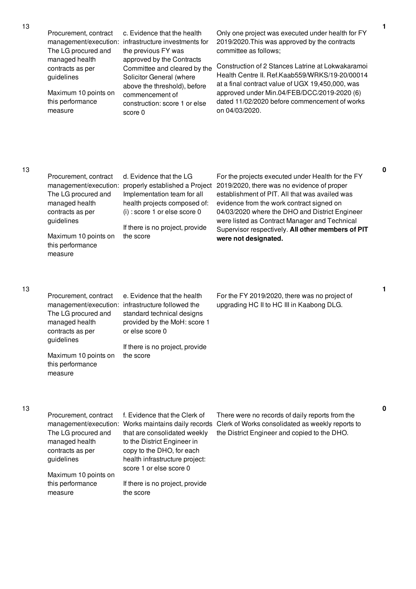Procurement, contract The LG procured and managed health contracts as per guidelines

Maximum 10 points on this performance measure

management/execution: infrastructure investments for c. Evidence that the health the previous FY was approved by the Contracts Committee and cleared by the Solicitor General (where above the threshold), before commencement of construction: score 1 or else score 0

Only one project was executed under health for FY 2019/2020.This was approved by the contracts committee as follows;

Construction of 2 Stances Latrine at Lokwakaramoi Health Centre II. Ref.Kaab559/WRKS/19-20/00014 at a final contract value of UGX 19,450,000, was approved under Min.04/FEB/DCC/2019-2020 (6) dated 11/02/2020 before commencement of works on 04/03/2020.

## 13

| Procurement, contract<br>management/execution:<br>The LG procured and<br>managed health<br>contracts as per<br>guidelines<br>Maximum 10 points on<br>this performance<br>measure | d. Evidence that the LG<br>properly established a Project<br>Implementation team for all<br>health projects composed of:<br>$(i)$ : score 1 or else score 0<br>If there is no project, provide<br>the score | For the projects executed under Health for the FY<br>2019/2020, there was no evidence of proper<br>establishment of PIT. All that was availed was<br>evidence from the work contract signed on<br>04/03/2020 where the DHO and District Engineer<br>were listed as Contract Manager and Technical<br>Supervisor respectively. All other members of PIT<br>were not designated. |
|----------------------------------------------------------------------------------------------------------------------------------------------------------------------------------|-------------------------------------------------------------------------------------------------------------------------------------------------------------------------------------------------------------|--------------------------------------------------------------------------------------------------------------------------------------------------------------------------------------------------------------------------------------------------------------------------------------------------------------------------------------------------------------------------------|
|----------------------------------------------------------------------------------------------------------------------------------------------------------------------------------|-------------------------------------------------------------------------------------------------------------------------------------------------------------------------------------------------------------|--------------------------------------------------------------------------------------------------------------------------------------------------------------------------------------------------------------------------------------------------------------------------------------------------------------------------------------------------------------------------------|

### 13

| Procurement, contract | e. Evidence that the health                       |
|-----------------------|---------------------------------------------------|
|                       | management/execution: infrastructure followed the |
| The LG procured and   | standard technical designs                        |
| managed health        | provided by the MoH: score 1                      |
| contracts as per      | or else score 0                                   |
| guidelines            |                                                   |
|                       | If there is no project, provide                   |
| Maximum 10 points on  | the score                                         |

this performance measure

For the FY 2019/2020, there was no project of upgrading HC II to HC III in Kaabong DLG.

#### 13

| Procurement, contract | f. Evidence that the Clerk of                       | There were no records of daily reports from the  |
|-----------------------|-----------------------------------------------------|--------------------------------------------------|
|                       | management/execution: Works maintains daily records | Clerk of Works consolidated as weekly reports to |
| The LG procured and   | that are consolidated weekly                        | the District Engineer and copied to the DHO.     |
| managed health        | to the District Engineer in                         |                                                  |
| contracts as per      | copy to the DHO, for each                           |                                                  |
| guidelines            | health infrastructure project:                      |                                                  |
|                       | score 1 or else score 0                             |                                                  |
| Maximum 10 points on  |                                                     |                                                  |
| this performance      | If there is no project, provide                     |                                                  |
| measure               | the score                                           |                                                  |

**0**

**1**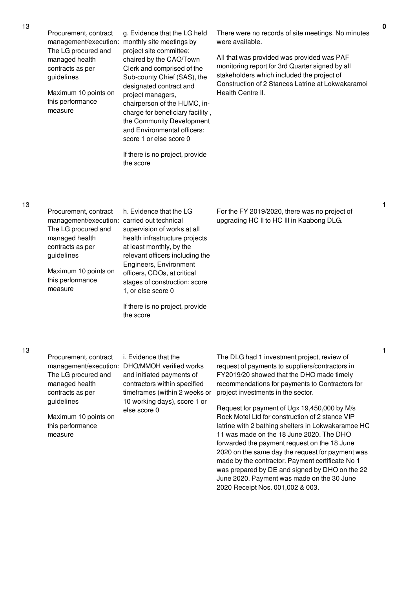Clerk and comprised of the Sub-county Chief (SAS), the designated contract and project managers, chairperson of the HUMC, incharge for beneficiary facility , the Community Development and Environmental officers: score 1 or else score 0

If there is no project, provide the score

There were no records of site meetings. No minutes were available.

All that was provided was provided was PAF monitoring report for 3rd Quarter signed by all stakeholders which included the project of Construction of 2 Stances Latrine at Lokwakaramoi Health Centre II.

| Procurement, contract |            |  |
|-----------------------|------------|--|
| management/execution: | $\epsilon$ |  |
| The LG procured and   | ŗ          |  |
| managed health        | ł          |  |
| contracts as per      | í          |  |
| guidelines            | ľ          |  |
|                       |            |  |

Maximum 10 points on this performance measure

h. Evidence that the LG carried out technical supervision of works at all health infrastructure projects at least monthly, by the relevant officers including the Engineers, Environment officers, CDOs, at critical stages of construction: score 1, or else score 0

If there is no project, provide the score

For the FY 2019/2020, there was no project of upgrading HC II to HC III in Kaabong DLG.

Procurement, contract The LG procured and managed health contracts as per guidelines

Maximum 10 points on this performance measure

management/execution: DHO/MMOH verified works i. Evidence that the and initiated payments of contractors within specified timeframes (within 2 weeks or 10 working days), score 1 or else score 0

The DLG had 1 investment project, review of request of payments to suppliers/contractors in FY2019/20 showed that the DHO made timely recommendations for payments to Contractors for project investments in the sector.

Request for payment of Ugx 19,450,000 by M/s Rock Motel Ltd for construction of 2 stance VIP latrine with 2 bathing shelters in Lokwakaramoe HC 11 was made on the 18 June 2020. The DHO forwarded the payment request on the 18 June 2020 on the same day the request for payment was made by the contractor. Payment certificate No 1 was prepared by DE and signed by DHO on the 22 June 2020. Payment was made on the 30 June 2020 Receipt Nos. 001,002 & 003.

**1**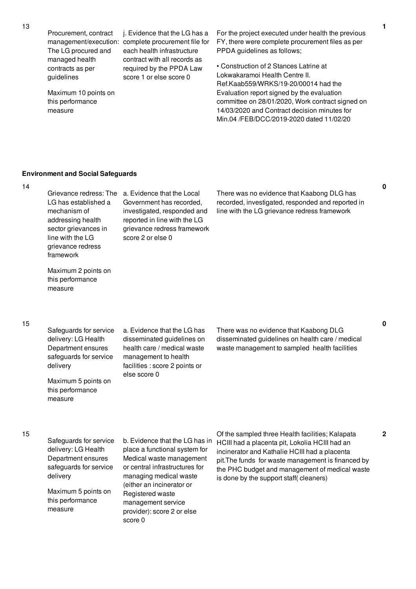Procurement, contract The LG procured and managed health contracts as per guidelines

management/execution: complete procurement file for j. Evidence that the LG has a each health infrastructure contract with all records as required by the PPDA Law score 1 or else score 0

Maximum 10 points on this performance measure

For the project executed under health the previous FY, there were complete procurement files as per PPDA guidelines as follows;

• Construction of 2 Stances Latrine at Lokwakaramoi Health Centre II. Ref.Kaab559/WRKS/19-20/00014 had the Evaluation report signed by the evaluation committee on 28/01/2020, Work contract signed on 14/03/2020 and Contract decision minutes for Min.04 /FEB/DCC/2019-2020 dated 11/02/20

## **Environment and Social Safeguards**

Grievance redress: The a. Evidence that the Local LG has established a mechanism of addressing health sector grievances in line with the LG grievance redress framework Maximum 2 points on this performance measure Government has recorded, investigated, responded and reported in line with the LG grievance redress framework score 2 or else 0 There was no evidence that Kaabong DLG has recorded, investigated, responded and reported in line with the LG grievance redress framework 15 Safeguards for service delivery: LG Health Department ensures safeguards for service delivery Maximum 5 points on this performance measure a. Evidence that the LG has disseminated guidelines on health care / medical waste management to health facilities : score 2 points or else score 0 There was no evidence that Kaabong DLG disseminated guidelines on health care / medical waste management to sampled health facilities 15 Safeguards for service delivery: LG Health Department ensures safeguards for service delivery Maximum 5 points on this performance measure b. Evidence that the LG has in place a functional system for Medical waste management or central infrastructures for managing medical waste (either an incinerator or Registered waste management service provider): score 2 or else score 0 Of the sampled three Health facilities; Kalapata HCIII had a placenta pit, Lokolia HCIII had an incinerator and Kathalie HCIII had a placenta pit.The funds for waste management is financed by the PHC budget and management of medical waste is done by the support staff( cleaners)

**0**

**0**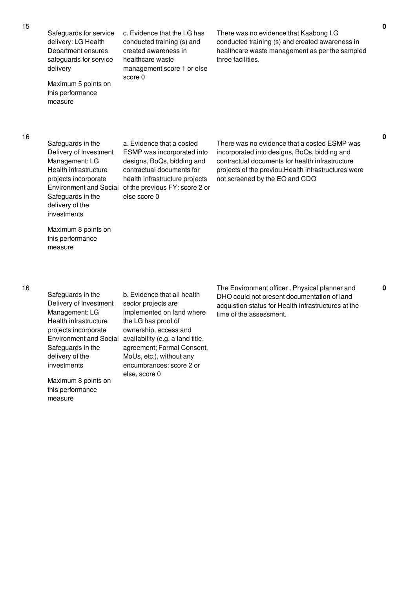Safeguards for service delivery: LG Health Department ensures safeguards for service delivery

Maximum 5 points on this performance measure

c. Evidence that the LG has conducted training (s) and created awareness in healthcare waste management score 1 or else score 0

There was no evidence that Kaabong LG conducted training (s) and created awareness in healthcare waste management as per the sampled three facilities.

16

Safeguards in the Delivery of Investment Management: LG Health infrastructure projects incorporate Safeguards in the delivery of the investments

Environment and Social of the previous FY: score 2 or a. Evidence that a costed ESMP was incorporated into designs, BoQs, bidding and contractual documents for health infrastructure projects else score 0

There was no evidence that a costed ESMP was incorporated into designs, BoQs, bidding and contractual documents for health infrastructure projects of the previou.Health infrastructures were not screened by the EO and CDO

Maximum 8 points on this performance measure

16

Safeguards in the Delivery of Investment Management: LG Health infrastructure projects incorporate Safeguards in the delivery of the investments

Maximum 8 points on this performance measure

Environment and Social availability (e.g. a land title, b. Evidence that all health sector projects are implemented on land where the LG has proof of ownership, access and agreement; Formal Consent, MoUs, etc.), without any encumbrances: score 2 or else, score 0

The Environment officer , Physical planner and DHO could not present documentation of land acquistion status for Health infrastructures at the time of the assessment.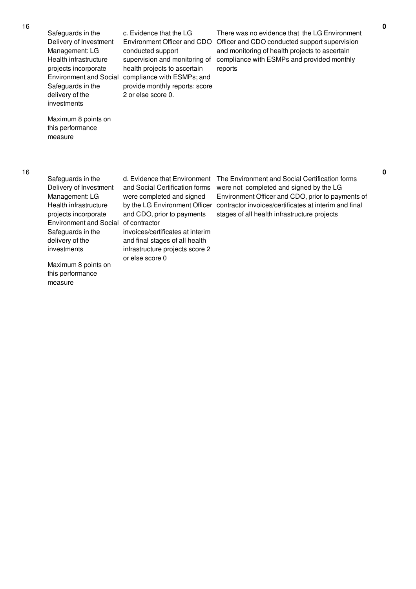Safeguards in the Delivery of Investment Management: LG Health infrastructure projects incorporate Safeguards in the delivery of the investments

Environment and Social compliance with ESMPs; and c. Evidence that the LG conducted support supervision and monitoring of health projects to ascertain provide monthly reports: score 2 or else score 0.

Environment Officer and CDO Officer and CDO conducted support supervision There was no evidence that the LG Environment and monitoring of health projects to ascertain compliance with ESMPs and provided monthly reports

Maximum 8 points on this performance measure

Safeguards in the Delivery of Investment Management: LG Health infrastructure projects incorporate Environment and Social of contractor Safeguards in the delivery of the investments

Maximum 8 points on this performance measure

and Social Certification forms were completed and signed and CDO, prior to payments

invoices/certificates at interim and final stages of all health infrastructure projects score 2 or else score 0

d. Evidence that Environment The Environment and Social Certification forms by the LG Environment Officer contractor invoices/certificates at interim and final were not completed and signed by the LG Environment Officer and CDO, prior to payments of stages of all health infrastructure projects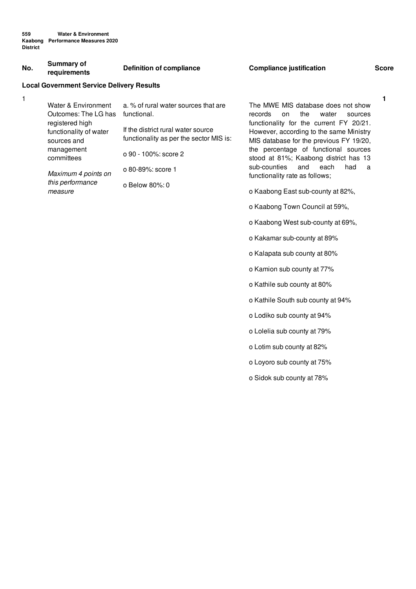| No. | Summary of<br>requirements                                                                                                                                                                | <b>Definition of compliance</b>                                                                                                                                                                     | <b>Compliance justification</b>                                                                                                                                                                                                                                                                                                                                                                                                                                                                                                                                                                                                                            | <b>Score</b> |
|-----|-------------------------------------------------------------------------------------------------------------------------------------------------------------------------------------------|-----------------------------------------------------------------------------------------------------------------------------------------------------------------------------------------------------|------------------------------------------------------------------------------------------------------------------------------------------------------------------------------------------------------------------------------------------------------------------------------------------------------------------------------------------------------------------------------------------------------------------------------------------------------------------------------------------------------------------------------------------------------------------------------------------------------------------------------------------------------------|--------------|
|     | <b>Local Government Service Delivery Results</b>                                                                                                                                          |                                                                                                                                                                                                     |                                                                                                                                                                                                                                                                                                                                                                                                                                                                                                                                                                                                                                                            |              |
| 1   | Water & Environment<br>Outcomes: The LG has<br>registered high<br>functionality of water<br>sources and<br>management<br>committees<br>Maximum 4 points on<br>this performance<br>measure | a. % of rural water sources that are<br>functional.<br>If the district rural water source<br>functionality as per the sector MIS is:<br>o 90 - 100%: score 2<br>o 80-89%; score 1<br>o Below 80%: 0 | The MWE MIS database does not show<br>records<br>the<br>water<br>on<br>sources<br>functionality for the current FY 20/21.<br>However, according to the same Ministry<br>MIS database for the previous FY 19/20,<br>the percentage of functional sources<br>stood at 81%; Kaabong district has 13<br>sub-counties<br>and<br>each<br>had<br>a<br>functionality rate as follows;<br>o Kaabong East sub-county at 82%,<br>o Kaabong Town Council at 59%,<br>o Kaabong West sub-county at 69%,<br>o Kakamar sub-county at 89%<br>o Kalapata sub county at 80%<br>o Kamion sub county at 77%<br>o Kathile sub county at 80%<br>o Kathile South sub county at 94% | 1            |
|     |                                                                                                                                                                                           |                                                                                                                                                                                                     |                                                                                                                                                                                                                                                                                                                                                                                                                                                                                                                                                                                                                                                            |              |

- o Lodiko sub county at 94%
- o Lolelia sub county at 79%
- o Lotim sub county at 82%
- o Loyoro sub county at 75%
- o Sidok sub county at 78%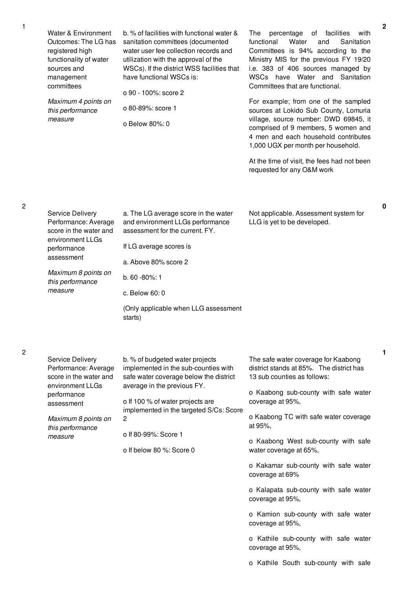| Water & Environment<br>Outcomes: The LG has<br>registered high<br>functionality of water<br>sources and<br>management<br>committees<br>Maximum 4 points on<br>this performance<br>measure | b. % of facilities with functional water &<br>sanitation committees (documented<br>water user fee collection records and<br>utilization with the approval of the<br>WSCs). If the district WSS facilities that<br>have functional WSCs is:<br>o 90 - 100%: score 2<br>o 80-89%: score 1<br>o Below 80%: 0 | percentage<br>of facilities<br>The<br>with<br>Water<br>functional<br>and<br>Sanitation<br>Committees is 94% according to the<br>Ministry MIS for the previous FY 19/20<br>i.e. 383 of 406 sources managed by<br>WSCs have Water and Sanitation<br>Committees that are functional.<br>For example; from one of the sampled<br>sources at Lokido Sub County, Lomuria<br>village, source number: DWD 69845, it<br>comprised of 9 members, 5 women and<br>4 men and each household contributes<br>1,000 UGX per month per household.<br>At the time of visit, the fees had not been<br>requested for any O&M work |
|-------------------------------------------------------------------------------------------------------------------------------------------------------------------------------------------|-----------------------------------------------------------------------------------------------------------------------------------------------------------------------------------------------------------------------------------------------------------------------------------------------------------|---------------------------------------------------------------------------------------------------------------------------------------------------------------------------------------------------------------------------------------------------------------------------------------------------------------------------------------------------------------------------------------------------------------------------------------------------------------------------------------------------------------------------------------------------------------------------------------------------------------|
| Service Delivery<br>Performance: Average<br>score in the water and<br>environment LLGs<br>performance<br>assessment<br>Maximum 8 points on<br>this performance<br>measure                 | a. The LG average score in the water<br>and environment LLGs performance<br>assessment for the current. FY.<br>If LG average scores is<br>a. Above 80% score 2<br>b. 60 -80%: 1<br>c. Below 60:0<br>(Only applicable when LLG assessment<br>starts)                                                       | Not applicable. Assessment system for<br>LLG is yet to be developed.                                                                                                                                                                                                                                                                                                                                                                                                                                                                                                                                          |
| Service Delivery<br>Performance: Average<br>score in the water and<br>environment LLGs<br>performance<br>assessment<br>Maximum 8 points on<br>this performance<br>measure                 | b. % of budgeted water projects<br>implemented in the sub-counties with<br>safe water coverage below the district<br>average in the previous FY.<br>o If 100 % of water projects are<br>implemented in the targeted S/Cs: Score<br>2<br>o If 80-99%: Score 1<br>o If below 80 %: Score 0                  | The safe water coverage for Kaabong<br>district stands at 85%. The district has<br>13 sub counties as follows:<br>o Kaabong sub-county with safe water<br>coverage at 95%,<br>o Kaabong TC with safe water coverage<br>at 95%,<br>o Kaabong West sub-county with safe<br>water coverage at 65%,<br>o Kakamar sub-county with safe water<br>coverage at 69%<br>o Kalapata sub-county with safe water<br>coverage at 95%,<br>o Kamion sub-county with safe water<br>coverage at 95%,<br>o Kathile sub-county with safe water<br>coverage at 95%,<br>o Kathile South sub-county with safe                        |

2

2

**0**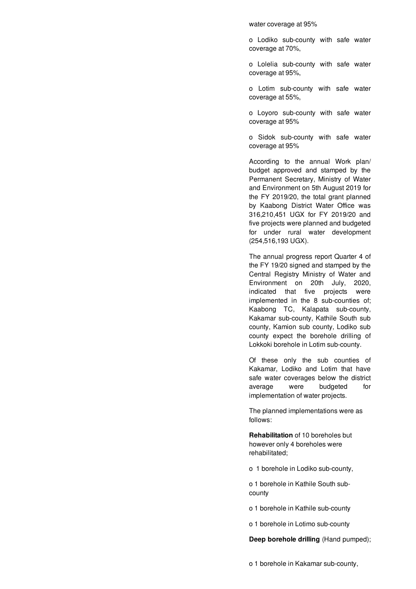water coverage at 95%

o Lodiko sub-county with safe water coverage at 70%,

o Lolelia sub-county with safe water coverage at 95%,

o Lotim sub-county with safe water coverage at 55%,

o Loyoro sub-county with safe water coverage at 95%

o Sidok sub-county with safe water coverage at 95%

According to the annual Work plan/ budget approved and stamped by the Permanent Secretary, Ministry of Water and Environment on 5th August 2019 for the FY 2019/20, the total grant planned by Kaabong District Water Office was 316,210,451 UGX for FY 2019/20 and five projects were planned and budgeted for under rural water development (254,516,193 UGX).

The annual progress report Quarter 4 of the FY 19/20 signed and stamped by the Central Registry Ministry of Water and Environment on 20th July, 2020, indicated that five projects were implemented in the 8 sub-counties of; Kaabong TC, Kalapata sub-county, Kakamar sub-county, Kathile South sub county, Kamion sub county, Lodiko sub county expect the borehole drilling of Lokkoki borehole in Lotim sub-county.

Of these only the sub counties of Kakamar, Lodiko and Lotim that have safe water coverages below the district average were budgeted for implementation of water projects.

The planned implementations were as follows:

**Rehabilitation** of 10 boreholes but however only 4 boreholes were rehabilitated;

o 1 borehole in Lodiko sub-county,

o 1 borehole in Kathile South subcounty

o 1 borehole in Kathile sub-county

o 1 borehole in Lotimo sub-county

**Deep borehole drilling** (Hand pumped);

o 1 borehole in Kakamar sub-county,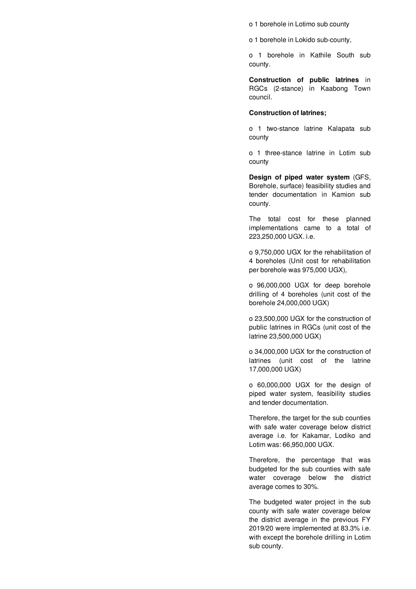o 1 borehole in Lotimo sub county

o 1 borehole in Lokido sub-county,

o 1 borehole in Kathile South sub county.

**Construction of public latrines** in RGCs (2-stance) in Kaabong Town council.

# **Construction of latrines;**

o 1 two-stance latrine Kalapata sub county

o 1 three-stance latrine in Lotim sub county

**Design of piped water system** (GFS, Borehole, surface) feasibility studies and tender documentation in Kamion sub county.

The total cost for these planned implementations came to a total of 223,250,000 UGX. i.e.

o 9,750,000 UGX for the rehabilitation of 4 boreholes (Unit cost for rehabilitation per borehole was 975,000 UGX),

o 96,000,000 UGX for deep borehole drilling of 4 boreholes (unit cost of the borehole 24,000,000 UGX)

o 23,500,000 UGX for the construction of public latrines in RGCs (unit cost of the latrine 23,500,000 UGX)

o 34,000,000 UGX for the construction of latrines (unit cost of the latrine 17,000,000 UGX)

o 60,000,000 UGX for the design of piped water system, feasibility studies and tender documentation.

Therefore, the target for the sub counties with safe water coverage below district average i.e. for Kakamar, Lodiko and Lotim was: 66,950,000 UGX.

Therefore, the percentage that was budgeted for the sub counties with safe water coverage below the district average comes to 30%.

The budgeted water project in the sub county with safe water coverage below the district average in the previous FY 2019/20 were implemented at 83.3% i.e. with except the borehole drilling in Lotim sub county.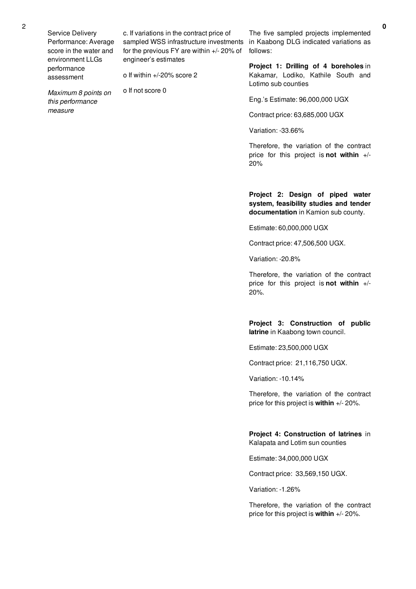Service Delivery Performance: Average score in the water and environment LLGs performance assessment

c. If variations in the contract price of sampled WSS infrastructure investments for the previous FY are within +/- 20% of engineer's estimates

o If within +/-20% score 2

*Maximum 8 points on this performance measure*

o If not score 0

The five sampled projects implemented in Kaabong DLG indicated variations as follows:

**Project 1: Drilling of 4 boreholes** in Kakamar, Lodiko, Kathile South and Lotimo sub counties

Eng.'s Estimate: 96,000,000 UGX

Contract price: 63,685,000 UGX

Variation: -33.66%

Therefore, the variation of the contract price for this project is **not within** +/- 20%

**Project 2: Design of piped water system, feasibility studies and tender documentation** in Kamion sub county.

Estimate: 60,000,000 UGX

Contract price: 47,506,500 UGX.

Variation: -20.8%

Therefore, the variation of the contract price for this project is **not within** +/- 20%.

**Project 3: Construction of public latrine** in Kaabong town council.

Estimate: 23,500,000 UGX

Contract price: 21,116,750 UGX.

Variation: -10.14%

Therefore, the variation of the contract price for this project is **within** +/- 20%.

**Project 4: Construction of latrines** in Kalapata and Lotim sun counties

Estimate: 34,000,000 UGX

Contract price: 33,569,150 UGX.

Variation: -1.26%

Therefore, the variation of the contract price for this project is **within** +/- 20%.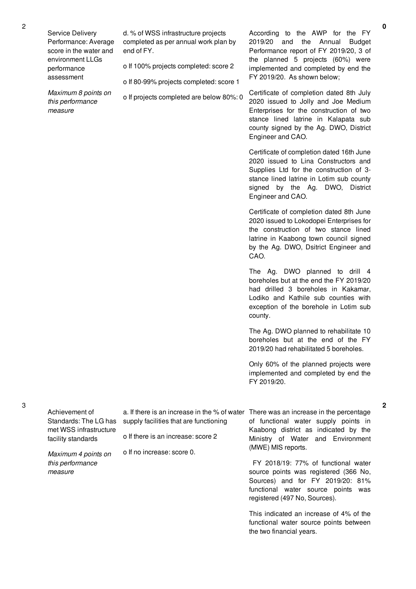Service Delivery Performance: Average score in the water and environment LLGs performance assessment

*Maximum 8 points on this performance measure*

d. % of WSS infrastructure projects completed as per annual work plan by end of FY.

o If 100% projects completed: score 2

o If 80-99% projects completed: score 1

o If projects completed are below 80%: 0

According to the AWP for the FY 2019/20 and the Annual Budget Performance report of FY 2019/20, 3 of the planned 5 projects (60%) were implemented and completed by end the FY 2019/20. As shown below;

Certificate of completion dated 8th July 2020 issued to Jolly and Joe Medium Enterprises for the construction of two stance lined latrine in Kalapata sub county signed by the Ag. DWO, District Engineer and CAO.

Certificate of completion dated 16th June 2020 issued to Lina Constructors and Supplies Ltd for the construction of 3 stance lined latrine in Lotim sub county signed by the Ag. DWO, District Engineer and CAO.

Certificate of completion dated 8th June 2020 issued to Lokodopei Enterprises for the construction of two stance lined latrine in Kaabong town council signed by the Ag. DWO, Dsitrict Engineer and CAO.

The Ag. DWO planned to drill 4 boreholes but at the end the FY 2019/20 had drilled 3 boreholes in Kakamar, Lodiko and Kathile sub counties with exception of the borehole in Lotim sub county.

The Ag. DWO planned to rehabilitate 10 boreholes but at the end of the FY 2019/20 had rehabilitated 5 boreholes.

Only 60% of the planned projects were implemented and completed by end the FY 2019/20.

| Achievement of<br>Standards: The LG has      | supply facilities that are functioning | a. If there is an increase in the % of water There was an increase in the percentage<br>of functional water supply points in |
|----------------------------------------------|----------------------------------------|------------------------------------------------------------------------------------------------------------------------------|
| met WSS infrastructure<br>facility standards | o If there is an increase: score 2     | Kaabong district as indicated by the<br>Ministry of Water and Environment                                                    |
| Maximum 4 points on                          | o If no increase: score 0.             | (MWE) MIS reports.                                                                                                           |
| this performance                             |                                        | FY 2018/19: 77% of functional water                                                                                          |
| measure                                      |                                        | source points was registered (366 No,                                                                                        |
|                                              |                                        | Sources) and for FY 2019/20: 81%                                                                                             |
|                                              |                                        | functional water source points was                                                                                           |

This indicated an increase of 4% of the functional water source points between the two financial years.

registered (497 No, Sources).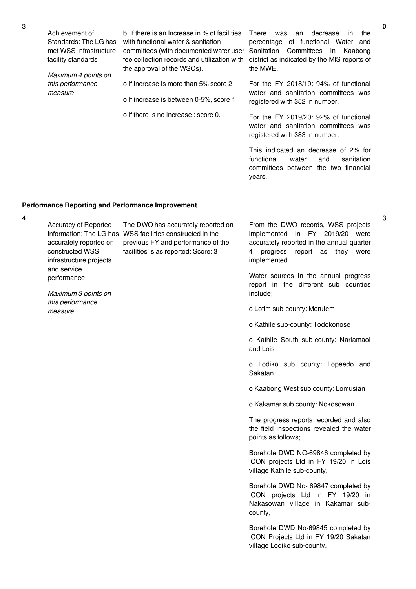Achievement of Standards: The LG has met WSS infrastructure facility standards *Maximum 4 points on this performance measure* b. If there is an Increase in % of facilities with functional water & sanitation committees (with documented water user Sanitation Committees in Kaabong fee collection records and utilization with district as indicated by the MIS reports of the approval of the WSCs). o If increase is more than 5% score 2 o If increase is between 0-5%, score 1 o If there is no increase : score 0. There was an decrease in the percentage of functional Water and the MWE. For the FY 2018/19: 94% of functional water and sanitation committees was registered with 352 in number. For the FY 2019/20: 92% of functional water and sanitation committees was registered with 383 in number. This indicated an decrease of 2% for functional water and sanitation committees between the two financial

# **Performance Reporting and Performance Improvement**

4

Accuracy of Reported accurately reported on constructed WSS infrastructure projects and service performance

Information: The LG has WSS facilities constructed in the The DWO has accurately reported on previous FY and performance of the facilities is as reported: Score: 3

*Maximum 3 points on this performance measure*

From the DWO records, WSS projects implemented in FY 2019/20 were accurately reported in the annual quarter 4 progress report as they were implemented.

Water sources in the annual progress report in the different sub counties include;

o Lotim sub-county: Morulem

years.

o Kathile sub-county: Todokonose

o Kathile South sub-county: Nariamaoi and Lois

o Lodiko sub county: Lopeedo and Sakatan

o Kaabong West sub county: Lomusian

o Kakamar sub county: Nokosowan

The progress reports recorded and also the field inspections revealed the water points as follows;

Borehole DWD NO-69846 completed by ICON projects Ltd in FY 19/20 in Lois village Kathile sub-county,

Borehole DWD No- 69847 completed by ICON projects Ltd in FY 19/20 in Nakasowan village in Kakamar subcounty,

Borehole DWD No-69845 completed by ICON Projects Ltd in FY 19/20 Sakatan village Lodiko sub-county.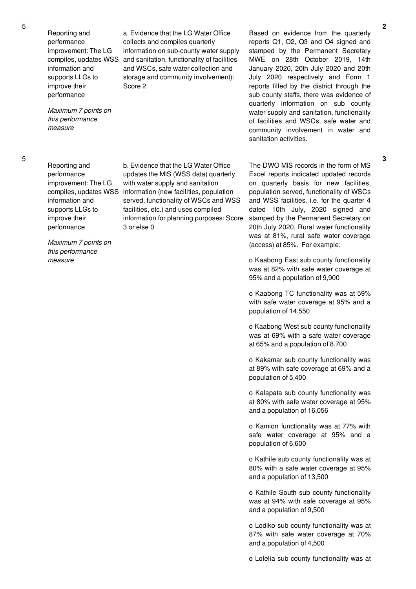Reporting and performance improvement: The LG information and supports LLGs to improve their performance

*Maximum 7 points on this performance measure*

compiles, updates WSS and sanitation, functionality of facilities a. Evidence that the LG Water Office collects and compiles quarterly information on sub-county water supply and WSCs, safe water collection and storage and community involvement): Score 2

Based on evidence from the quarterly reports Q1, Q2, Q3 and Q4 signed and stamped by the Permanent Secretary MWE on 28th October 2019, 14th January 2020, 20th July 2020 and 20th July 2020 respectively and Form 1 reports filled by the district through the sub county staffs, there was evidence of quarterly information on sub county water supply and sanitation, functionality of facilities and WSCs, safe water and community involvement in water and sanitation activities.

5

Reporting and performance improvement: The LG information and supports LLGs to improve their performance

compiles, updates WSS information (new facilities, population with water supply and sanitation served, functionality of WSCs and WSS facilities, etc.) and uses compiled information for planning purposes: Score 3 or else 0

b. Evidence that the LG Water Office updates the MIS (WSS data) quarterly

*Maximum 7 points on this performance measure*

The DWO MIS records in the form of MS Excel reports indicated updated records on quarterly basis for new facilities, population served, functionality of WSCs and WSS facilities. i.e. for the quarter 4 dated 10th July, 2020 signed and stamped by the Permanent Secretary on 20th July 2020, Rural water functionality was at 81%, rural safe water coverage (access) at 85%. For example;

o Kaabong East sub county functionality was at 82% with safe water coverage at 95% and a population of 9,900

o Kaabong TC functionality was at 59% with safe water coverage at 95% and a population of 14,550

o Kaabong West sub county functionality was at 69% with a safe water coverage at 65% and a population of 8,700

o Kakamar sub county functionality was at 89% with safe coverage at 69% and a population of 5,400

o Kalapata sub county functionality was at 80% with safe water coverage at 95% and a population of 16,056

o Kamion functionality was at 77% with safe water coverage at 95% and a population of 6,600

o Kathile sub county functionality was at 80% with a safe water coverage at 95% and a population of 13,500

o Kathile South sub county functionality was at 94% with safe coverage at 95% and a population of 9,500

o Lodiko sub county functionality was at 87% with safe water coverage at 70% and a population of 4,500

o Lolelia sub county functionality was at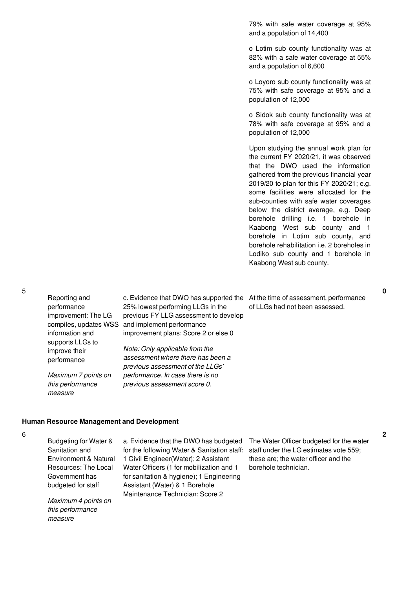79% with safe water coverage at 95% and a population of 14,400

o Lotim sub county functionality was at 82% with a safe water coverage at 55% and a population of 6,600

o Loyoro sub county functionality was at 75% with safe coverage at 95% and a population of 12,000

o Sidok sub county functionality was at 78% with safe coverage at 95% and a population of 12,000

Upon studying the annual work plan for the current FY 2020/21, it was observed that the DWO used the information gathered from the previous financial year 2019/20 to plan for this FY 2020/21; e.g. some facilities were allocated for the sub-counties with safe water coverages below the district average, e.g. Deep borehole drilling i.e. 1 borehole in Kaabong West sub county and 1 borehole in Lotim sub county, and borehole rehabilitation i.e. 2 boreholes in Lodiko sub county and 1 borehole in Kaabong West sub county.

c. Evidence that DWO has supported the At the time of assessment, performance of LLGs had not been assessed.

# **Human Resource Management and Development**

6

Budgeting for Water & Sanitation and Environment & Natural Resources: The Local Government has budgeted for staff

Reporting and performance

information and supports LLGs to improve their performance

*measure*

improvement: The LG

*Maximum 7 points on this performance*

compiles, updates WSS and implement performance

*Maximum 4 points on this performance measure*

a. Evidence that the DWO has budgeted for the following Water & Sanitation staff: 1 Civil Engineer(Water); 2 Assistant Water Officers (1 for mobilization and 1 for sanitation & hygiene); 1 Engineering Assistant (Water) & 1 Borehole Maintenance Technician: Score 2

25% lowest performing LLGs in the previous FY LLG assessment to develop

improvement plans: Score 2 or else 0

*Note: Only applicable from the assessment where there has been a previous assessment of the LLGs' performance. In case there is no previous assessment score 0.*

> The Water Officer budgeted for the water staff under the LG estimates vote 559; these are; the water officer and the borehole technician.

5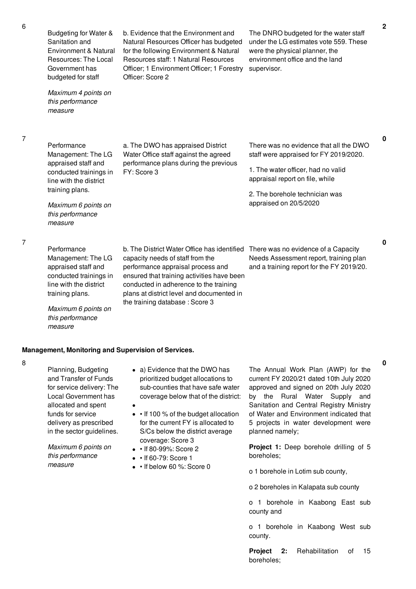| 6 | Budgeting for Water &<br>Sanitation and<br>Environment & Natural<br>Resources: The Local<br>Government has<br>budgeted for staff<br>Maximum 4 points on<br>this performance<br>measure           | b. Evidence that the Environment and<br>Natural Resources Officer has budgeted<br>for the following Environment & Natural<br>Resources staff: 1 Natural Resources<br>Officer; 1 Environment Officer; 1 Forestry<br>Officer: Score 2                                                         | The DNRO budgeted for the water staff<br>under the LG estimates vote 559. These<br>were the physical planner, the<br>environment office and the land<br>supervisor.                                                   |
|---|--------------------------------------------------------------------------------------------------------------------------------------------------------------------------------------------------|---------------------------------------------------------------------------------------------------------------------------------------------------------------------------------------------------------------------------------------------------------------------------------------------|-----------------------------------------------------------------------------------------------------------------------------------------------------------------------------------------------------------------------|
| 7 | Performance<br>Management: The LG<br>appraised staff and<br>conducted trainings in<br>line with the district<br>training plans.<br>Maximum 6 points on<br>this performance                       | a. The DWO has appraised District<br>Water Office staff against the agreed<br>performance plans during the previous<br>FY: Score 3                                                                                                                                                          | There was no evidence that all the DWO<br>staff were appraised for FY 2019/2020.<br>1. The water officer, had no valid<br>appraisal report on file, while<br>2. The borehole technician was<br>appraised on 20/5/2020 |
| 7 | measure<br>Performance<br>Management: The LG<br>appraised staff and<br>conducted trainings in<br>line with the district<br>training plans.<br>Maximum 6 points on<br>this performance<br>measure | b. The District Water Office has identified<br>capacity needs of staff from the<br>performance appraisal process and<br>ensured that training activities have been<br>conducted in adherence to the training<br>plans at district level and documented in<br>the training database: Score 3 | There was no evidence of a Capacity<br>Needs Assessment report, training plan<br>and a training report for the FY 2019/20.                                                                                            |

Planning, Budgeting and Transfer of Funds for service delivery: The Local Government has allocated and spent funds for service delivery as prescribed in the sector guidelines.

**Management, Monitoring and Supervision of Services.**

*Maximum 6 points on this performance measure*

- a) Evidence that the DWO has prioritized budget allocations to sub-counties that have safe water coverage below that of the district:
- If 100 % of the budget allocation for the current FY is allocated to S/Cs below the district average coverage: Score 3
- • If 80-99%: Score 2
- $\cdot$   $\cdot$  If 60-79: Score 1
- If below 60 %: Score 0

The Annual Work Plan (AWP) for the current FY 2020/21 dated 10th July 2020 approved and signed on 20th July 2020 by the Rural Water Supply and Sanitation and Central Registry Ministry of Water and Environment indicated that 5 projects in water development were planned namely;

**Project 1:** Deep borehole drilling of 5 boreholes;

o 1 borehole in Lotim sub county,

o 2 boreholes in Kalapata sub county

o 1 borehole in Kaabong East sub county and

o 1 borehole in Kaabong West sub county.

**Project 2:** Rehabilitation of 15 boreholes;

**0**

**0**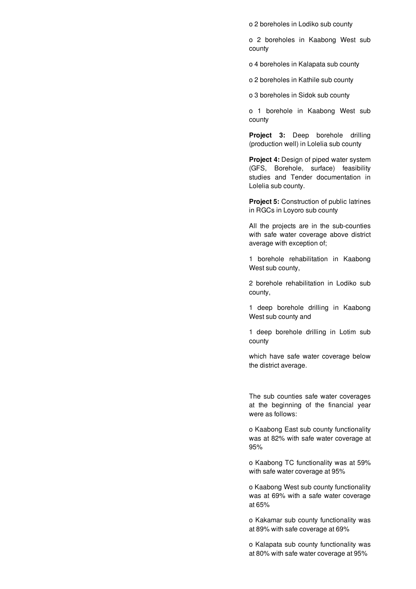o 2 boreholes in Lodiko sub county

o 2 boreholes in Kaabong West sub county

o 4 boreholes in Kalapata sub county

o 2 boreholes in Kathile sub county

o 3 boreholes in Sidok sub county

o 1 borehole in Kaabong West sub county

**Project 3:** Deep borehole drilling (production well) in Lolelia sub county

**Project 4:** Design of piped water system (GFS, Borehole, surface) feasibility studies and Tender documentation in Lolelia sub county.

**Project 5:** Construction of public latrines in RGCs in Loyoro sub county

All the projects are in the sub-counties with safe water coverage above district average with exception of;

1 borehole rehabilitation in Kaabong West sub county,

2 borehole rehabilitation in Lodiko sub county,

1 deep borehole drilling in Kaabong West sub county and

1 deep borehole drilling in Lotim sub county

which have safe water coverage below the district average.

The sub counties safe water coverages at the beginning of the financial year were as follows:

o Kaabong East sub county functionality was at 82% with safe water coverage at 95%

o Kaabong TC functionality was at 59% with safe water coverage at 95%

o Kaabong West sub county functionality was at 69% with a safe water coverage at 65%

o Kakamar sub county functionality was at 89% with safe coverage at 69%

o Kalapata sub county functionality was at 80% with safe water coverage at 95%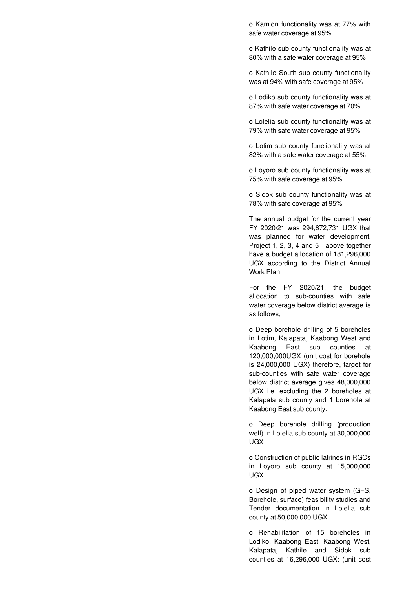o Kamion functionality was at 77% with safe water coverage at 95%

o Kathile sub county functionality was at 80% with a safe water coverage at 95%

o Kathile South sub county functionality was at 94% with safe coverage at 95%

o Lodiko sub county functionality was at 87% with safe water coverage at 70%

o Lolelia sub county functionality was at 79% with safe water coverage at 95%

o Lotim sub county functionality was at 82% with a safe water coverage at 55%

o Loyoro sub county functionality was at 75% with safe coverage at 95%

o Sidok sub county functionality was at 78% with safe coverage at 95%

The annual budget for the current year FY 2020/21 was 294,672,731 UGX that was planned for water development. Project 1, 2, 3, 4 and 5 above together have a budget allocation of 181,296,000 UGX according to the District Annual Work Plan.

For the FY 2020/21, the budget allocation to sub-counties with safe water coverage below district average is as follows;

o Deep borehole drilling of 5 boreholes in Lotim, Kalapata, Kaabong West and Kaabong East sub counties at 120,000,000UGX (unit cost for borehole is 24,000,000 UGX) therefore, target for sub-counties with safe water coverage below district average gives 48,000,000 UGX i.e. excluding the 2 boreholes at Kalapata sub county and 1 borehole at Kaabong East sub county.

o Deep borehole drilling (production well) in Lolelia sub county at 30,000,000 UGX

o Construction of public latrines in RGCs in Loyoro sub county at 15,000,000 UGX

o Design of piped water system (GFS, Borehole, surface) feasibility studies and Tender documentation in Lolelia sub county at 50,000,000 UGX.

o Rehabilitation of 15 boreholes in Lodiko, Kaabong East, Kaabong West, Kalapata, Kathile and Sidok sub counties at 16,296,000 UGX: (unit cost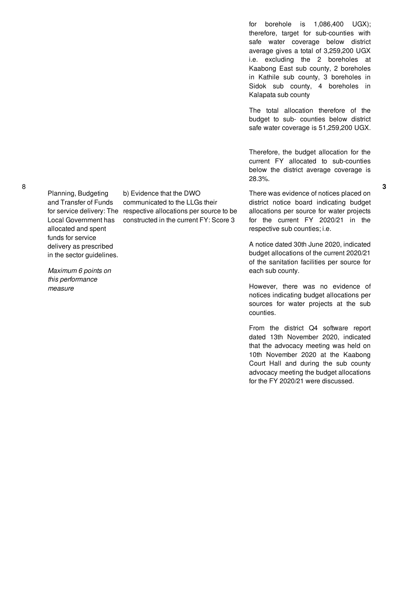Planning, Budgeting and Transfer of Funds Local Government has allocated and spent funds for service delivery as prescribed in the sector guidelines.

*Maximum 6 points on this performance measure*

for service delivery: The respective allocations per source to be b) Evidence that the DWO communicated to the LLGs their constructed in the current FY: Score 3

for borehole is 1,086,400 UGX); therefore, target for sub-counties with safe water coverage below district average gives a total of 3,259,200 UGX i.e. excluding the 2 boreholes at Kaabong East sub county, 2 boreholes in Kathile sub county, 3 boreholes in Sidok sub county, 4 boreholes in Kalapata sub county

The total allocation therefore of the budget to sub- counties below district safe water coverage is 51,259,200 UGX.

Therefore, the budget allocation for the current FY allocated to sub-counties below the district average coverage is 28.3%.

There was evidence of notices placed on district notice board indicating budget allocations per source for water projects for the current FY 2020/21 in the respective sub counties; i.e.

A notice dated 30th June 2020, indicated budget allocations of the current 2020/21 of the sanitation facilities per source for each sub county.

However, there was no evidence of notices indicating budget allocations per sources for water projects at the sub counties.

From the district Q4 software report dated 13th November 2020, indicated that the advocacy meeting was held on 10th November 2020 at the Kaabong Court Hall and during the sub county advocacy meeting the budget allocations for the FY 2020/21 were discussed.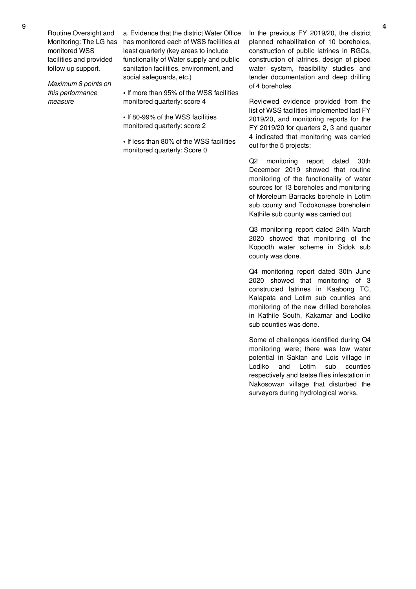Routine Oversight and Monitoring: The LG has monitored WSS facilities and provided follow up support.

*Maximum 8 points on this performance measure*

a. Evidence that the district Water Office has monitored each of WSS facilities at least quarterly (key areas to include functionality of Water supply and public sanitation facilities, environment, and social safeguards, etc.)

**•** If more than 95% of the WSS facilities monitored quarterly: score 4

**•** If 80-99% of the WSS facilities monitored quarterly: score 2

**•** If less than 80% of the WSS facilities monitored quarterly: Score 0

In the previous FY 2019/20, the district planned rehabilitation of 10 boreholes, construction of public latrines in RGCs, construction of latrines, design of piped water system, feasibility studies and tender documentation and deep drilling of 4 boreholes

Reviewed evidence provided from the list of WSS facilities implemented last FY 2019/20, and monitoring reports for the FY 2019/20 for quarters 2, 3 and quarter 4 indicated that monitoring was carried out for the 5 projects;

Q2 monitoring report dated 30th December 2019 showed that routine monitoring of the functionality of water sources for 13 boreholes and monitoring of Moreleum Barracks borehole in Lotim sub county and Todokonase boreholein Kathile sub county was carried out.

Q3 monitoring report dated 24th March 2020 showed that monitoring of the Kopodth water scheme in Sidok sub county was done.

Q4 monitoring report dated 30th June 2020 showed that monitoring of 3 constructed latrines in Kaabong TC, Kalapata and Lotim sub counties and monitoring of the new drilled boreholes in Kathile South, Kakamar and Lodiko sub counties was done.

Some of challenges identified during Q4 monitoring were; there was low water potential in Saktan and Lois village in Lodiko and Lotim sub counties respectively and tsetse flies infestation in Nakosowan village that disturbed the surveyors during hydrological works.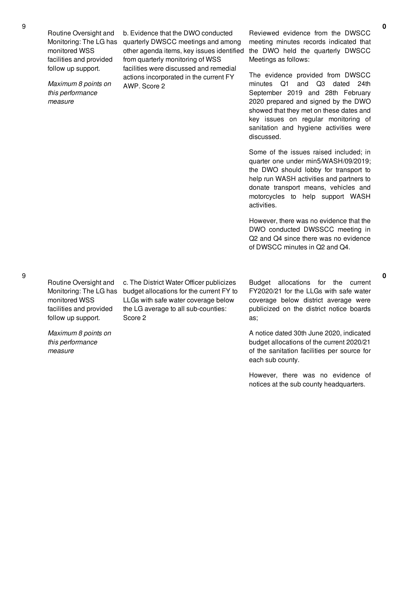Routine Oversight and Monitoring: The LG has monitored WSS facilities and provided follow up support.

*Maximum 8 points on this performance measure*

b. Evidence that the DWO conducted quarterly DWSCC meetings and among other agenda items, key issues identified from quarterly monitoring of WSS facilities were discussed and remedial actions incorporated in the current FY AWP. Score 2

Reviewed evidence from the DWSCC meeting minutes records indicated that the DWO held the quarterly DWSCC Meetings as follows:

The evidence provided from DWSCC minutes Q1 and Q3 dated 24th September 2019 and 28th February 2020 prepared and signed by the DWO showed that they met on these dates and key issues on regular monitoring of sanitation and hygiene activities were discussed.

Some of the issues raised included; in quarter one under min5/WASH/09/2019; the DWO should lobby for transport to help run WASH activities and partners to donate transport means, vehicles and motorcycles to help support WASH activities.

However, there was no evidence that the DWO conducted DWSSCC meeting in Q2 and Q4 since there was no evidence of DWSCC minutes in Q2 and Q4.

9

Routine Oversight and Monitoring: The LG has monitored WSS facilities and provided follow up support.

*Maximum 8 points on this performance measure*

c. The District Water Officer publicizes budget allocations for the current FY to LLGs with safe water coverage below the LG average to all sub-counties: Score 2

Budget allocations for the current FY2020/21 for the LLGs with safe water coverage below district average were publicized on the district notice boards as;

A notice dated 30th June 2020, indicated budget allocations of the current 2020/21 of the sanitation facilities per source for each sub county.

However, there was no evidence of notices at the sub county headquarters.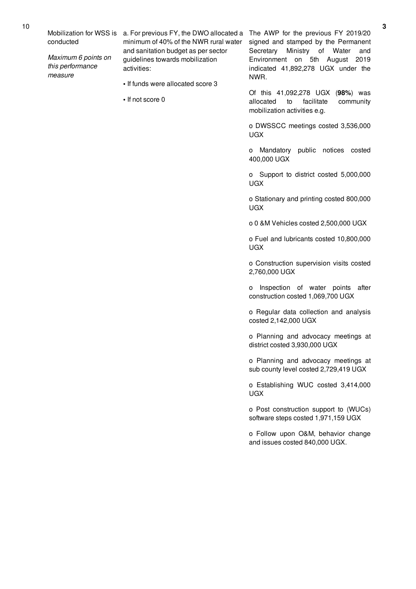conducted

*Maximum 6 points on this performance measure*

Mobilization for WSS is a. For previous FY, the DWO allocated a The AWP for the previous FY 2019/20 minimum of 40% of the NWR rural water and sanitation budget as per sector guidelines towards mobilization activities:

- **•** If funds were allocated score 3
- **•** If not score 0

signed and stamped by the Permanent Secretary Ministry of Water and Environment on 5th August 2019 indicated 41,892,278 UGX under the NWR.

Of this 41,092,278 UGX (**98%**) was allocated to facilitate community mobilization activities e.g.

o DWSSCC meetings costed 3,536,000 UGX

o Mandatory public notices costed 400,000 UGX

o Support to district costed 5,000,000 UGX

o Stationary and printing costed 800,000 UGX

o 0 &M Vehicles costed 2,500,000 UGX

o Fuel and lubricants costed 10,800,000 UGX

o Construction supervision visits costed 2,760,000 UGX

o Inspection of water points after construction costed 1,069,700 UGX

o Regular data collection and analysis costed 2,142,000 UGX

o Planning and advocacy meetings at district costed 3,930,000 UGX

o Planning and advocacy meetings at sub county level costed 2,729,419 UGX

o Establishing WUC costed 3,414,000 UGX

o Post construction support to (WUCs) software steps costed 1,971,159 UGX

o Follow upon O&M, behavior change and issues costed 840,000 UGX.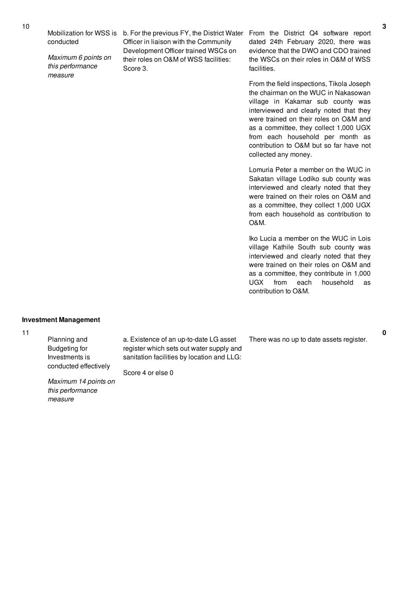conducted

*Maximum 6 points on this performance measure*

Mobilization for WSS is b. For the previous FY, the District Water Officer in liaison with the Community Development Officer trained WSCs on their roles on O&M of WSS facilities: Score 3.

From the District Q4 software report dated 24th February 2020, there was evidence that the DWO and CDO trained the WSCs on their roles in O&M of WSS facilities.

From the field inspections, Tikola Joseph the chairman on the WUC in Nakasowan village in Kakamar sub county was interviewed and clearly noted that they were trained on their roles on O&M and as a committee, they collect 1,000 UGX from each household per month as contribution to O&M but so far have not collected any money.

Lomuria Peter a member on the WUC in Sakatan village Lodiko sub county was interviewed and clearly noted that they were trained on their roles on O&M and as a committee, they collect 1,000 UGX from each household as contribution to O&M.

Iko Lucia a member on the WUC in Lois village Kathile South sub county was interviewed and clearly noted that they were trained on their roles on O&M and as a committee, they contribute in 1,000 UGX from each household as contribution to O&M.

# **Investment Management**

11

Planning and Budgeting for Investments is conducted effectively

*Maximum 14 points on this performance measure*

a. Existence of an up-to-date LG asset register which sets out water supply and sanitation facilities by location and LLG:

Score 4 or else 0

There was no up to date assets register.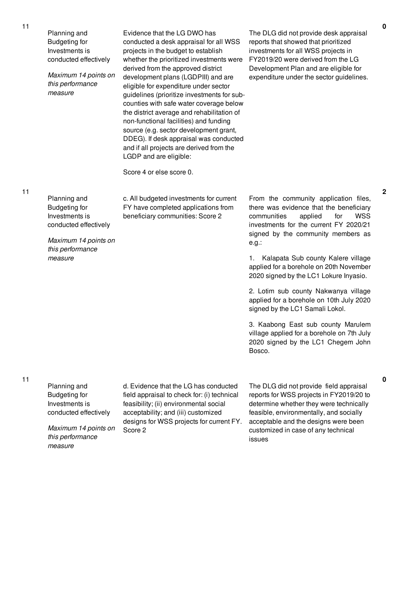Planning and Budgeting for Investments is conducted effectively

*Maximum 14 points on this performance measure*

Evidence that the LG DWO has conducted a desk appraisal for all WSS projects in the budget to establish whether the prioritized investments were derived from the approved district development plans (LGDPIII) and are eligible for expenditure under sector guidelines (prioritize investments for subcounties with safe water coverage below the district average and rehabilitation of non-functional facilities) and funding source (e.g. sector development grant, DDEG). If desk appraisal was conducted and if all projects are derived from the LGDP and are eligible:

The DLG did not provide desk appraisal reports that showed that prioritized investments for all WSS projects in FY2019/20 were derived from the LG Development Plan and are eligible for expenditure under the sector guidelines.

Score 4 or else score 0.

11

Planning and Budgeting for Investments is conducted effectively c. All budgeted investments for current FY have completed applications from beneficiary communities: Score 2

*Maximum 14 points on this performance measure*

From the community application files, there was evidence that the beneficiary communities applied for WSS investments for the current FY 2020/21 signed by the community members as e.g.:

1. Kalapata Sub county Kalere village applied for a borehole on 20th November 2020 signed by the LC1 Lokure Inyasio.

2. Lotim sub county Nakwanya village applied for a borehole on 10th July 2020 signed by the LC1 Samali Lokol.

3. Kaabong East sub county Marulem village applied for a borehole on 7th July 2020 signed by the LC1 Chegem John Bosco.

*measure*

Planning and Budgeting for Investments is conducted effectively *Maximum 14 points on this performance* d. Evidence that the LG has conducted field appraisal to check for: (i) technical feasibility; (ii) environmental social acceptability; and (iii) customized designs for WSS projects for current FY. Score 2

The DLG did not provide field appraisal reports for WSS projects in FY2019/20 to determine whether they were technically feasible, environmentally, and socially acceptable and the designs were been customized in case of any technical issues

**0**

**2**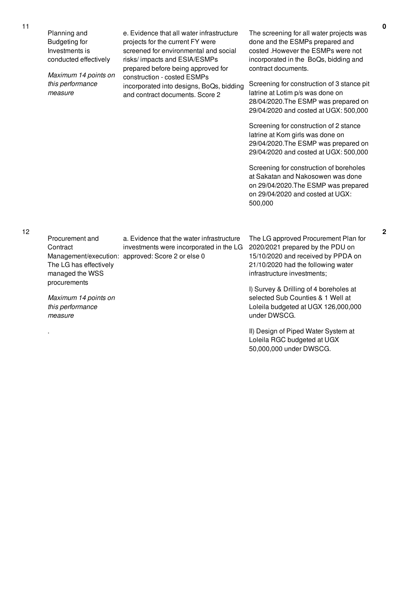.

Planning and Budgeting for Investments is conducted effectively *Maximum 14 points on this performance measure* e. Evidence that all water infrastructure projects for the current FY were screened for environmental and social risks/ impacts and ESIA/ESMPs prepared before being approved for construction - costed ESMPs incorporated into designs, BoQs, bidding and contract documents. Score 2 The screening for all water projects was done and the ESMPs prepared and costed .However the ESMPs were not incorporated in the BoQs, bidding and contract documents. Screening for construction of 3 stance pit latrine at Lotim p/s was done on 28/04/2020.The ESMP was prepared on 29/04/2020 and costed at UGX: 500,000 Screening for construction of 2 stance latrine at Kom girls was done on 29/04/2020.The ESMP was prepared on 29/04/2020 and costed at UGX: 500,000 Screening for construction of boreholes at Sakatan and Nakosowen was done on 29/04/2020.The ESMP was prepared on 29/04/2020 and costed at UGX: 500,000 Procurement and **Contract** Management/execution: approved: Score 2 or else 0 The LG has effectively managed the WSS procurements *Maximum 14 points on this performance measure* a. Evidence that the water infrastructure investments were incorporated in the LG The LG approved Procurement Plan for 2020/2021 prepared by the PDU on 15/10/2020 and received by PPDA on 21/10/2020 had the following water infrastructure investments; I) Survey & Drilling of 4 boreholes at selected Sub Counties & 1 Well at Loleila budgeted at UGX 126,000,000 under DWSCG.

> II) Design of Piped Water System at Loleila RGC budgeted at UGX 50,000,000 under DWSCG.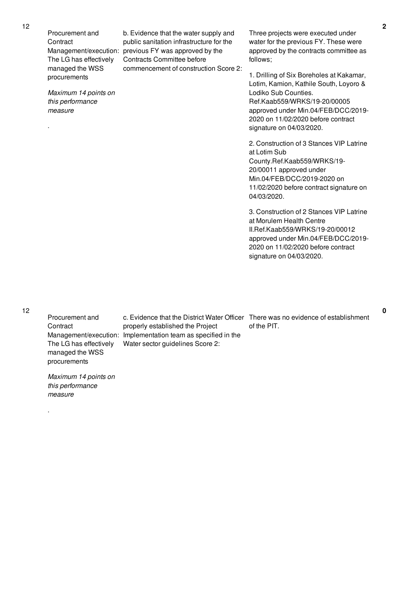Procurement and **Contract** Management/execution: previous FY was approved by the The LG has effectively managed the WSS procurements *Maximum 14 points on this performance measure* . b. Evidence that the water supply and public sanitation infrastructure for the Contracts Committee before commencement of construction Score 2: follows; Lodiko Sub Counties. 2020 on 11/02/2020 before contract signature on 04/03/2020. at Lotim Sub 20/00011 approved under Min.04/FEB/DCC/2019-2020 on 04/03/2020. at Morulem Health Centre signature on 04/03/2020.

12

Procurement and **Contract** The LG has effectively managed the WSS procurements

*Maximum 14 points on this performance measure*

.

Management/execution: Implementation team as specified in the c. Evidence that the District Water Officer There was no evidence of establishment properly established the Project Water sector guidelines Score 2:

Three projects were executed under water for the previous FY. These were approved by the contracts committee as

1. Drilling of Six Boreholes at Kakamar, Lotim, Kamion, Kathile South, Loyoro & Ref.Kaab559/WRKS/19-20/00005 approved under Min.04/FEB/DCC/2019-

2. Construction of 3 Stances VIP Latrine County.Ref.Kaab559/WRKS/19-

11/02/2020 before contract signature on

3. Construction of 2 Stances VIP Latrine II.Ref.Kaab559/WRKS/19-20/00012 approved under Min.04/FEB/DCC/2019- 2020 on 11/02/2020 before contract

of the PIT.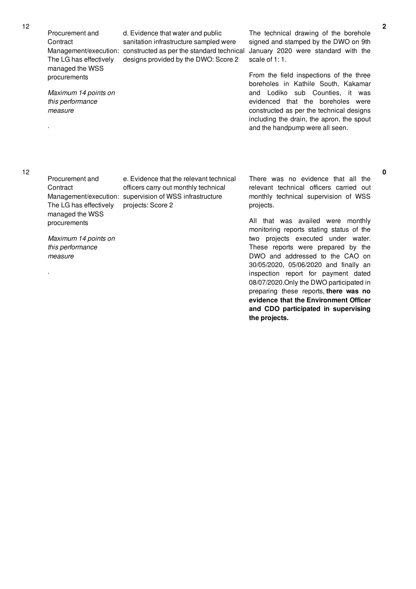Procurement and **Contract** The LG has effectively managed the WSS procurements

*Maximum 14 points on this performance measure*

Management/execution: constructed as per the standard technical d. Evidence that water and public sanitation infrastructure sampled were designs provided by the DWO: Score 2

The technical drawing of the borehole signed and stamped by the DWO on 9th January 2020 were standard with the scale of 1: 1.

From the field inspections of the three boreholes in Kathile South, Kakamar and Lodiko sub Counties, it was evidenced that the boreholes were constructed as per the technical designs including the drain, the apron, the spout and the handpump were all seen.

.

.

Procurement and **Contract** The LG has effectively managed the WSS procurements

*Maximum 14 points on this performance measure*

Management/execution: supervision of WSS infrastructure e. Evidence that the relevant technical officers carry out monthly technical projects: Score 2

There was no evidence that all the relevant technical officers carried out monthly technical supervision of WSS projects.

All that was availed were monthly monitoring reports stating status of the two projects executed under water. These reports were prepared by the DWO and addressed to the CAO on 30/05/2020, 05/06/2020 and finally an inspection report for payment dated 08/07/2020.Only the DWO participated in preparing these reports, **there was no evidence that the Environment Officer and CDO participated in supervising the projects.**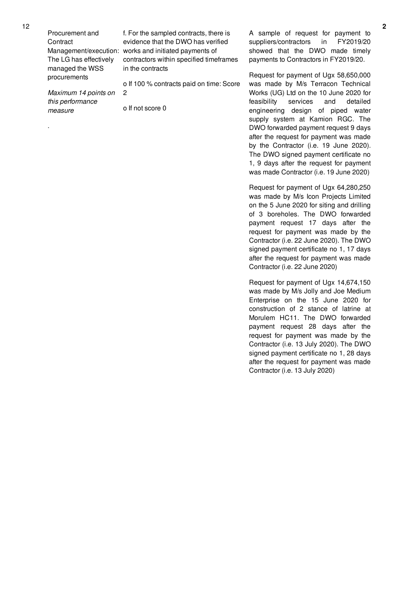Procurement and **Contract** The LG has effectively managed the WSS procurements

*Maximum 14 points on this performance measure*

.

Management/execution: works and initiated payments of f. For the sampled contracts, there is evidence that the DWO has verified contractors within specified timeframes in the contracts

> o If 100 % contracts paid on time: Score 2

o If not score 0

A sample of request for payment to suppliers/contractors in FY2019/20 showed that the DWO made timely payments to Contractors in FY2019/20.

Request for payment of Ugx 58,650,000 was made by M/s Terracon Technical Works (UG) Ltd on the 10 June 2020 for feasibility services and detailed engineering design of piped water supply system at Kamion RGC. The DWO forwarded payment request 9 days after the request for payment was made by the Contractor (i.e. 19 June 2020). The DWO signed payment certificate no 1, 9 days after the request for payment was made Contractor (i.e. 19 June 2020)

Request for payment of Ugx 64,280,250 was made by M/s Icon Projects Limited on the 5 June 2020 for siting and drilling of 3 boreholes. The DWO forwarded payment request 17 days after the request for payment was made by the Contractor (i.e. 22 June 2020). The DWO signed payment certificate no 1, 17 days after the request for payment was made Contractor (i.e. 22 June 2020)

Request for payment of Ugx 14,674,150 was made by M/s Jolly and Joe Medium Enterprise on the 15 June 2020 for construction of 2 stance of latrine at Morulem HC11. The DWO forwarded payment request 28 days after the request for payment was made by the Contractor (i.e. 13 July 2020). The DWO signed payment certificate no 1, 28 days after the request for payment was made Contractor (i.e. 13 July 2020)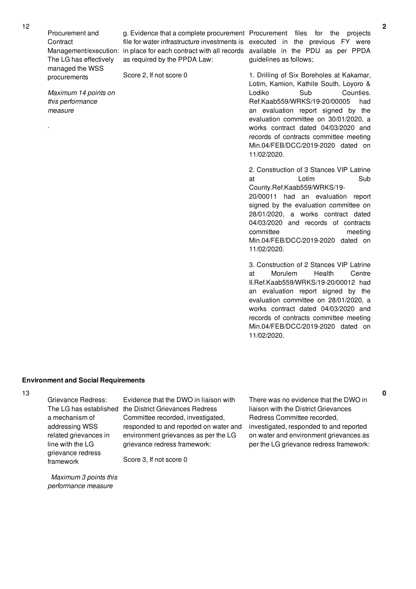Procurement and **Contract** The LG has effectively managed the WSS procurements

as required by the PPDA Law:

Score 2, If not score 0

*Maximum 14 points on this performance measure*

.

Management/execution: in place for each contract with all records available in the PDU as per PPDA g. Evidence that a complete procurement Procurement files for the projects file for water infrastructure investments is executed in the previous FY were guidelines as follows;

> 1. Drilling of Six Boreholes at Kakamar, Lotim, Kamion, Kathile South, Loyoro & Lodiko Sub Counties. Ref.Kaab559/WRKS/19-20/00005 had an evaluation report signed by the evaluation committee on 30/01/2020, a works contract dated 04/03/2020 and records of contracts committee meeting Min.04/FEB/DCC/2019-2020 dated on 11/02/2020.

2. Construction of 3 Stances VIP Latrine at Lotim Sub County.Ref.Kaab559/WRKS/19-

20/00011 had an evaluation report signed by the evaluation committee on 28/01/2020, a works contract dated 04/03/2020 and records of contracts committee meeting Min.04/FEB/DCC/2019-2020 dated on 11/02/2020.

3. Construction of 2 Stances VIP Latrine at Morulem Health Centre II.Ref.Kaab559/WRKS/19-20/00012 had an evaluation report signed by the evaluation committee on 28/01/2020, a works contract dated 04/03/2020 and records of contracts committee meeting Min.04/FEB/DCC/2019-2020 dated on 11/02/2020.

# **Environment and Social Requirements**

Grievance Redress: a mechanism of addressing WSS related grievances in line with the LG grievance redress framework

The LG has established the District Grievances Redress Evidence that the DWO in liaison with Committee recorded, investigated, responded to and reported on water and environment grievances as per the LG grievance redress framework:

Score 3, If not score 0

There was no evidence that the DWO in liaison with the District Grievances Redress Committee recorded, investigated, responded to and reported on water and environment grievances as per the LG grievance redress framework:

*Maximum 3 points this performance measure*

12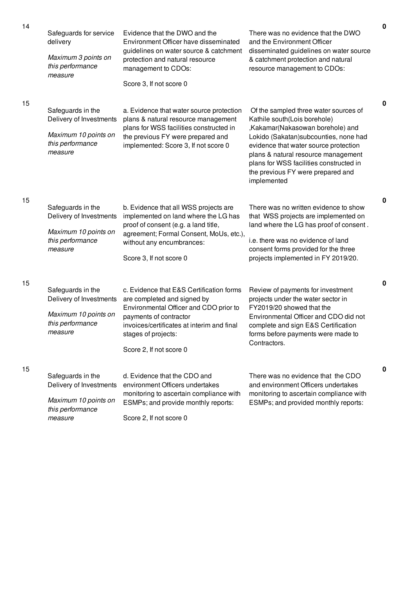| 14 | Safeguards for service<br>delivery<br>Maximum 3 points on<br>this performance<br>measure            | Evidence that the DWO and the<br>Environment Officer have disseminated<br>guidelines on water source & catchment<br>protection and natural resource<br>management to CDOs:<br>Score 3, If not score 0                                       | There was no evidence that the DWO<br>and the Environment Officer<br>disseminated guidelines on water source<br>& catchment protection and natural<br>resource management to CDOs:                                                                                                                                                 |
|----|-----------------------------------------------------------------------------------------------------|---------------------------------------------------------------------------------------------------------------------------------------------------------------------------------------------------------------------------------------------|------------------------------------------------------------------------------------------------------------------------------------------------------------------------------------------------------------------------------------------------------------------------------------------------------------------------------------|
| 15 | Safeguards in the<br>Delivery of Investments<br>Maximum 10 points on<br>this performance<br>measure | a. Evidence that water source protection<br>plans & natural resource management<br>plans for WSS facilities constructed in<br>the previous FY were prepared and<br>implemented: Score 3, If not score 0                                     | Of the sampled three water sources of<br>Kathile south(Lois borehole)<br>,Kakamar(Nakasowan borehole) and<br>Lokido (Sakatan) subcounties, none had<br>evidence that water source protection<br>plans & natural resource management<br>plans for WSS facilities constructed in<br>the previous FY were prepared and<br>implemented |
| 15 | Safeguards in the<br>Delivery of Investments<br>Maximum 10 points on<br>this performance<br>measure | b. Evidence that all WSS projects are<br>implemented on land where the LG has<br>proof of consent (e.g. a land title,<br>agreement; Formal Consent, MoUs, etc.),<br>without any encumbrances:<br>Score 3, If not score 0                    | There was no written evidence to show<br>that WSS projects are implemented on<br>land where the LG has proof of consent.<br>i.e. there was no evidence of land<br>consent forms provided for the three<br>projects implemented in FY 2019/20.                                                                                      |
| 15 | Safeguards in the<br>Delivery of Investments<br>Maximum 10 points on<br>this performance<br>measure | c. Evidence that E&S Certification forms<br>are completed and signed by<br>Environmental Officer and CDO prior to<br>payments of contractor<br>invoices/certificates at interim and final<br>stages of projects:<br>Score 2, If not score 0 | Review of payments for investment<br>projects under the water sector in<br>FY2019/20 showed that the<br>Environmental Officer and CDO did not<br>complete and sign E&S Certification<br>forms before payments were made to<br>Contractors.                                                                                         |
| 15 | Safeguards in the<br>Delivery of Investments<br>Maximum 10 points on<br>this performance<br>measure | d. Evidence that the CDO and<br>environment Officers undertakes<br>monitoring to ascertain compliance with<br>ESMPs; and provide monthly reports:<br>Score 2, If not score 0                                                                | There was no evidence that the CDO<br>and environment Officers undertakes<br>monitoring to ascertain compliance with<br>ESMPs; and provided monthly reports:                                                                                                                                                                       |

**0**

**0**

**0**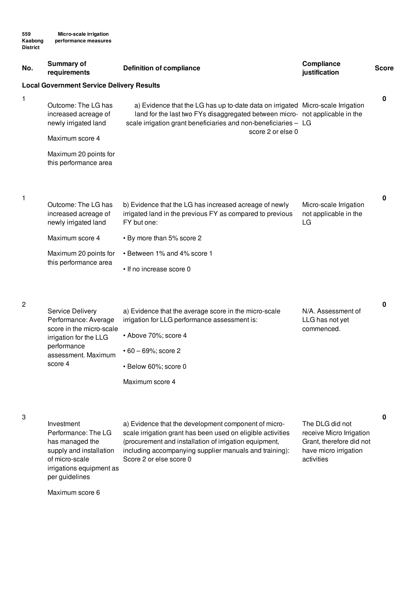| No. | <b>Summary of</b><br>requirements                                   | <b>Definition of compliance</b>                                                                                                                                                                                                                         | Compliance<br>justification                                            | <b>Score</b> |
|-----|---------------------------------------------------------------------|---------------------------------------------------------------------------------------------------------------------------------------------------------------------------------------------------------------------------------------------------------|------------------------------------------------------------------------|--------------|
|     | <b>Local Government Service Delivery Results</b>                    |                                                                                                                                                                                                                                                         |                                                                        |              |
| 1   | Outcome: The LG has<br>increased acreage of<br>newly irrigated land | a) Evidence that the LG has up to-date data on irrigated Micro-scale Irrigation<br>land for the last two FYs disaggregated between micro- not applicable in the<br>scale irrigation grant beneficiaries and non-beneficiaries - LG<br>score 2 or else 0 |                                                                        | 0            |
|     | Maximum score 4                                                     |                                                                                                                                                                                                                                                         |                                                                        |              |
|     | Maximum 20 points for<br>this performance area                      |                                                                                                                                                                                                                                                         |                                                                        |              |
| 1   | Outcome: The LG has                                                 | b) Evidence that the LG has increased acreage of newly                                                                                                                                                                                                  | Micro-scale Irrigation                                                 | $\pmb{0}$    |
|     | increased acreage of<br>newly irrigated land                        | irrigated land in the previous FY as compared to previous<br>FY but one:                                                                                                                                                                                | not applicable in the<br>LG                                            |              |
|     | Maximum score 4                                                     | • By more than 5% score 2                                                                                                                                                                                                                               |                                                                        |              |
|     | Maximum 20 points for                                               | • Between 1% and 4% score 1                                                                                                                                                                                                                             |                                                                        |              |
|     | this performance area                                               | • If no increase score 0                                                                                                                                                                                                                                |                                                                        |              |
| 2   |                                                                     |                                                                                                                                                                                                                                                         |                                                                        | 0            |
|     | Service Delivery<br>Performance: Average                            | a) Evidence that the average score in the micro-scale<br>irrigation for LLG performance assessment is:                                                                                                                                                  | N/A. Assessment of<br>LLG has not yet                                  |              |
|     | score in the micro-scale<br>irrigation for the LLG                  | • Above 70%; score 4                                                                                                                                                                                                                                    | commenced.                                                             |              |
|     | performance<br>assessment. Maximum                                  | $\cdot$ 60 - 69%; score 2                                                                                                                                                                                                                               |                                                                        |              |
|     | score 4                                                             | · Below 60%; score 0                                                                                                                                                                                                                                    |                                                                        |              |
|     |                                                                     | Maximum score 4                                                                                                                                                                                                                                         |                                                                        |              |
| 3   |                                                                     |                                                                                                                                                                                                                                                         |                                                                        | 0            |
|     | Investment<br>Performance: The LG<br>has managed the                | a) Evidence that the development component of micro-<br>scale irrigation grant has been used on eligible activities<br>Interior and installation of irrigation equipment                                                                                | The DLG did not<br>receive Micro Irrigation<br>Grant therefore did not |              |

has managed the of micro-scale irrigations equipment as per guidelines

supply and installation including accompanying supplier manuals and training): (procurement and installation of irrigation equipment, Score 2 or else score 0

Grant, therefore did not have micro irrigation activities

Maximum score 6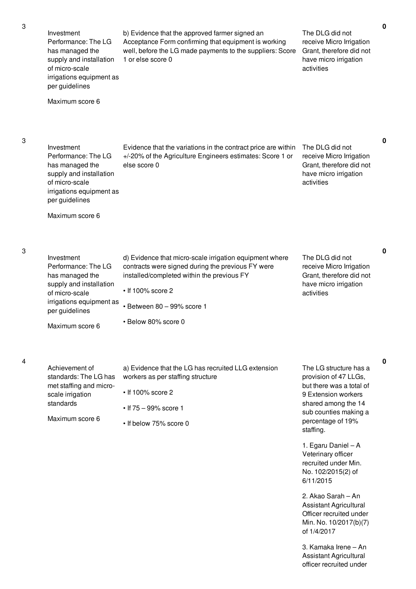3

4

| Investment<br>Performance: The LG<br>has managed the<br>supply and installation<br>of micro-scale<br>irrigations equipment as<br>per guidelines<br>Maximum score 6 | b) Evidence that the approved farmer signed an<br>Acceptance Form confirming that equipment is working<br>well, before the LG made payments to the suppliers: Score<br>1 or else score 0                                                   | The DLG did not<br>receive Micro Irrigation<br>Grant, therefore did not<br>have micro irrigation<br>activities                                                                                                                                                                                                                                                                                                          | $\mathbf 0$ |
|--------------------------------------------------------------------------------------------------------------------------------------------------------------------|--------------------------------------------------------------------------------------------------------------------------------------------------------------------------------------------------------------------------------------------|-------------------------------------------------------------------------------------------------------------------------------------------------------------------------------------------------------------------------------------------------------------------------------------------------------------------------------------------------------------------------------------------------------------------------|-------------|
| Investment<br>Performance: The LG<br>has managed the<br>supply and installation<br>of micro-scale<br>irrigations equipment as<br>per guidelines<br>Maximum score 6 | Evidence that the variations in the contract price are within<br>+/-20% of the Agriculture Engineers estimates: Score 1 or<br>else score 0                                                                                                 | The DLG did not<br>receive Micro Irrigation<br>Grant, therefore did not<br>have micro irrigation<br>activities                                                                                                                                                                                                                                                                                                          | 0           |
| Investment<br>Performance: The LG<br>has managed the<br>supply and installation<br>of micro-scale<br>irrigations equipment as<br>per guidelines<br>Maximum score 6 | d) Evidence that micro-scale irrigation equipment where<br>contracts were signed during the previous FY were<br>installed/completed within the previous FY<br>$\cdot$ If 100% score 2<br>• Between 80 - 99% score 1<br>· Below 80% score 0 | The DLG did not<br>receive Micro Irrigation<br>Grant, therefore did not<br>have micro irrigation<br>activities                                                                                                                                                                                                                                                                                                          | 0           |
| Achievement of<br>standards: The LG has<br>met staffing and micro-<br>scale irrigation<br>standards<br>Maximum score 6                                             | a) Evidence that the LG has recruited LLG extension<br>workers as per staffing structure<br>$\cdot$ If 100% score 2<br>• If $75 - 99\%$ score 1<br>• If below 75% score 0                                                                  | The LG structure has a<br>provision of 47 LLGs,<br>but there was a total of<br>9 Extension workers<br>shared among the 14<br>sub counties making a<br>percentage of 19%<br>staffing.<br>1. Egaru Daniel - A<br>Veterinary officer<br>recruited under Min.<br>No. 102/2015(2) of<br>6/11/2015<br>2. Akao Sarah – An<br><b>Assistant Agricultural</b><br>Officer recruited under<br>Min. No. 10/2017(b)(7)<br>of 1/4/2017 | 0           |

3. Kamaka Irene – An Assistant Agricultural officer recruited under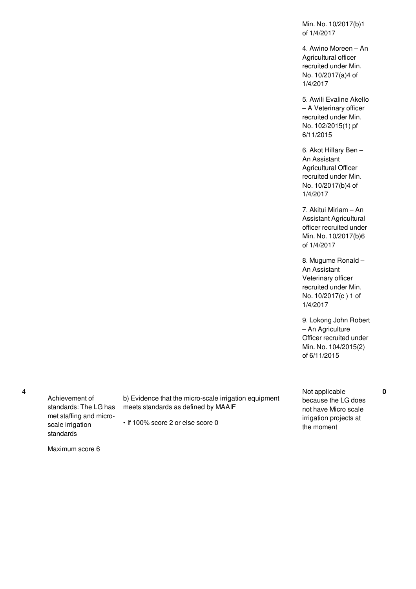Min. No. 10/2017(b)1 of 1/4/2017

4. Awino Moreen – An Agricultural officer recruited under Min. No. 10/2017(a)4 of 1/4/2017

5. Awili Evaline Akello – A Veterinary officer recruited under Min. No. 102/2015(1) pf 6/11/2015

6. Akot Hillary Ben – An Assistant Agricultural Officer recruited under Min. No. 10/2017(b)4 of 1/4/2017

7. Akitui Miriam – An Assistant Agricultural officer recruited under Min. No. 10/2017(b)6 of 1/4/2017

8. Mugume Ronald – An Assistant Veterinary officer recruited under Min. No. 10/2017(c ) 1 of 1/4/2017

9. Lokong John Robert – An Agriculture Officer recruited under Min. No. 104/2015(2) of 6/11/2015

4

Achievement of standards: The LG has met staffing and microscale irrigation standards

b) Evidence that the micro-scale irrigation equipment meets standards as defined by MAAIF

• If 100% score 2 or else score 0

Not applicable because the LG does not have Micro scale irrigation projects at the moment

**0**

Maximum score 6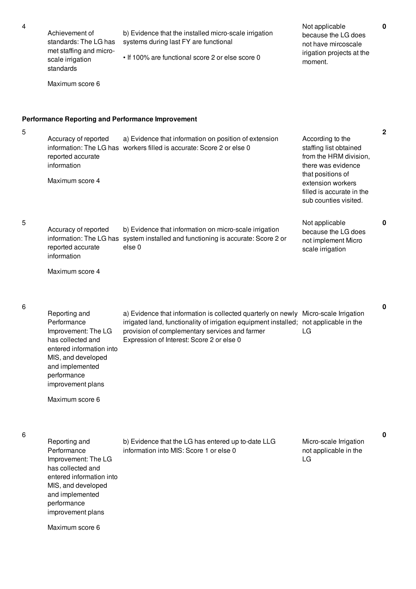5

6

6

improvement plans

Maximum score 6

Achievement of standards: The LG has met staffing and microscale irrigation standards Maximum score 6 b) Evidence that the installed micro-scale irrigation systems during last FY are functional • If 100% are functional score 2 or else score 0 Not applicable because the LG does not have mircoscale irigation projects at the moment. **Performance Reporting and Performance Improvement** Accuracy of reported information: The LG has workers filled is accurate: Score 2 or else 0 reported accurate information Maximum score 4 a) Evidence that information on position of extension According to the staffing list obtained from the HRM division, there was evidence that positions of extension workers filled is accurate in the sub counties visited. Accuracy of reported information: The LG has system installed and functioning is accurate: Score 2 or reported accurate information Maximum score 4 b) Evidence that information on micro-scale irrigation else 0 Not applicable because the LG does not implement Micro scale irrigation Reporting and Performance Improvement: The LG has collected and entered information into MIS, and developed and implemented performance improvement plans Maximum score 6 a) Evidence that information is collected quarterly on newly Micro-scale Irrigation irrigated land, functionality of irrigation equipment installed; not applicable in the provision of complementary services and farmer Expression of Interest: Score 2 or else 0 LG Reporting and Performance Improvement: The LG has collected and entered information into MIS, and developed and implemented performance b) Evidence that the LG has entered up to-date LLG information into MIS: Score 1 or else 0 Micro-scale Irrigation not applicable in the LG

**0**

**2**

**0**

**0**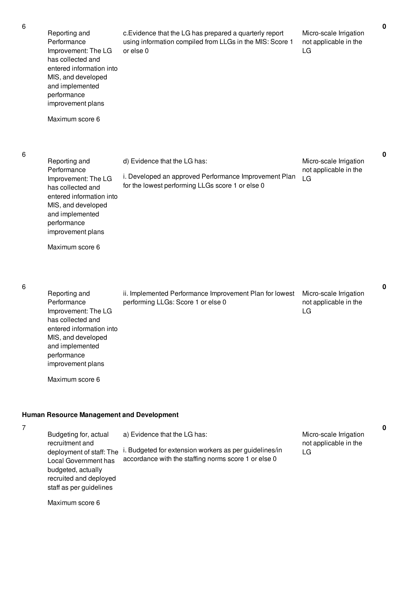|   | I      |         |   |  |
|---|--------|---------|---|--|
|   | ٦<br>× |         |   |  |
| ć | ×      | I<br>۰. | I |  |

6

| 6 | Reporting and<br>Performance<br>Improvement: The LG<br>has collected and<br>entered information into<br>MIS, and developed<br>and implemented<br>performance<br>improvement plans<br>Maximum score 6                                           | c. Evidence that the LG has prepared a quarterly report<br>using information compiled from LLGs in the MIS: Score 1<br>or else 0               | Micro-scale Irrigation<br>not applicable in the<br>LG | $\mathbf 0$ |
|---|------------------------------------------------------------------------------------------------------------------------------------------------------------------------------------------------------------------------------------------------|------------------------------------------------------------------------------------------------------------------------------------------------|-------------------------------------------------------|-------------|
| 6 | Reporting and<br>Performance<br>Improvement: The LG<br>has collected and<br>entered information into<br>MIS, and developed<br>and implemented<br>performance<br>improvement plans<br>Maximum score 6                                           | d) Evidence that the LG has:<br>i. Developed an approved Performance Improvement Plan<br>for the lowest performing LLGs score 1 or else 0      | Micro-scale Irrigation<br>not applicable in the<br>LG | $\mathbf 0$ |
| 6 | Reporting and<br>Performance<br>Improvement: The LG<br>has collected and<br>entered information into<br>MIS, and developed<br>and implemented<br>performance<br>improvement plans<br>Maximum score 6                                           | ii. Implemented Performance Improvement Plan for lowest<br>performing LLGs: Score 1 or else 0                                                  | Micro-scale Irrigation<br>not applicable in the<br>LG | $\mathbf 0$ |
| 7 | <b>Human Resource Management and Development</b><br>Budgeting for, actual<br>recruitment and<br>deployment of staff: The<br>Local Government has<br>budgeted, actually<br>recruited and deployed<br>staff as per guidelines<br>Maximum score 6 | a) Evidence that the LG has:<br>i. Budgeted for extension workers as per guidelines/in<br>accordance with the staffing norms score 1 or else 0 | Micro-scale Irrigation<br>not applicable in the<br>LG | $\mathbf 0$ |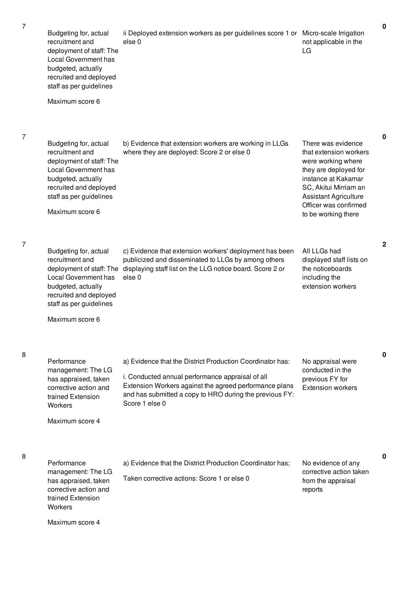7

7

8

| Budgeting for, actual<br>recruitment and<br>deployment of staff: The<br>Local Government has<br>budgeted, actually<br>recruited and deployed<br>staff as per guidelines<br>Maximum score 6        | ii Deployed extension workers as per guidelines score 1 or Micro-scale Irrigation<br>else <sub>0</sub>                                                                                                                                               | not applicable in the<br>LG                                                                                                                                                                                                 | $\mathbf 0$  |
|---------------------------------------------------------------------------------------------------------------------------------------------------------------------------------------------------|------------------------------------------------------------------------------------------------------------------------------------------------------------------------------------------------------------------------------------------------------|-----------------------------------------------------------------------------------------------------------------------------------------------------------------------------------------------------------------------------|--------------|
| Budgeting for, actual<br>recruitment and<br>deployment of staff: The<br><b>Local Government has</b><br>budgeted, actually<br>recruited and deployed<br>staff as per guidelines<br>Maximum score 6 | b) Evidence that extension workers are working in LLGs<br>where they are deployed: Score 2 or else 0                                                                                                                                                 | There was evidence<br>that extension workers<br>were working where<br>they are deployed for<br>instance at Kakamar<br>SC, Akitui Mirriam an<br><b>Assistant Agriculture</b><br>Officer was confirmed<br>to be working there | $\mathbf 0$  |
| Budgeting for, actual<br>recruitment and<br>Local Government has<br>budgeted, actually<br>recruited and deployed<br>staff as per guidelines<br>Maximum score 6                                    | c) Evidence that extension workers' deployment has been<br>publicized and disseminated to LLGs by among others<br>deployment of staff: The displaying staff list on the LLG notice board. Score 2 or<br>else <sub>0</sub>                            | All LLGs had<br>displayed staff lists on<br>the noticeboards<br>including the<br>extension workers                                                                                                                          | $\mathbf{2}$ |
| Performance<br>management: The LG<br>has appraised, taken<br>corrective action and<br>trained Extension<br>Workers<br>Maximum score 4                                                             | a) Evidence that the District Production Coordinator has:<br>i. Conducted annual performance appraisal of all<br>Extension Workers against the agreed performance plans<br>and has submitted a copy to HRO during the previous FY:<br>Score 1 else 0 | No appraisal were<br>conducted in the<br>previous FY for<br><b>Extension workers</b>                                                                                                                                        | 0            |
| Performance<br>management: The LG<br>has appraised, taken<br>corrective action and<br>trained Extension<br>Workers<br>Maximum score 4                                                             | a) Evidence that the District Production Coordinator has;<br>Taken corrective actions: Score 1 or else 0                                                                                                                                             | No evidence of any<br>corrective action taken<br>from the appraisal<br>reports                                                                                                                                              | 0            |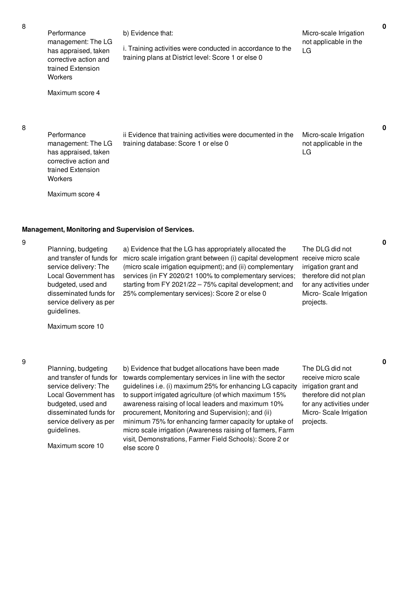| 8 | Performance<br>management: The LG<br>has appraised, taken<br>corrective action and<br>trained Extension<br>Workers<br>Maximum score 4                                                       | b) Evidence that:<br>i. Training activities were conducted in accordance to the<br>training plans at District level: Score 1 or else 0                                                                                                                                                                                                                                            | Micro-scale Irrigation<br>not applicable in the<br>LG                                                                                | 0           |
|---|---------------------------------------------------------------------------------------------------------------------------------------------------------------------------------------------|-----------------------------------------------------------------------------------------------------------------------------------------------------------------------------------------------------------------------------------------------------------------------------------------------------------------------------------------------------------------------------------|--------------------------------------------------------------------------------------------------------------------------------------|-------------|
| 8 | Performance<br>management: The LG<br>has appraised, taken<br>corrective action and<br>trained Extension<br>Workers<br>Maximum score 4                                                       | ii Evidence that training activities were documented in the<br>training database: Score 1 or else 0                                                                                                                                                                                                                                                                               | Micro-scale Irrigation<br>not applicable in the<br>LG                                                                                | $\mathbf 0$ |
|   | Management, Monitoring and Supervision of Services.                                                                                                                                         |                                                                                                                                                                                                                                                                                                                                                                                   |                                                                                                                                      |             |
| 9 | Planning, budgeting<br>and transfer of funds for<br>service delivery: The<br>Local Government has<br>budgeted, used and<br>disseminated funds for<br>service delivery as per<br>guidelines. | a) Evidence that the LG has appropriately allocated the<br>micro scale irrigation grant between (i) capital development receive micro scale<br>(micro scale irrigation equipment); and (ii) complementary<br>services (in FY 2020/21 100% to complementary services;<br>starting from FY 2021/22 - 75% capital development; and<br>25% complementary services): Score 2 or else 0 | The DLG did not<br>irrigation grant and<br>therefore did not plan<br>for any activities under<br>Micro-Scale Irrigation<br>projects. | 0           |
|   | Maximum score 10                                                                                                                                                                            |                                                                                                                                                                                                                                                                                                                                                                                   |                                                                                                                                      |             |
| 9 |                                                                                                                                                                                             |                                                                                                                                                                                                                                                                                                                                                                                   |                                                                                                                                      | 0           |

Planning, budgeting and transfer of funds for service delivery: The Local Government has budgeted, used and disseminated funds for service delivery as per guidelines.

Maximum score 10

b) Evidence that budget allocations have been made towards complementary services in line with the sector guidelines i.e. (i) maximum 25% for enhancing LG capacity to support irrigated agriculture (of which maximum 15% awareness raising of local leaders and maximum 10% procurement, Monitoring and Supervision); and (ii) minimum 75% for enhancing farmer capacity for uptake of micro scale irrigation (Awareness raising of farmers, Farm visit, Demonstrations, Farmer Field Schools): Score 2 or else score 0

The DLG did not receive micro scale irrigation grant and therefore did not plan for any activities under Micro- Scale Irrigation projects.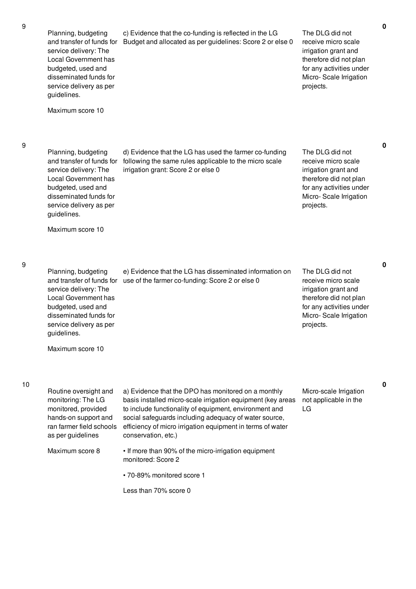9

| Planning, budgeting<br>and transfer of funds for<br>service delivery: The<br>Local Government has<br>budgeted, used and<br>disseminated funds for<br>service delivery as per<br>guidelines. | c) Evidence that the co-funding is reflected in the LG<br>Budget and allocated as per guidelines: Score 2 or else 0                                                                                                                                                                                                        | The DLG did not<br>receive micro scale<br>irrigation grant and<br>therefore did not plan<br>for any activities under<br>Micro-Scale Irrigation<br>projects. |   |
|---------------------------------------------------------------------------------------------------------------------------------------------------------------------------------------------|----------------------------------------------------------------------------------------------------------------------------------------------------------------------------------------------------------------------------------------------------------------------------------------------------------------------------|-------------------------------------------------------------------------------------------------------------------------------------------------------------|---|
| Maximum score 10                                                                                                                                                                            |                                                                                                                                                                                                                                                                                                                            |                                                                                                                                                             |   |
| Planning, budgeting<br>and transfer of funds for<br>service delivery: The<br>Local Government has<br>budgeted, used and<br>disseminated funds for<br>service delivery as per<br>guidelines. | d) Evidence that the LG has used the farmer co-funding<br>following the same rules applicable to the micro scale<br>irrigation grant: Score 2 or else 0                                                                                                                                                                    | The DLG did not<br>receive micro scale<br>irrigation grant and<br>therefore did not plan<br>for any activities under<br>Micro-Scale Irrigation<br>projects. | 0 |
| Maximum score 10                                                                                                                                                                            |                                                                                                                                                                                                                                                                                                                            |                                                                                                                                                             |   |
| Planning, budgeting<br>and transfer of funds for<br>service delivery: The<br>Local Government has<br>budgeted, used and<br>disseminated funds for<br>service delivery as per<br>guidelines. | e) Evidence that the LG has disseminated information on<br>use of the farmer co-funding: Score 2 or else 0                                                                                                                                                                                                                 | The DLG did not<br>receive micro scale<br>irrigation grant and<br>therefore did not plan<br>for any activities under<br>Micro-Scale Irrigation<br>projects. | 0 |
| Maximum score 10                                                                                                                                                                            |                                                                                                                                                                                                                                                                                                                            |                                                                                                                                                             |   |
| Routine oversight and<br>monitoring: The LG<br>monitored, provided<br>hands-on support and<br>ran farmer field schools<br>as per guidelines                                                 | a) Evidence that the DPO has monitored on a monthly<br>basis installed micro-scale irrigation equipment (key areas<br>to include functionality of equipment, environment and<br>social safeguards including adequacy of water source,<br>efficiency of micro irrigation equipment in terms of water<br>conservation, etc.) | Micro-scale Irrigation<br>not applicable in the<br>LG                                                                                                       | 0 |
| Maximum score 8                                                                                                                                                                             | • If more than 90% of the micro-irrigation equipment<br>monitored: Score 2                                                                                                                                                                                                                                                 |                                                                                                                                                             |   |
|                                                                                                                                                                                             | • 70-89% monitored score 1                                                                                                                                                                                                                                                                                                 |                                                                                                                                                             |   |
|                                                                                                                                                                                             | Less than 70% score 0                                                                                                                                                                                                                                                                                                      |                                                                                                                                                             |   |
|                                                                                                                                                                                             |                                                                                                                                                                                                                                                                                                                            |                                                                                                                                                             |   |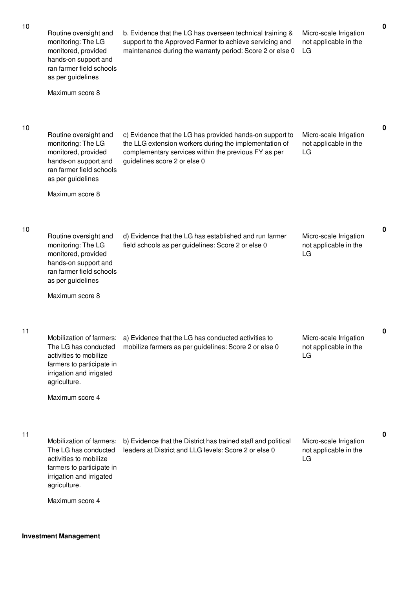| 10 | Routine oversight and<br>monitoring: The LG<br>monitored, provided<br>hands-on support and<br>ran farmer field schools<br>as per guidelines<br>Maximum score 8         | b. Evidence that the LG has overseen technical training &<br>support to the Approved Farmer to achieve servicing and<br>maintenance during the warranty period: Score 2 or else 0                          | Micro-scale Irrigation<br>not applicable in the<br>LG |
|----|------------------------------------------------------------------------------------------------------------------------------------------------------------------------|------------------------------------------------------------------------------------------------------------------------------------------------------------------------------------------------------------|-------------------------------------------------------|
|    |                                                                                                                                                                        |                                                                                                                                                                                                            |                                                       |
| 10 | Routine oversight and<br>monitoring: The LG<br>monitored, provided<br>hands-on support and<br>ran farmer field schools<br>as per guidelines                            | c) Evidence that the LG has provided hands-on support to<br>the LLG extension workers during the implementation of<br>complementary services within the previous FY as per<br>guidelines score 2 or else 0 | Micro-scale Irrigation<br>not applicable in the<br>LG |
|    | Maximum score 8                                                                                                                                                        |                                                                                                                                                                                                            |                                                       |
| 10 | Routine oversight and<br>monitoring: The LG<br>monitored, provided<br>hands-on support and<br>ran farmer field schools<br>as per guidelines                            | d) Evidence that the LG has established and run farmer<br>field schools as per guidelines: Score 2 or else 0                                                                                               | Micro-scale Irrigation<br>not applicable in the<br>LG |
|    | Maximum score 8                                                                                                                                                        |                                                                                                                                                                                                            |                                                       |
| 11 | Mobilization of farmers:<br>The LG has conducted<br>activities to mobilize<br>farmers to participate in<br>irrigation and irrigated<br>agriculture.<br>Maximum score 4 | a) Evidence that the LG has conducted activities to<br>mobilize farmers as per guidelines: Score 2 or else 0                                                                                               | Micro-scale Irrigation<br>not applicable in the<br>LG |
|    |                                                                                                                                                                        |                                                                                                                                                                                                            |                                                       |
| 11 | Mobilization of farmers:<br>The LG has conducted<br>activities to mobilize<br>farmers to participate in<br>irrigation and irrigated<br>agriculture.                    | b) Evidence that the District has trained staff and political<br>leaders at District and LLG levels: Score 2 or else 0                                                                                     | Micro-scale Irrigation<br>not applicable in the<br>LG |
|    | Maximum score 4                                                                                                                                                        |                                                                                                                                                                                                            |                                                       |

**Investment Management**

**0**

**0**

**0**

**0**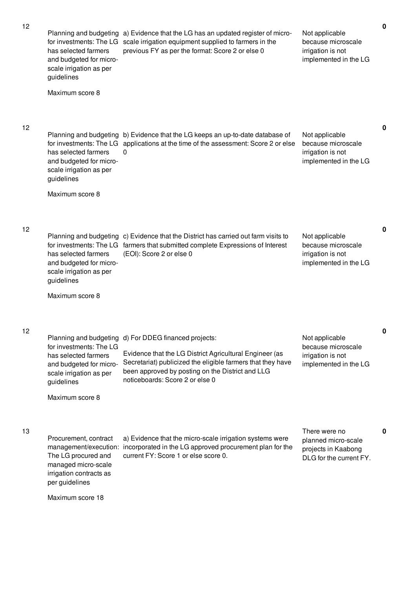| 12 | Planning and budgeting<br>for investments: The LG<br>has selected farmers<br>and budgeted for micro-<br>scale irrigation as per<br>guidelines<br>Maximum score 8 | a) Evidence that the LG has an updated register of micro-<br>scale irrigation equipment supplied to farmers in the<br>previous FY as per the format: Score 2 or else 0                                                                          | Not applicable<br>because microscale<br>irrigation is not<br>implemented in the LG     |
|----|------------------------------------------------------------------------------------------------------------------------------------------------------------------|-------------------------------------------------------------------------------------------------------------------------------------------------------------------------------------------------------------------------------------------------|----------------------------------------------------------------------------------------|
| 12 | for investments: The LG<br>has selected farmers<br>and budgeted for micro-<br>scale irrigation as per<br>guidelines<br>Maximum score 8                           | Planning and budgeting b) Evidence that the LG keeps an up-to-date database of<br>applications at the time of the assessment: Score 2 or else<br>0                                                                                              | Not applicable<br>because microscale<br>irrigation is not<br>implemented in the LG     |
| 12 | Planning and budgeting<br>for investments: The LG<br>has selected farmers<br>and budgeted for micro-<br>scale irrigation as per<br>guidelines<br>Maximum score 8 | c) Evidence that the District has carried out farm visits to<br>farmers that submitted complete Expressions of Interest<br>(EOI): Score 2 or else 0                                                                                             | Not applicable<br>because microscale<br>irrigation is not<br>implemented in the LG     |
| 12 | Planning and budgeting<br>for investments: The LG<br>has selected farmers<br>and budgeted for micro-<br>scale irrigation as per<br>guidelines<br>Maximum score 8 | d) For DDEG financed projects:<br>Evidence that the LG District Agricultural Engineer (as<br>Secretariat) publicized the eligible farmers that they have<br>been approved by posting on the District and LLG<br>noticeboards: Score 2 or else 0 | Not applicable<br>because microscale<br>irrigation is not<br>implemented in the LG     |
| 13 | Procurement, contract<br>management/execution:<br>The LG procured and<br>managed micro-scale<br>irrigation contracts as<br>per guidelines                        | a) Evidence that the micro-scale irrigation systems were<br>incorporated in the LG approved procurement plan for the<br>current FY: Score 1 or else score 0.                                                                                    | There were no<br>planned micro-scale<br>projects in Kaabong<br>DLG for the current FY. |

**0**

**0**

**0**

**0**

Maximum score 18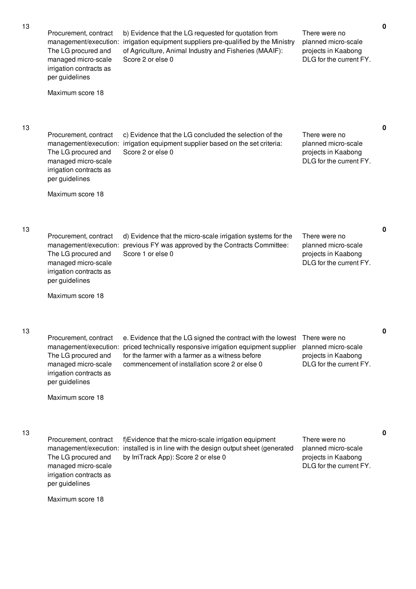| 13 | Procurement, contract<br>management/execution:<br>The LG procured and<br>managed micro-scale<br>irrigation contracts as<br>per guidelines                     | b) Evidence that the LG requested for quotation from<br>irrigation equipment suppliers pre-qualified by the Ministry<br>of Agriculture, Animal Industry and Fisheries (MAAIF):<br>Score 2 or else 0                              | There were no<br>planned micro-scale<br>projects in Kaabong<br>DLG for the current FY. |
|----|---------------------------------------------------------------------------------------------------------------------------------------------------------------|----------------------------------------------------------------------------------------------------------------------------------------------------------------------------------------------------------------------------------|----------------------------------------------------------------------------------------|
|    | Maximum score 18                                                                                                                                              |                                                                                                                                                                                                                                  |                                                                                        |
| 13 | Procurement, contract<br>management/execution:<br>The LG procured and<br>managed micro-scale<br>irrigation contracts as<br>per guidelines<br>Maximum score 18 | c) Evidence that the LG concluded the selection of the<br>irrigation equipment supplier based on the set criteria:<br>Score 2 or else 0                                                                                          | There were no<br>planned micro-scale<br>projects in Kaabong<br>DLG for the current FY. |
|    |                                                                                                                                                               |                                                                                                                                                                                                                                  |                                                                                        |
| 13 | Procurement, contract<br>management/execution:<br>The LG procured and<br>managed micro-scale<br>irrigation contracts as<br>per guidelines                     | d) Evidence that the micro-scale irrigation systems for the<br>previous FY was approved by the Contracts Committee:<br>Score 1 or else 0                                                                                         | There were no<br>planned micro-scale<br>projects in Kaabong<br>DLG for the current FY. |
|    | Maximum score 18                                                                                                                                              |                                                                                                                                                                                                                                  |                                                                                        |
| 13 | Procurement, contract<br>management/execution:<br>The LG procured and<br>managed micro-scale<br>irrigation contracts as<br>per guidelines<br>Maximum score 18 | e. Evidence that the LG signed the contract with the lowest<br>priced technically responsive irrigation equipment supplier<br>for the farmer with a farmer as a witness before<br>commencement of installation score 2 or else 0 | There were no<br>planned micro-scale<br>projects in Kaabong<br>DLG for the current FY. |
|    |                                                                                                                                                               |                                                                                                                                                                                                                                  |                                                                                        |
| 13 | Procurement, contract<br>The LG procured and<br>managed micro-scale<br>irrigation contracts as<br>per guidelines                                              | f) Evidence that the micro-scale irrigation equipment<br>management/execution: installed is in line with the design output sheet (generated<br>by IrriTrack App): Score 2 or else 0                                              | There were no<br>planned micro-scale<br>projects in Kaabong<br>DLG for the current FY. |
|    | Maximum score 18                                                                                                                                              |                                                                                                                                                                                                                                  |                                                                                        |

**0**

**0**

**0**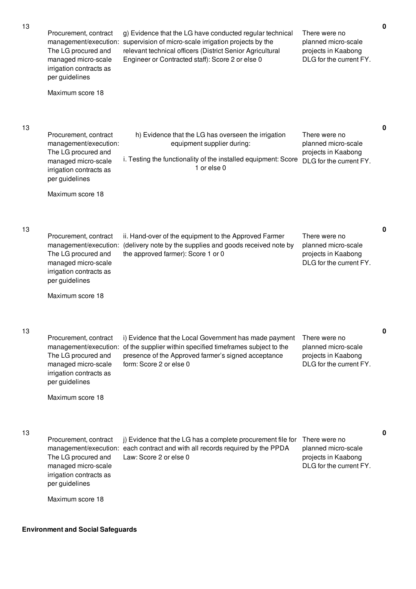| 13 | Procurement, contract<br>management/execution:<br>The LG procured and<br>managed micro-scale<br>irrigation contracts as<br>per guidelines<br>Maximum score 18                     | g) Evidence that the LG have conducted regular technical<br>supervision of micro-scale irrigation projects by the<br>relevant technical officers (District Senior Agricultural<br>Engineer or Contracted staff): Score 2 or else 0 | There were no<br>planned micro-scale<br>projects in Kaabong<br>DLG for the current FY.  | $\mathbf 0$ |
|----|-----------------------------------------------------------------------------------------------------------------------------------------------------------------------------------|------------------------------------------------------------------------------------------------------------------------------------------------------------------------------------------------------------------------------------|-----------------------------------------------------------------------------------------|-------------|
| 13 | Procurement, contract<br>management/execution:<br>The LG procured and<br>managed micro-scale<br>irrigation contracts as<br>per guidelines<br>Maximum score 18                     | h) Evidence that the LG has overseen the irrigation<br>equipment supplier during:<br>i. Testing the functionality of the installed equipment: Score<br>1 or else 0                                                                 | There were no<br>planned micro-scale<br>projects in Kaabong<br>DLG for the current FY.  | 0           |
| 13 | Procurement, contract<br>management/execution:<br>The LG procured and<br>managed micro-scale<br>irrigation contracts as<br>per guidelines                                         | ii. Hand-over of the equipment to the Approved Farmer<br>(delivery note by the supplies and goods received note by<br>the approved farmer): Score 1 or 0                                                                           | There were no<br>planned micro-scale<br>projects in Kaabong<br>DLG for the current FY.  | $\mathbf 0$ |
| 13 | Maximum score 18<br>Procurement, contract<br>management/execution:<br>The LG procured and<br>managed micro-scale<br>irrigation contracts as<br>per guidelines<br>Maximum score 18 | i) Evidence that the Local Government has made payment<br>of the supplier within specified timeframes subject to the<br>presence of the Approved farmer's signed acceptance<br>form: Score 2 or else 0                             | I here were no<br>planned micro-scale<br>projects in Kaabong<br>DLG for the current FY. | 0           |
| 13 | Procurement, contract<br>The LG procured and<br>managed micro-scale<br>irrigation contracts as<br>per guidelines<br>Maximum score 18                                              | j) Evidence that the LG has a complete procurement file for<br>management/execution: each contract and with all records required by the PPDA<br>Law: Score 2 or else 0                                                             | There were no<br>planned micro-scale<br>projects in Kaabong<br>DLG for the current FY.  | 0           |

# **Environment and Social Safeguards**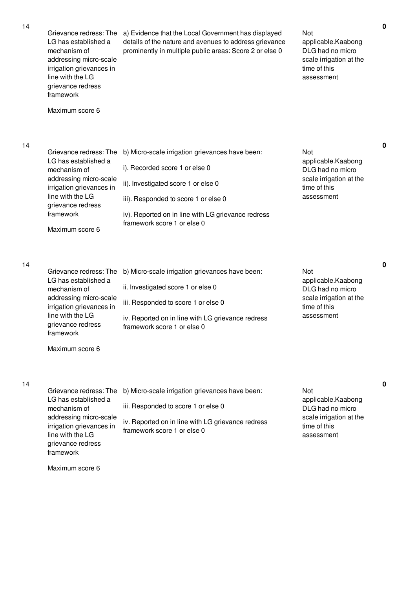| Grievance redress: The   |
|--------------------------|
| LG has established a     |
| mechanism of             |
| addressing micro-scale   |
| irrigation grievances in |
| line with the LG         |

grievance redress framework

Maximum score 6

a) Evidence that the Local Government has displayed details of the nature and avenues to address grievance prominently in multiple public areas: Score 2 or else 0

Not applicable.Kaabong DLG had no micro scale irrigation at the time of this assessment

**0**

**0**

**0**

**0**

## 14

| Grievance redress: The                             | b) Micro-scale irrigation grievances have been:    | Not                                     |
|----------------------------------------------------|----------------------------------------------------|-----------------------------------------|
| LG has established a<br>mechanism of               | i). Recorded score 1 or else 0                     | applicable.Kaabong<br>DLG had no micro  |
| addressing micro-scale<br>irrigation grievances in | ii). Investigated score 1 or else 0                | scale irrigation at the<br>time of this |
| line with the LG<br>grievance redress              | iii). Responded to score 1 or else 0               | assessment                              |
| framework                                          | iv). Reported on in line with LG grievance redress |                                         |
| Maximum score 6                                    | framework score 1 or else 0                        |                                         |

14

| LG has established a<br>mechanism of<br>addressing micro-scale<br>irrigation grievances in<br>line with the LG<br>grievance redress<br>framework | Grievance redress: The b) Micro-scale irrigation grievances have been:<br>ii. Investigated score 1 or else 0<br>iii. Responded to score 1 or else 0<br>iv. Reported on in line with LG grievance redress<br>framework score 1 or else 0 | Not<br>applicable.Kaabong<br>DLG had no micro<br>scale irrigation at the<br>time of this<br>assessment |
|--------------------------------------------------------------------------------------------------------------------------------------------------|-----------------------------------------------------------------------------------------------------------------------------------------------------------------------------------------------------------------------------------------|--------------------------------------------------------------------------------------------------------|
|--------------------------------------------------------------------------------------------------------------------------------------------------|-----------------------------------------------------------------------------------------------------------------------------------------------------------------------------------------------------------------------------------------|--------------------------------------------------------------------------------------------------------|

Maximum score 6

## 14

Grievance redress: The b) Micro-scale irrigation grievances have been: LG has established a mechanism of addressing micro-scale irrigation grievances in line with the LG grievance redress framework iii. Responded to score 1 or else 0 iv. Reported on in line with LG grievance redress framework score 1 or else 0 Not applicable.Kaabong DLG had no micro scale irrigation at the time of this assessment

Maximum score 6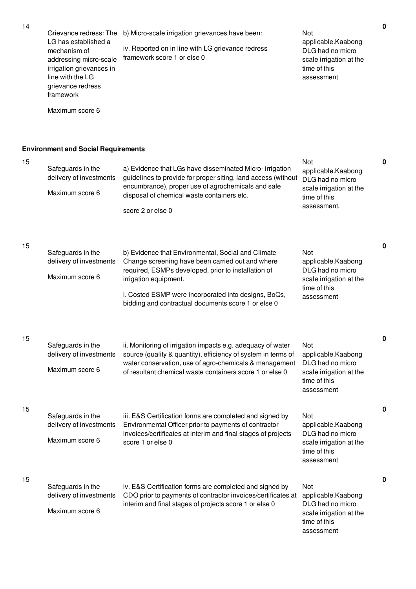| 14 | Grievance redress: The<br>LG has established a<br>mechanism of<br>addressing micro-scale<br>irrigation grievances in<br>line with the LG<br>grievance redress<br>framework<br>Maximum score 6 | b) Micro-scale irrigation grievances have been:<br>iv. Reported on in line with LG grievance redress<br>framework score 1 or else 0                                                                                                                                                                   | Not<br>applicable.Kaabong<br>DLG had no micro<br>scale irrigation at the<br>time of this<br>assessment  | υ |
|----|-----------------------------------------------------------------------------------------------------------------------------------------------------------------------------------------------|-------------------------------------------------------------------------------------------------------------------------------------------------------------------------------------------------------------------------------------------------------------------------------------------------------|---------------------------------------------------------------------------------------------------------|---|
|    | <b>Environment and Social Requirements</b>                                                                                                                                                    |                                                                                                                                                                                                                                                                                                       |                                                                                                         |   |
| 15 | Safeguards in the<br>delivery of investments<br>Maximum score 6                                                                                                                               | a) Evidence that LGs have disseminated Micro- irrigation<br>guidelines to provide for proper siting, land access (without<br>encumbrance), proper use of agrochemicals and safe<br>disposal of chemical waste containers etc.<br>score 2 or else 0                                                    | Not<br>applicable.Kaabong<br>DLG had no micro<br>scale irrigation at the<br>time of this<br>assessment. | 0 |
| 15 | Safeguards in the<br>delivery of investments<br>Maximum score 6                                                                                                                               | b) Evidence that Environmental, Social and Climate<br>Change screening have been carried out and where<br>required, ESMPs developed, prior to installation of<br>irrigation equipment.<br>i. Costed ESMP were incorporated into designs, BoQs,<br>bidding and contractual documents score 1 or else 0 | Not<br>applicable.Kaabong<br>DLG had no micro<br>scale irrigation at the<br>time of this<br>assessment  | 0 |
| 15 | Safeguards in the<br>delivery of investments<br>Maximum score 6                                                                                                                               | ii. Monitoring of irrigation impacts e.g. adequacy of water<br>source (quality & quantity), efficiency of system in terms of<br>water conservation, use of agro-chemicals & management<br>of resultant chemical waste containers score 1 or else 0                                                    | Not<br>applicable.Kaabong<br>DLG had no micro<br>scale irrigation at the<br>time of this<br>assessment  | 0 |
| 15 | Safeguards in the<br>delivery of investments<br>Maximum score 6                                                                                                                               | iii. E&S Certification forms are completed and signed by<br>Environmental Officer prior to payments of contractor<br>invoices/certificates at interim and final stages of projects<br>score 1 or else 0                                                                                               | Not<br>applicable.Kaabong<br>DLG had no micro<br>scale irrigation at the<br>time of this<br>assessment  | 0 |
| 15 | Safeguards in the<br>delivery of investments<br>Maximum score 6                                                                                                                               | iv. E&S Certification forms are completed and signed by<br>CDO prior to payments of contractor invoices/certificates at<br>interim and final stages of projects score 1 or else 0                                                                                                                     | Not<br>applicable.Kaabong<br>DLG had no micro<br>scale irrigation at the<br>time of this<br>assessment  | 0 |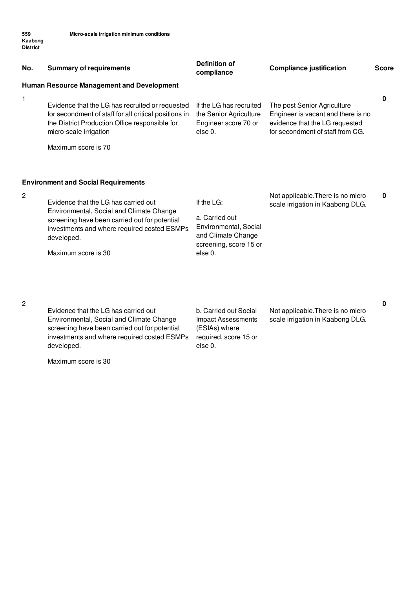| No.            | <b>Summary of requirements</b>                                                                                                                                                                                                                                      | <b>Definition of</b><br>compliance                                                                               | <b>Compliance justification</b>                                                                                                         | <b>Score</b> |
|----------------|---------------------------------------------------------------------------------------------------------------------------------------------------------------------------------------------------------------------------------------------------------------------|------------------------------------------------------------------------------------------------------------------|-----------------------------------------------------------------------------------------------------------------------------------------|--------------|
|                | Human Resource Management and Development                                                                                                                                                                                                                           |                                                                                                                  |                                                                                                                                         |              |
| 1              | Evidence that the LG has recruited or requested<br>for secondment of staff for all critical positions in<br>the District Production Office responsible for<br>micro-scale irrigation<br>Maximum score is 70                                                         | If the LG has recruited<br>the Senior Agriculture<br>Engineer score 70 or<br>else 0.                             | The post Senior Agriculture<br>Engineer is vacant and there is no<br>evidence that the LG requested<br>for secondment of staff from CG. | 0            |
| $\overline{2}$ | <b>Environment and Social Requirements</b><br>Evidence that the LG has carried out<br>Environmental, Social and Climate Change<br>screening have been carried out for potential<br>investments and where required costed ESMPs<br>developed.<br>Maximum score is 30 | If the LG:<br>a. Carried out<br>Environmental, Social<br>and Climate Change<br>screening, score 15 or<br>else 0. | Not applicable. There is no micro<br>scale irrigation in Kaabong DLG.                                                                   | 0            |

Evidence that the LG has carried out Environmental, Social and Climate Change screening have been carried out for potential investments and where required costed ESMPs developed.

Maximum score is 30

b. Carried out Social Impact Assessments (ESIAs) where required, score 15 or else 0.

Not applicable.There is no micro scale irrigation in Kaabong DLG.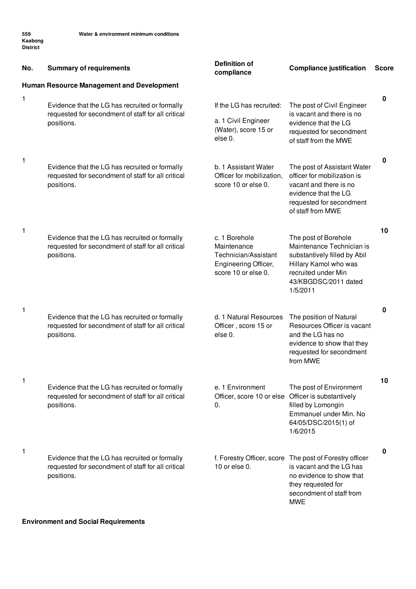| No. | <b>Summary of requirements</b>                                                                                     | <b>Definition of</b><br>compliance                                                                  | <b>Compliance justification</b>                                                                                                                                                 | <b>Score</b> |
|-----|--------------------------------------------------------------------------------------------------------------------|-----------------------------------------------------------------------------------------------------|---------------------------------------------------------------------------------------------------------------------------------------------------------------------------------|--------------|
|     | Human Resource Management and Development                                                                          |                                                                                                     |                                                                                                                                                                                 |              |
| 1   | Evidence that the LG has recruited or formally<br>requested for secondment of staff for all critical<br>positions. | If the LG has recruited:<br>a. 1 Civil Engineer<br>(Water), score 15 or<br>else 0.                  | The post of Civil Engineer<br>is vacant and there is no<br>evidence that the LG<br>requested for secondment<br>of staff from the MWE                                            | 0            |
| 1   | Evidence that the LG has recruited or formally<br>requested for secondment of staff for all critical<br>positions. | b. 1 Assistant Water<br>Officer for mobilization,<br>score 10 or else 0.                            | The post of Assistant Water<br>officer for mobilization is<br>vacant and there is no<br>evidence that the LG<br>requested for secondment<br>of staff from MWE                   | 0            |
| 1   | Evidence that the LG has recruited or formally<br>requested for secondment of staff for all critical<br>positions. | c. 1 Borehole<br>Maintenance<br>Technician/Assistant<br>Engineering Officer,<br>score 10 or else 0. | The post of Borehole<br>Maintenance Technician is<br>substantively filled by Abil<br>Hillary Kamol who was<br>recruited under Min<br>43/KBGDSC/2011 dated<br>1/5/2011           | 10           |
| 1   | Evidence that the LG has recruited or formally<br>requested for secondment of staff for all critical<br>positions. | d. 1 Natural Resources<br>Officer, score 15 or<br>else 0.                                           | The position of Natural<br>Resources Officer is vacant<br>and the LG has no<br>evidence to show that they<br>requested for secondment<br>from MWE                               | 0            |
| 1   | Evidence that the LG has recruited or formally<br>requested for secondment of staff for all critical<br>positions. | e. 1 Environment<br>Officer, score 10 or else<br>0.                                                 | The post of Environment<br>Officer is substantively<br>filled by Lomongin<br>Emmanuel under Min. No<br>64/05/DSC/2015(1) of<br>1/6/2015                                         | 10           |
| 1   | Evidence that the LG has recruited or formally<br>requested for secondment of staff for all critical<br>positions. | 10 or else 0.                                                                                       | f. Forestry Officer, score The post of Forestry officer<br>is vacant and the LG has<br>no evidence to show that<br>they requested for<br>secondment of staff from<br><b>MWE</b> | 0            |

## **Environment and Social Requirements**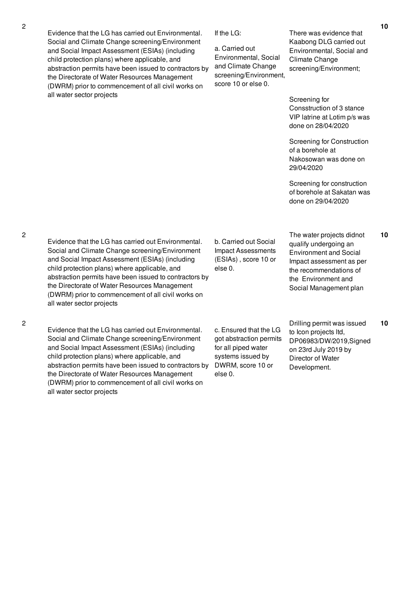Evidence that the LG has carried out Environmental. Social and Climate Change screening/Environment and Social Impact Assessment (ESIAs) (including child protection plans) where applicable, and abstraction permits have been issued to contractors by the Directorate of Water Resources Management (DWRM) prior to commencement of all civil works on all water sector projects

If the LG:

a. Carried out Environmental, Social and Climate Change screening/Environment, score 10 or else 0.

There was evidence that Kaabong DLG carried out Environmental, Social and Climate Change screening/Environment;

Screening for Consstruction of 3 stance VIP latrine at Lotim p/s was done on 28/04/2020

Screening for Construction of a borehole at Nakosowan was done on 29/04/2020

Screening for construction of borehole at Sakatan was done on 29/04/2020

2

Evidence that the LG has carried out Environmental. Social and Climate Change screening/Environment and Social Impact Assessment (ESIAs) (including child protection plans) where applicable, and abstraction permits have been issued to contractors by the Directorate of Water Resources Management (DWRM) prior to commencement of all civil works on all water sector projects

b. Carried out Social Impact Assessments (ESIAs) , score 10 or else 0.

The water projects didnot qualify undergoing an Environment and Social Impact assessment as per the recommendations of the Environment and Social Management plan

2

Evidence that the LG has carried out Environmental. Social and Climate Change screening/Environment and Social Impact Assessment (ESIAs) (including child protection plans) where applicable, and abstraction permits have been issued to contractors by the Directorate of Water Resources Management (DWRM) prior to commencement of all civil works on all water sector projects

c. Ensured that the LG got abstraction permits for all piped water systems issued by DWRM, score 10 or else 0.

Drilling permit was issued to Icon projects ltd, DP06983/DW/2019,Signed on 23rd July 2019 by Director of Water Development. **10**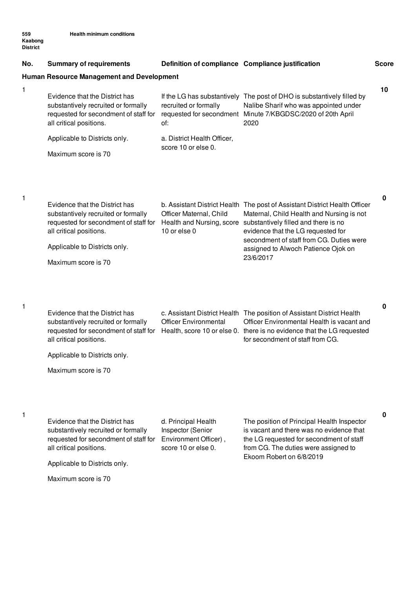| No. | <b>Summary of requirements</b>                                                                                                            | Definition of compliance Compliance justification                                        |                                                                                                                                                                                                                                    | <b>Score</b> |
|-----|-------------------------------------------------------------------------------------------------------------------------------------------|------------------------------------------------------------------------------------------|------------------------------------------------------------------------------------------------------------------------------------------------------------------------------------------------------------------------------------|--------------|
|     | <b>Human Resource Management and Development</b>                                                                                          |                                                                                          |                                                                                                                                                                                                                                    |              |
| 1   | Evidence that the District has<br>substantively recruited or formally<br>requested for secondment of staff for<br>all critical positions. | recruited or formally<br>of:                                                             | If the LG has substantively The post of DHO is substantively filled by<br>Nalibe Sharif who was appointed under<br>requested for secondment Minute 7/KBGDSC/2020 of 20th April<br>2020                                             | 10           |
|     | Applicable to Districts only.                                                                                                             | a. District Health Officer,                                                              |                                                                                                                                                                                                                                    |              |
|     | Maximum score is 70                                                                                                                       | score 10 or else 0.                                                                      |                                                                                                                                                                                                                                    |              |
| 1   |                                                                                                                                           |                                                                                          |                                                                                                                                                                                                                                    | 0            |
|     | Evidence that the District has<br>substantively recruited or formally<br>requested for secondment of staff for<br>all critical positions. | Officer Maternal, Child<br>Health and Nursing, score<br>10 or else 0                     | b. Assistant District Health The post of Assistant District Health Officer<br>Maternal, Child Health and Nursing is not<br>substantively filled and there is no<br>evidence that the LG requested for                              |              |
|     | Applicable to Districts only.                                                                                                             |                                                                                          | secondment of staff from CG. Duties were<br>assigned to Alwoch Patience Ojok on                                                                                                                                                    |              |
|     | Maximum score is 70                                                                                                                       |                                                                                          | 23/6/2017                                                                                                                                                                                                                          |              |
| 1   |                                                                                                                                           |                                                                                          |                                                                                                                                                                                                                                    | 0            |
|     | Evidence that the District has<br>substantively recruited or formally<br>requested for secondment of staff for<br>all critical positions. | <b>Officer Environmental</b>                                                             | c. Assistant District Health The position of Assistant District Health<br>Officer Environmental Health is vacant and<br>Health, score 10 or else 0. there is no evidence that the LG requested<br>for secondment of staff from CG. |              |
|     | Applicable to Districts only.                                                                                                             |                                                                                          |                                                                                                                                                                                                                                    |              |
|     | Maximum score is 70                                                                                                                       |                                                                                          |                                                                                                                                                                                                                                    |              |
| 1   | Evidence that the District has                                                                                                            |                                                                                          | The position of Principal Health Inspector                                                                                                                                                                                         | 0            |
|     | substantively recruited or formally<br>requested for secondment of staff for<br>all critical positions.                                   | d. Principal Health<br>Inspector (Senior<br>Environment Officer),<br>score 10 or else 0. | is vacant and there was no evidence that<br>the LG requested for secondment of staff<br>from CG. The duties were assigned to                                                                                                       |              |
|     | Applicable to Districts only.                                                                                                             |                                                                                          | Ekoom Robert on 6/8/2019                                                                                                                                                                                                           |              |
|     | Maximum score is 70                                                                                                                       |                                                                                          |                                                                                                                                                                                                                                    |              |
|     |                                                                                                                                           |                                                                                          |                                                                                                                                                                                                                                    |              |
|     |                                                                                                                                           |                                                                                          |                                                                                                                                                                                                                                    |              |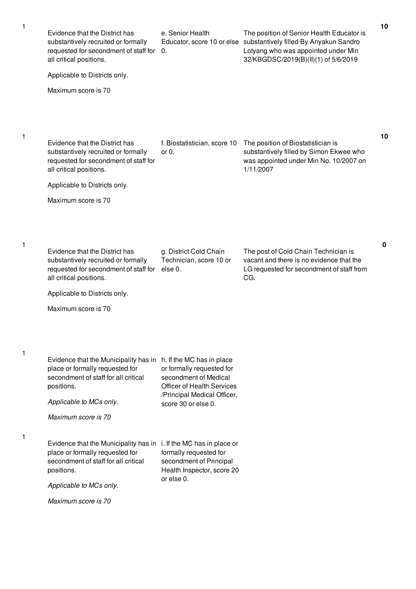| Evidence that the District has<br>substantively recruited or formally<br>requested for secondment of staff for<br>all critical positions.<br>Applicable to Districts only.                                 | e. Senior Health<br>0.                                                                                                                             | The position of Senior Health Educator is<br>Educator, score 10 or else substantively filled By Anyakun Sandro<br>Lotyang who was appointed under Min<br>32/KBGDSC/2019(B)(II)(1) of 5/6/2019 | 10 |
|------------------------------------------------------------------------------------------------------------------------------------------------------------------------------------------------------------|----------------------------------------------------------------------------------------------------------------------------------------------------|-----------------------------------------------------------------------------------------------------------------------------------------------------------------------------------------------|----|
| Maximum score is 70                                                                                                                                                                                        |                                                                                                                                                    |                                                                                                                                                                                               |    |
| Evidence that the District has<br>substantively recruited or formally<br>requested for secondment of staff for<br>all critical positions.                                                                  | f. Biostatistician, score 10<br>or $0.$                                                                                                            | The position of Biostatistician is<br>substantively filled by Simon Ekwee who<br>was appointed under Min No. 10/2007 on<br>1/11/2007                                                          | 10 |
| Applicable to Districts only.                                                                                                                                                                              |                                                                                                                                                    |                                                                                                                                                                                               |    |
| Maximum score is 70                                                                                                                                                                                        |                                                                                                                                                    |                                                                                                                                                                                               |    |
| Evidence that the District has<br>substantively recruited or formally<br>requested for secondment of staff for<br>all critical positions.<br>Applicable to Districts only.<br>Maximum score is 70          | g. District Cold Chain<br>Technician, score 10 or<br>else 0.                                                                                       | The post of Cold Chain Technician is<br>vacant and there is no evidence that the<br>LG requested for secondment of staff from<br>CG.                                                          | 0  |
| Evidence that the Municipality has in h. If the MC has in place<br>place or formally requested for<br>secondment of staff for all critical<br>positions.<br>Applicable to MCs only.<br>Maximum score is 70 | or formally requested for<br>secondment of Medical<br><b>Officer of Health Services</b><br>/Principal Medical Officer,<br>score $30$ or else $0$ . |                                                                                                                                                                                               |    |
| Evidence that the Municipality has in i. If the MC has in place or<br>place or formally requested for<br>secondment of staff for all critical<br>positions.                                                | formally requested for<br>secondment of Principal<br>Health Inspector, score 20<br>or else 0.                                                      |                                                                                                                                                                                               |    |
| Applicable to MCs only.                                                                                                                                                                                    |                                                                                                                                                    |                                                                                                                                                                                               |    |
| Maximum score is 70                                                                                                                                                                                        |                                                                                                                                                    |                                                                                                                                                                                               |    |

1

1

1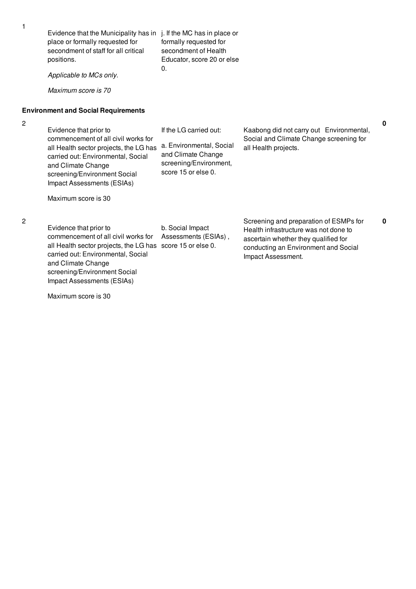| 1              | Evidence that the Municipality has in<br>place or formally requested for<br>secondment of staff for all critical<br>positions.<br>Applicable to MCs only.<br>Maximum score is 70                                                  | j. If the MC has in place or<br>formally requested for<br>secondment of Health<br>Educator, score 20 or else<br>$\Omega$ . |                                                                                                                                                                                       |             |
|----------------|-----------------------------------------------------------------------------------------------------------------------------------------------------------------------------------------------------------------------------------|----------------------------------------------------------------------------------------------------------------------------|---------------------------------------------------------------------------------------------------------------------------------------------------------------------------------------|-------------|
|                | <b>Environment and Social Requirements</b>                                                                                                                                                                                        |                                                                                                                            |                                                                                                                                                                                       |             |
| $\overline{c}$ | Evidence that prior to<br>commencement of all civil works for<br>all Health sector projects, the LG has<br>carried out: Environmental, Social<br>and Climate Change<br>screening/Environment Social<br>Impact Assessments (ESIAs) | If the LG carried out:<br>a. Environmental, Social<br>and Climate Change<br>screening/Environment,<br>score 15 or else 0.  | Kaabong did not carry out Environmental,<br>Social and Climate Change screening for<br>all Health projects.                                                                           | $\mathbf 0$ |
|                | Maximum score is 30                                                                                                                                                                                                               |                                                                                                                            |                                                                                                                                                                                       |             |
| $\overline{c}$ | Evidence that prior to<br>commencement of all civil works for<br>all Health sector projects, the LG has<br>carried out: Environmental, Social<br>and Climate Change<br>screening/Environment Social                               | b. Social Impact<br>Assessments (ESIAs),<br>score 15 or else 0.                                                            | Screening and preparation of ESMPs for<br>Health infrastructure was not done to<br>ascertain whether they qualified for<br>conducting an Environment and Social<br>Impact Assessment. | 0           |

Maximum score is 30

Impact Assessments (ESIAs)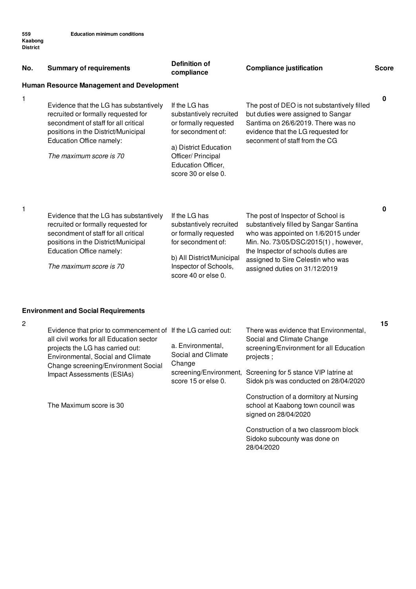| No. | <b>Summary of requirements</b>                                                                                                                                                                                      | <b>Definition of</b><br>compliance                                                                                                                                                  | <b>Compliance justification</b>                                                                                                                                                                                                                                          | <b>Score</b> |
|-----|---------------------------------------------------------------------------------------------------------------------------------------------------------------------------------------------------------------------|-------------------------------------------------------------------------------------------------------------------------------------------------------------------------------------|--------------------------------------------------------------------------------------------------------------------------------------------------------------------------------------------------------------------------------------------------------------------------|--------------|
|     | Human Resource Management and Development                                                                                                                                                                           |                                                                                                                                                                                     |                                                                                                                                                                                                                                                                          |              |
| 1   | Evidence that the LG has substantively<br>recruited or formally requested for<br>secondment of staff for all critical<br>positions in the District/Municipal<br>Education Office namely:<br>The maximum score is 70 | If the LG has<br>substantively recruited<br>or formally requested<br>for secondment of:<br>a) District Education<br>Officer/ Principal<br>Education Officer,<br>score 30 or else 0. | The post of DEO is not substantively filled<br>but duties were assigned to Sangar<br>Santima on 26/6/2019. There was no<br>evidence that the LG requested for<br>seconment of staff from the CG                                                                          | 0            |
| 1   | Evidence that the LG has substantively<br>recruited or formally requested for<br>secondment of staff for all critical<br>positions in the District/Municipal<br>Education Office namely:<br>The maximum score is 70 | If the LG has<br>substantively recruited<br>or formally requested<br>for secondment of:<br>b) All District/Municipal<br>Inspector of Schools,<br>score 40 or else 0.                | The post of Inspector of School is<br>substantively filled by Sangar Santina<br>who was appointed on 1/6/2015 under<br>Min. No. 73/05/DSC/2015(1), however,<br>the Inspector of schools duties are<br>assigned to Sire Celestin who was<br>assigned duties on 31/12/2019 | 0            |

## **Environment and Social Requirements**

| 2 | Evidence that prior to commencement of If the LG carried out:<br>all civil works for all Education sector<br>projects the LG has carried out:<br>Environmental, Social and Climate<br>Change screening/Environment Social<br>Impact Assessments (ESIAs) | a. Environmental,<br>Social and Climate<br>Change<br>score 15 or else 0. | There was evidence that Environmental,<br>Social and Climate Change<br>screening/Environment for all Education<br>projects;<br>screening/Environment, Screening for 5 stance VIP latrine at<br>Sidok p/s was conducted on 28/04/2020 |
|---|---------------------------------------------------------------------------------------------------------------------------------------------------------------------------------------------------------------------------------------------------------|--------------------------------------------------------------------------|--------------------------------------------------------------------------------------------------------------------------------------------------------------------------------------------------------------------------------------|
|   | The Maximum score is 30                                                                                                                                                                                                                                 |                                                                          | Construction of a dormitory at Nursing<br>school at Kaabong town council was<br>signed on 28/04/2020                                                                                                                                 |
|   |                                                                                                                                                                                                                                                         |                                                                          | Construction of a two classroom block<br>Sidoko subcounty was done on<br>28/04/2020                                                                                                                                                  |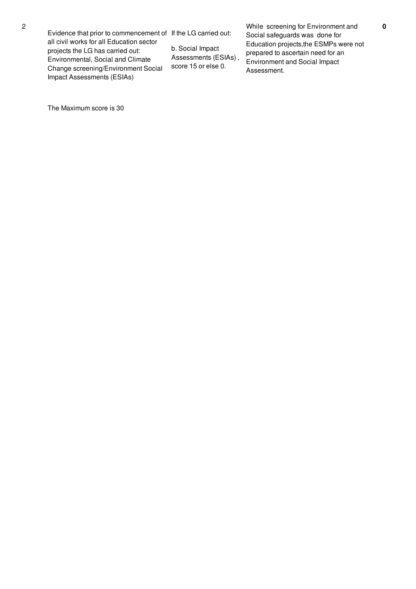all civil works for all Education sector projects the LG has carried out: Environmental, Social and Climate Change screening/Environment Social Impact Assessments (ESIAs)

b. Social Impact Assessments (ESIAs) , score 15 or else 0.

While screening for Environment and Social safeguards was done for Education projects,the ESMPs were not prepared to ascertain need for an Environment and Social Impact Assessment.

The Maximum score is 30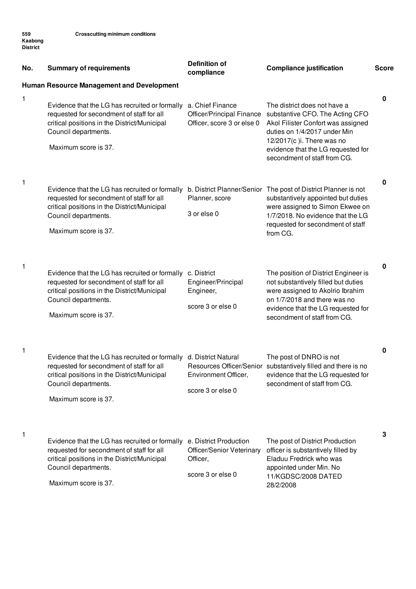| No.          | <b>Summary of requirements</b>                                                                                                                                                                                                           | <b>Definition of</b><br>compliance                                                   | <b>Compliance justification</b>                                                                                                                                                                                                                               | <b>Score</b> |
|--------------|------------------------------------------------------------------------------------------------------------------------------------------------------------------------------------------------------------------------------------------|--------------------------------------------------------------------------------------|---------------------------------------------------------------------------------------------------------------------------------------------------------------------------------------------------------------------------------------------------------------|--------------|
| $\mathbf{1}$ | Human Resource Management and Development<br>Evidence that the LG has recruited or formally<br>requested for secondment of staff for all<br>critical positions in the District/Municipal<br>Council departments.<br>Maximum score is 37. | a. Chief Finance<br>Officer/Principal Finance<br>Officer, score 3 or else 0          | The district does not have a<br>substantive CFO. The Acting CFO<br>Akol Filister Confort was assigned<br>duties on 1/4/2017 under Min<br>12/2017(c) i. There was no<br>evidence that the LG requested for                                                     | 0            |
| $\mathbf{1}$ | Evidence that the LG has recruited or formally<br>requested for secondment of staff for all<br>critical positions in the District/Municipal<br>Council departments.<br>Maximum score is 37.                                              | Planner, score<br>3 or else 0                                                        | secondment of staff from CG.<br>b. District Planner/Senior The post of District Planner is not<br>substantively appointed but duties<br>were assigned to Simon Ekwee on<br>1/7/2018. No evidence that the LG<br>requested for secondment of staff<br>from CG. | 0            |
| $\mathbf{1}$ | Evidence that the LG has recruited or formally<br>requested for secondment of staff for all<br>critical positions in the District/Municipal<br>Council departments.<br>Maximum score is 37.                                              | c. District<br>Engineer/Principal<br>Engineer,<br>score 3 or else 0                  | The position of District Engineer is<br>not substantively filled but duties<br>were assigned to Akolrio Ibrahim<br>on 1/7/2018 and there was no<br>evidence that the LG requested for<br>secondment of staff from CG.                                         | $\pmb{0}$    |
| $\mathbf{1}$ | Evidence that the LG has recruited or formally d. District Natural<br>requested for secondment of staff for all<br>critical positions in the District/Municipal<br>Council departments.<br>Maximum score is 37.                          | Environment Officer,<br>score 3 or else 0                                            | The post of DNRO is not<br>Resources Officer/Senior substantively filled and there is no<br>evidence that the LG requested for<br>secondment of staff from CG.                                                                                                | 0            |
| 1            | Evidence that the LG has recruited or formally<br>requested for secondment of staff for all<br>critical positions in the District/Municipal<br>Council departments.<br>Maximum score is 37.                                              | e. District Production<br>Officer/Senior Veterinary<br>Officer,<br>score 3 or else 0 | The post of District Production<br>officer is substantively filled by<br>Eladuu Fredrick who was<br>appointed under Min. No<br>11/KGDSC/2008 DATED<br>28/2/2008                                                                                               | 3            |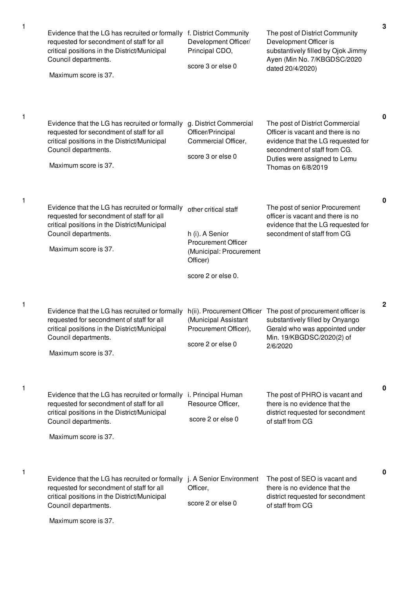| Evidence that the LG has recruited or formally<br>requested for secondment of staff for all<br>critical positions in the District/Municipal<br>Council departments.<br>Maximum score is 37.                         | f. District Community<br>Development Officer/<br>Principal CDO,<br>score 3 or else 0                                               | The post of District Community<br>Development Officer is<br>substantively filled by Ojok Jimmy<br>Ayen (Min No. 7/KBGDSC/2020<br>dated 20/4/2020)                                                | $\mathbf 3$  |
|---------------------------------------------------------------------------------------------------------------------------------------------------------------------------------------------------------------------|------------------------------------------------------------------------------------------------------------------------------------|--------------------------------------------------------------------------------------------------------------------------------------------------------------------------------------------------|--------------|
| Evidence that the LG has recruited or formally<br>requested for secondment of staff for all<br>critical positions in the District/Municipal<br>Council departments.<br>Maximum score is 37.                         | g. District Commercial<br>Officer/Principal<br>Commercial Officer,<br>score 3 or else 0                                            | The post of District Commercial<br>Officer is vacant and there is no<br>evidence that the LG requested for<br>secondment of staff from CG.<br>Duties were assigned to Lemu<br>Thomas on 6/8/2019 | 0            |
| Evidence that the LG has recruited or formally<br>requested for secondment of staff for all<br>critical positions in the District/Municipal<br>Council departments.<br>Maximum score is 37.                         | other critical staff<br>h (i). A Senior<br><b>Procurement Officer</b><br>(Municipal: Procurement<br>Officer)<br>score 2 or else 0. | The post of senior Procurement<br>officer is vacant and there is no<br>evidence that the LG requested for<br>secondment of staff from CG                                                         | $\mathbf 0$  |
| Evidence that the LG has recruited or formally<br>requested for secondment of staff for all<br>critical positions in the District/Municipal<br>Council departments.<br>Maximum score is 37.                         | (Municipal Assistant<br>Procurement Officer),<br>score 2 or else 0                                                                 | h(ii). Procurement Officer The post of procurement officer is<br>substantively filled by Onyango<br>Gerald who was appointed under<br>Min. 19/KBGDSC/2020(2) of<br>2/6/2020                      | $\mathbf{2}$ |
| Evidence that the LG has recruited or formally<br>requested for secondment of staff for all<br>critical positions in the District/Municipal<br>Council departments.<br>Maximum score is 37.                         | i. Principal Human<br>Resource Officer,<br>score 2 or else 0                                                                       | The post of PHRO is vacant and<br>there is no evidence that the<br>district requested for secondment<br>of staff from CG                                                                         | 0            |
| Evidence that the LG has recruited or formally j. A Senior Environment<br>requested for secondment of staff for all<br>critical positions in the District/Municipal<br>Council departments.<br>Maximum score is 37. | Officer,<br>score 2 or else 0                                                                                                      | The post of SEO is vacant and<br>there is no evidence that the<br>district requested for secondment<br>of staff from CG                                                                          | 0            |

1

1

1

1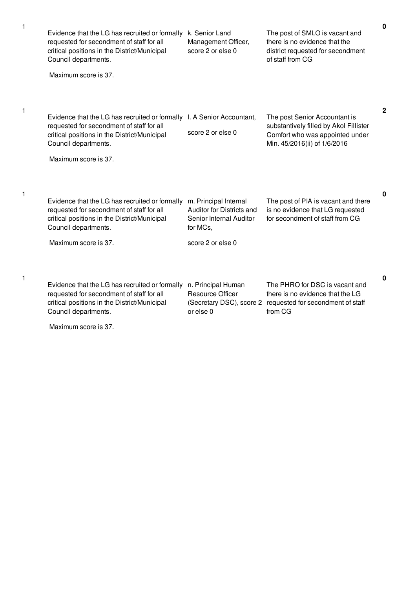| Evidence that the LG has recruited or formally<br>requested for secondment of staff for all<br>critical positions in the District/Municipal<br>Council departments.<br>Maximum score is 37.                         | k. Senior Land<br>Management Officer,<br>score 2 or else 0                                                     | The post of SMLO is vacant and<br>there is no evidence that the<br>district requested for secondment<br>of staff from CG                   | $\mathbf 0$  |
|---------------------------------------------------------------------------------------------------------------------------------------------------------------------------------------------------------------------|----------------------------------------------------------------------------------------------------------------|--------------------------------------------------------------------------------------------------------------------------------------------|--------------|
| Evidence that the LG has recruited or formally I. A Senior Accountant,<br>requested for secondment of staff for all<br>critical positions in the District/Municipal<br>Council departments.<br>Maximum score is 37. | score 2 or else 0                                                                                              | The post Senior Accountant is<br>substantively filled by Akol Fillister<br>Comfort who was appointed under<br>Min. 45/2016(ii) of 1/6/2016 | $\mathbf{2}$ |
| Evidence that the LG has recruited or formally<br>requested for secondment of staff for all<br>critical positions in the District/Municipal<br>Council departments.<br>Maximum score is 37.                         | m. Principal Internal<br>Auditor for Districts and<br>Senior Internal Auditor<br>for MCs,<br>score 2 or else 0 | The post of PIA is vacant and there<br>is no evidence that LG requested<br>for secondment of staff from CG                                 | $\bf{0}$     |
| Evidence that the LG has recruited or formally<br>requested for secondment of staff for all<br>critical positions in the District/Municipal<br>Council departments.<br>Maximum score is 37.                         | n. Principal Human<br>Resource Officer<br>(Secretary DSC), score 2<br>or else 0                                | The PHRO for DSC is vacant and<br>there is no evidence that the LG<br>requested for secondment of staff<br>from CG                         | $\mathbf{0}$ |

1

1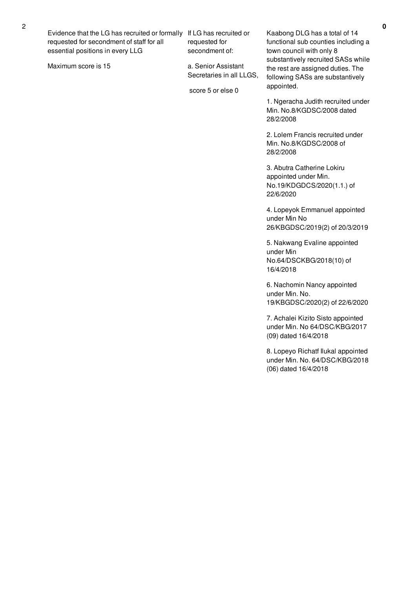Evidence that the LG has recruited or formally If LG has recruited or requested for secondment of staff for all essential positions in every LLG

Maximum score is 15

requested for secondment of:

a. Senior Assistant Secretaries in all LLGS,

score 5 or else 0

Kaabong DLG has a total of 14 functional sub counties including a town council with only 8 substantively recruited SASs while the rest are assigned duties. The following SASs are substantively appointed.

1. Ngeracha Judith recruited under Min. No.8/KGDSC/2008 dated 28/2/2008

2. Lolem Francis recruited under Min. No.8/KGDSC/2008 of 28/2/2008

3. Abutra Catherine Lokiru appointed under Min. No.19/KDGDCS/2020(1.1.) of 22/6/2020

4. Lopeyok Emmanuel appointed under Min No 26/KBGDSC/2019(2) of 20/3/2019

5. Nakwang Evaline appointed under Min No.64/DSCKBG/2018(10) of 16/4/2018

6. Nachomin Nancy appointed under Min. No. 19/KBGDSC/2020(2) of 22/6/2020

7. Achalei Kizito Sisto appointed under Min. No 64/DSC/KBG/2017 (09) dated 16/4/2018

8. Lopeyo Richatf Ilukal appointed under Min. No. 64/DSC/KBG/2018 (06) dated 16/4/2018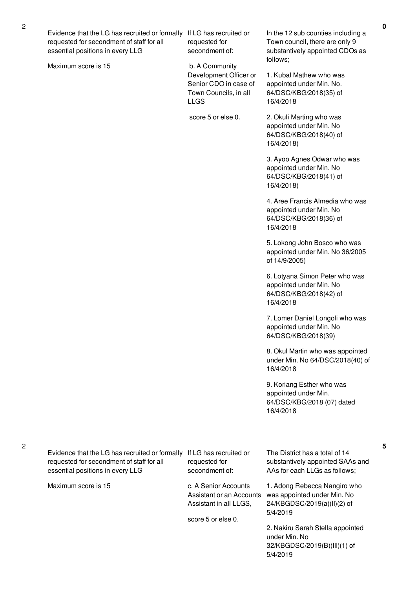Evidence that the LG has recruited or formally requested for secondment of staff for all essential positions in every LLG

Maximum score is 15

If LG has recruited or requested for secondment of:

b. A Community Development Officer or Senior CDO in case of Town Councils, in all LLGS

score 5 or else 0.

In the 12 sub counties including a Town council, there are only 9 substantively appointed CDOs as follows;

1. Kubal Mathew who was appointed under Min. No. 64/DSC/KBG/2018(35) of 16/4/2018

2. Okuli Marting who was appointed under Min. No 64/DSC/KBG/2018(40) of 16/4/2018)

3. Ayoo Agnes Odwar who was appointed under Min. No 64/DSC/KBG/2018(41) of 16/4/2018)

4. Aree Francis Almedia who was appointed under Min. No 64/DSC/KBG/2018(36) of 16/4/2018

5. Lokong John Bosco who was appointed under Min. No 36/2005 of 14/9/2005)

6. Lotyana Simon Peter who was appointed under Min. No 64/DSC/KBG/2018(42) of 16/4/2018

7. Lomer Daniel Longoli who was appointed under Min. No 64/DSC/KBG/2018(39)

8. Okul Martin who was appointed under Min. No 64/DSC/2018(40) of 16/4/2018

9. Koriang Esther who was appointed under Min. 64/DSC/KBG/2018 (07) dated 16/4/2018

2

Evidence that the LG has recruited or formally If LG has recruited or requested for secondment of staff for all essential positions in every LLG

Maximum score is 15

requested for secondment of:

c. A Senior Accounts Assistant or an Accounts Assistant in all LLGS,

score 5 or else 0.

The District has a total of 14 substantively appointed SAAs and AAs for each LLGs as follows;

**5**

1. Adong Rebecca Nangiro who was appointed under Min. No 24/KBGDSC/2019(a)(II)(2) of 5/4/2019

2. Nakiru Sarah Stella appointed under Min. No 32/KBGDSC/2019(B)(III)(1) of 5/4/2019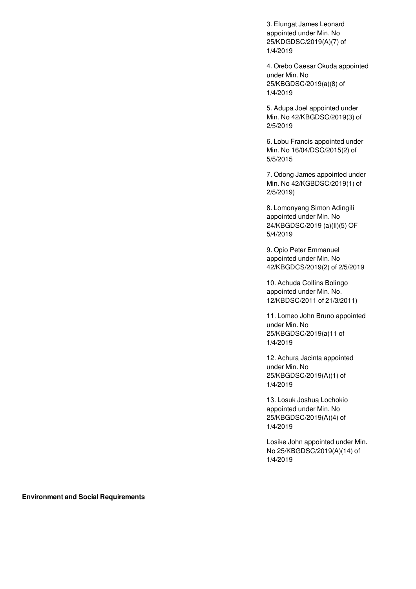3. Elungat James Leonard appointed under Min. No 25/KDGDSC/2019(A)(7) of 1/4/2019

4. Orebo Caesar Okuda appointed under Min. No 25/KBGDSC/2019(a)(8) of 1/4/2019

5. Adupa Joel appointed under Min. No 42/KBGDSC/2019(3) of 2/5/2019

6. Lobu Francis appointed under Min. No 16/04/DSC/2015(2) of 5/5/2015

7. Odong James appointed under Min. No 42/KGBDSC/2019(1) of 2/5/2019)

8. Lomonyang Simon Adingili appointed under Min. No 24/KBGDSC/2019 (a)(II)(5) OF 5/4/2019

9. Opio Peter Emmanuel appointed under Min. No 42/KBGDCS/2019(2) of 2/5/2019

10. Achuda Collins Bolingo appointed under Min. No. 12/KBDSC/2011 of 21/3/2011)

11. Lomeo John Bruno appointed under Min. No 25/KBGDSC/2019(a)11 of 1/4/2019

12. Achura Jacinta appointed under Min. No 25/KBGDSC/2019(A)(1) of 1/4/2019

13. Losuk Joshua Lochokio appointed under Min. No 25/KBGDSC/2019(A)(4) of 1/4/2019

Losike John appointed under Min. No 25/KBGDSC/2019(A)(14) of 1/4/2019

**Environment and Social Requirements**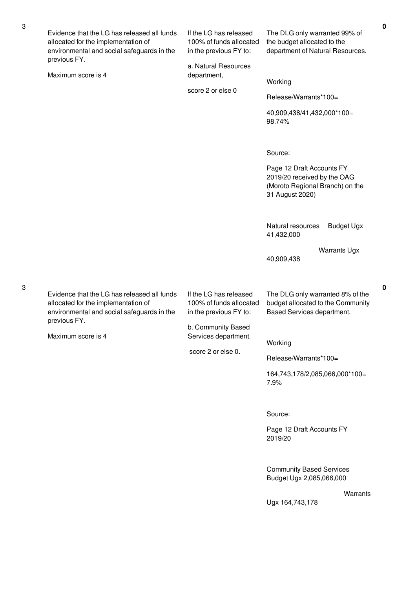|  | Evidence that the LG has released all funds<br>allocated for the implementation of<br>environmental and social safeguards in the<br>previous FY.<br>Maximum score is 4 | If the LG has released<br>100% of funds allocated<br>in the previous FY to:<br>a. Natural Resources                                             | The DLG only warranted 99% of<br>the budget allocated to the<br>department of Natural Resources.               |  |
|--|------------------------------------------------------------------------------------------------------------------------------------------------------------------------|-------------------------------------------------------------------------------------------------------------------------------------------------|----------------------------------------------------------------------------------------------------------------|--|
|  |                                                                                                                                                                        | department,                                                                                                                                     | Working                                                                                                        |  |
|  |                                                                                                                                                                        | score 2 or else 0                                                                                                                               | Release/Warrants*100=                                                                                          |  |
|  |                                                                                                                                                                        |                                                                                                                                                 | 40,909,438/41,432,000*100=<br>98.74%                                                                           |  |
|  |                                                                                                                                                                        |                                                                                                                                                 | Source:                                                                                                        |  |
|  |                                                                                                                                                                        |                                                                                                                                                 | Page 12 Draft Accounts FY<br>2019/20 received by the OAG<br>(Moroto Regional Branch) on the<br>31 August 2020) |  |
|  |                                                                                                                                                                        |                                                                                                                                                 | <b>Budget Ugx</b><br>Natural resources<br>41,432,000                                                           |  |
|  |                                                                                                                                                                        |                                                                                                                                                 | <b>Warrants Ugx</b><br>40,909,438                                                                              |  |
|  | Evidence that the LG has released all funds<br>allocated for the implementation of<br>environmental and social safeguards in the<br>previous FY.<br>Maximum score is 4 | If the LG has released<br>100% of funds allocated<br>in the previous FY to:<br>b. Community Based<br>Services department.<br>score 2 or else 0. | The DLG only warranted 8% of the<br>budget allocated to the Community<br>Based Services department.            |  |
|  |                                                                                                                                                                        |                                                                                                                                                 |                                                                                                                |  |
|  |                                                                                                                                                                        |                                                                                                                                                 | Working                                                                                                        |  |
|  |                                                                                                                                                                        |                                                                                                                                                 | Release/Warrants*100=<br>164,743,178/2,085,066,000*100=                                                        |  |
|  |                                                                                                                                                                        |                                                                                                                                                 | 7.9%                                                                                                           |  |
|  |                                                                                                                                                                        |                                                                                                                                                 | Source:                                                                                                        |  |
|  |                                                                                                                                                                        |                                                                                                                                                 | Page 12 Draft Accounts FY<br>2019/20                                                                           |  |
|  |                                                                                                                                                                        |                                                                                                                                                 | <b>Community Based Services</b><br>Budget Ugx 2,085,066,000                                                    |  |

Ugx 164,743,178

3

3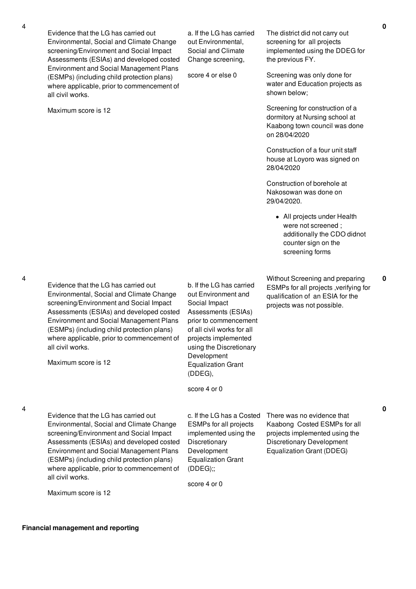Evidence that the LG has carried out Environmental, Social and Climate Change screening/Environment and Social Impact Assessments (ESIAs) and developed costed Environment and Social Management Plans (ESMPs) (including child protection plans) where applicable, prior to commencement of all civil works.

Maximum score is 12

a. If the LG has carried out Environmental, Social and Climate Change screening,

score 4 or else 0

The district did not carry out screening for all projects implemented using the DDEG for the previous FY.

Screening was only done for water and Education projects as shown below;

Screening for construction of a dormitory at Nursing school at Kaabong town council was done on 28/04/2020

Construction of a four unit staff house at Loyoro was signed on 28/04/2020

Construction of borehole at Nakosowan was done on 29/04/2020.

> • All projects under Health were not screened ; additionally the CDO didnot counter sign on the screening forms

Without Screening and preparing ESMPs for all projects ,verifying for qualification of an ESIA for the projects was not possible.

**0**

4

4

Evidence that the LG has carried out Environmental, Social and Climate Change screening/Environment and Social Impact Assessments (ESIAs) and developed costed Environment and Social Management Plans (ESMPs) (including child protection plans) where applicable, prior to commencement of all civil works.

Evidence that the LG has carried out Environmental, Social and Climate Change screening/Environment and Social Impact Assessments (ESIAs) and developed costed Environment and Social Management Plans (ESMPs) (including child protection plans) where applicable, prior to commencement of

> score 4 or 0 ESMPs for all projects implemented using the **Discretionary** Development

Equalization Grant

b. If the LG has carried out Environment and Social Impact

Assessments (ESIAs) prior to commencement of all civil works for all projects implemented using the Discretionary

Development Equalization Grant

(DDEG),

c. If the LG has a Costed There was no evidence that Kaabong Costed ESMPs for all projects implemented using the Discretionary Development Equalization Grant (DDEG)

score 4 or 0

(DDEG);;

all civil works.

Maximum score is 12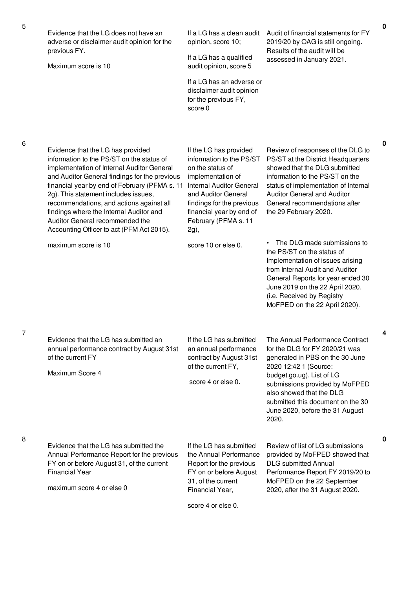| Evidence that the LG does not have an<br>adverse or disclaimer audit opinion for the<br>previous FY.                                                                                                                                                                                                                                                                                                                                          | If a LG has a clean audit<br>opinion, score 10;                                                                                                                                                                                                | Audit of financial statements for FY<br>2019/20 by OAG is still ongoing.<br>Results of the audit will be                                                                                                                                                                                                  | 0           |
|-----------------------------------------------------------------------------------------------------------------------------------------------------------------------------------------------------------------------------------------------------------------------------------------------------------------------------------------------------------------------------------------------------------------------------------------------|------------------------------------------------------------------------------------------------------------------------------------------------------------------------------------------------------------------------------------------------|-----------------------------------------------------------------------------------------------------------------------------------------------------------------------------------------------------------------------------------------------------------------------------------------------------------|-------------|
| Maximum score is 10                                                                                                                                                                                                                                                                                                                                                                                                                           | If a LG has a qualified<br>audit opinion, score 5                                                                                                                                                                                              | assessed in January 2021.                                                                                                                                                                                                                                                                                 |             |
|                                                                                                                                                                                                                                                                                                                                                                                                                                               | If a LG has an adverse or<br>disclaimer audit opinion<br>for the previous FY,<br>score 0                                                                                                                                                       |                                                                                                                                                                                                                                                                                                           |             |
|                                                                                                                                                                                                                                                                                                                                                                                                                                               |                                                                                                                                                                                                                                                |                                                                                                                                                                                                                                                                                                           | $\mathbf 0$ |
| Evidence that the LG has provided<br>information to the PS/ST on the status of<br>implementation of Internal Auditor General<br>and Auditor General findings for the previous<br>financial year by end of February (PFMA s. 11<br>2g). This statement includes issues,<br>recommendations, and actions against all<br>findings where the Internal Auditor and<br>Auditor General recommended the<br>Accounting Officer to act (PFM Act 2015). | If the LG has provided<br>information to the PS/ST<br>on the status of<br>implementation of<br><b>Internal Auditor General</b><br>and Auditor General<br>findings for the previous<br>financial year by end of<br>February (PFMA s. 11<br>2g), | Review of responses of the DLG to<br>PS/ST at the District Headquarters<br>showed that the DLG submitted<br>information to the PS/ST on the<br>status of implementation of Internal<br><b>Auditor General and Auditor</b><br>General recommendations after<br>the 29 February 2020.                       |             |
| maximum score is 10                                                                                                                                                                                                                                                                                                                                                                                                                           | score 10 or else 0.                                                                                                                                                                                                                            | The DLG made submissions to<br>the PS/ST on the status of<br>Implementation of issues arising<br>from Internal Audit and Auditor<br>General Reports for year ended 30<br>June 2019 on the 22 April 2020.<br>(i.e. Received by Registry<br>MoFPED on the 22 April 2020).                                   |             |
| Evidence that the LG has submitted an<br>annual performance contract by August 31st<br>of the current FY<br>Maximum Score 4                                                                                                                                                                                                                                                                                                                   | If the LG has submitted<br>an annual performance<br>contract by August 31st<br>of the current FY,<br>score 4 or else 0.                                                                                                                        | The Annual Performance Contract<br>for the DLG for FY 2020/21 was<br>generated in PBS on the 30 June<br>2020 12:42 1 (Source:<br>budget.go.ug). List of LG<br>submissions provided by MoFPED<br>also showed that the DLG<br>submitted this document on the 30<br>June 2020, before the 31 August<br>2020. |             |
| Evidence that the LG has submitted the<br>Annual Performance Report for the previous<br>FY on or before August 31, of the current<br><b>Financial Year</b><br>maximum score 4 or else 0                                                                                                                                                                                                                                                       | If the LG has submitted<br>the Annual Performance<br>Report for the previous<br>FY on or before August<br>31, of the current<br>Financial Year,                                                                                                | Review of list of LG submissions<br>provided by MoFPED showed that<br><b>DLG</b> submitted Annual<br>Performance Report FY 2019/20 to<br>MoFPED on the 22 September<br>2020, after the 31 August 2020.                                                                                                    | 0           |
|                                                                                                                                                                                                                                                                                                                                                                                                                                               | score 4 or else 0.                                                                                                                                                                                                                             |                                                                                                                                                                                                                                                                                                           |             |

7

8